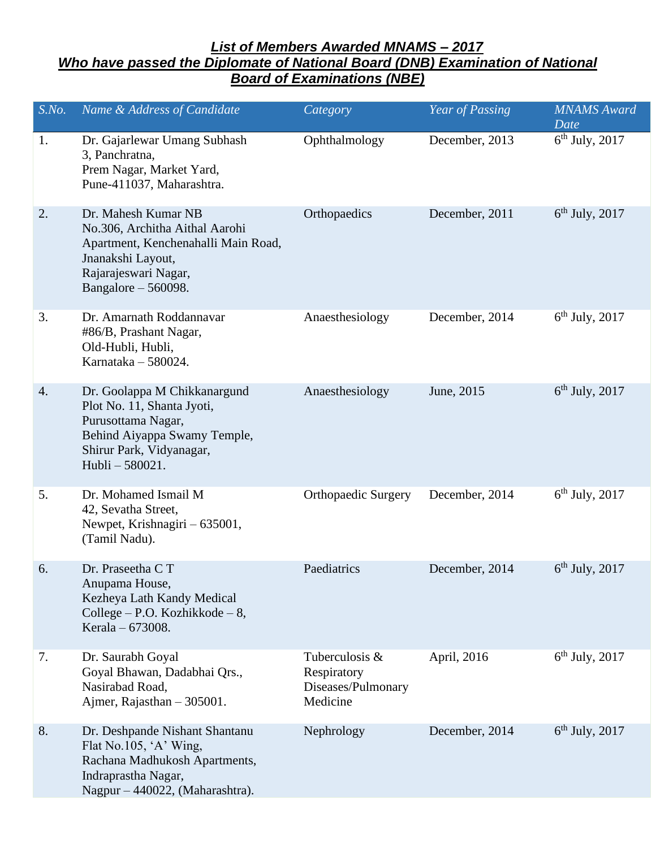## *List of Members Awarded MNAMS – 2017 Who have passed the Diplomate of National Board (DNB) Examination of National Board of Examinations (NBE)*

| S.No. | Name & Address of Candidate                                                                                                                                        | Category                                                        | Year of Passing | <b>MNAMS</b> Award<br>Date |
|-------|--------------------------------------------------------------------------------------------------------------------------------------------------------------------|-----------------------------------------------------------------|-----------------|----------------------------|
| 1.    | Dr. Gajarlewar Umang Subhash<br>3, Panchratna,<br>Prem Nagar, Market Yard,<br>Pune-411037, Maharashtra.                                                            | Ophthalmology                                                   | December, 2013  | $6th$ July, 2017           |
| 2.    | Dr. Mahesh Kumar NB<br>No.306, Architha Aithal Aarohi<br>Apartment, Kenchenahalli Main Road,<br>Jnanakshi Layout,<br>Rajarajeswari Nagar,<br>Bangalore $-560098$ . | Orthopaedics                                                    | December, 2011  | $6th$ July, 2017           |
| 3.    | Dr. Amarnath Roddannavar<br>#86/B, Prashant Nagar,<br>Old-Hubli, Hubli,<br>Karnataka - 580024.                                                                     | Anaesthesiology                                                 | December, 2014  | $6th$ July, 2017           |
| 4.    | Dr. Goolappa M Chikkanargund<br>Plot No. 11, Shanta Jyoti,<br>Purusottama Nagar,<br>Behind Aiyappa Swamy Temple,<br>Shirur Park, Vidyanagar,<br>Hubli-580021.      | Anaesthesiology                                                 | June, 2015      | $6th$ July, 2017           |
| 5.    | Dr. Mohamed Ismail M<br>42, Sevatha Street,<br>Newpet, Krishnagiri - 635001,<br>(Tamil Nadu).                                                                      | <b>Orthopaedic Surgery</b>                                      | December, 2014  | $6th$ July, 2017           |
| 6.    | Dr. Praseetha CT<br>Anupama House,<br>Kezheya Lath Kandy Medical<br>College – P.O. Kozhikkode – $8$ ,<br>Kerala - 673008.                                          | Paediatrics                                                     | December, 2014  | $6th$ July, 2017           |
| 7.    | Dr. Saurabh Goyal<br>Goyal Bhawan, Dadabhai Qrs.,<br>Nasirabad Road,<br>Ajmer, Rajasthan $-305001$ .                                                               | Tuberculosis &<br>Respiratory<br>Diseases/Pulmonary<br>Medicine | April, 2016     | $6th$ July, 2017           |
| 8.    | Dr. Deshpande Nishant Shantanu<br>Flat No.105, 'A' Wing,<br>Rachana Madhukosh Apartments,<br>Indraprastha Nagar,<br>Nagpur - 440022, (Maharashtra).                | Nephrology                                                      | December, 2014  | $6th$ July, 2017           |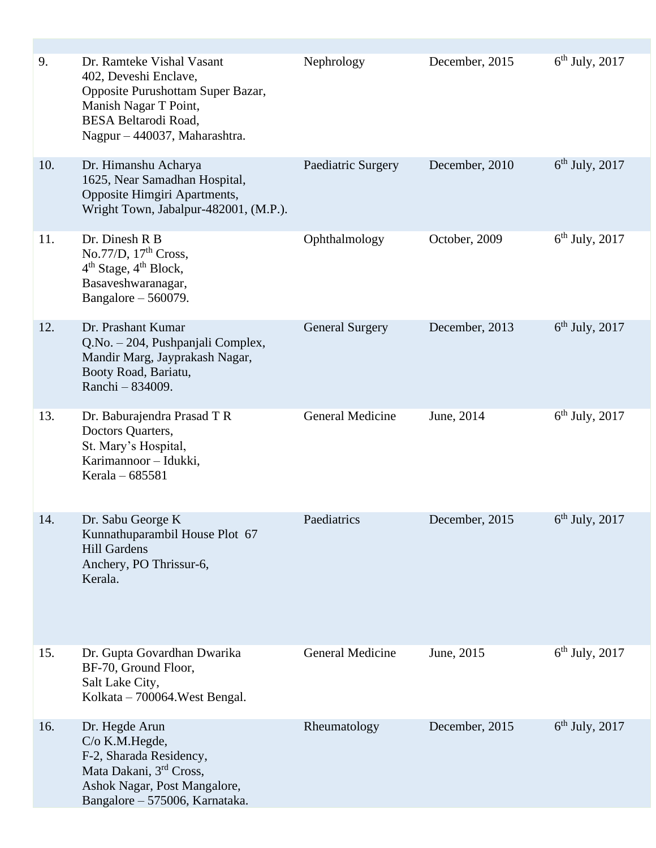| 9.  | Dr. Ramteke Vishal Vasant<br>402, Deveshi Enclave,<br>Opposite Purushottam Super Bazar,<br>Manish Nagar T Point,<br><b>BESA Beltarodi Road,</b><br>Nagpur - 440037, Maharashtra. | Nephrology              | December, 2015 | $6th$ July, 2017 |
|-----|----------------------------------------------------------------------------------------------------------------------------------------------------------------------------------|-------------------------|----------------|------------------|
| 10. | Dr. Himanshu Acharya<br>1625, Near Samadhan Hospital,<br>Opposite Himgiri Apartments,<br>Wright Town, Jabalpur-482001, (M.P.).                                                   | Paediatric Surgery      | December, 2010 | $6th$ July, 2017 |
| 11. | Dr. Dinesh R B<br>No.77/D, $17th Cross$ ,<br>4 <sup>th</sup> Stage, 4 <sup>th</sup> Block,<br>Basaveshwaranagar,<br>Bangalore $-560079$ .                                        | Ophthalmology           | October, 2009  | $6th$ July, 2017 |
| 12. | Dr. Prashant Kumar<br>Q.No. - 204, Pushpanjali Complex,<br>Mandir Marg, Jayprakash Nagar,<br>Booty Road, Bariatu,<br>Ranchi - 834009.                                            | <b>General Surgery</b>  | December, 2013 | $6th$ July, 2017 |
| 13. | Dr. Baburajendra Prasad TR<br>Doctors Quarters,<br>St. Mary's Hospital,<br>Karimannoor - Idukki,<br>Kerala - 685581                                                              | <b>General Medicine</b> | June, 2014     | $6th$ July, 2017 |
| 14. | Dr. Sabu George K<br>Kunnathuparambil House Plot 67<br><b>Hill Gardens</b><br>Anchery, PO Thrissur-6,<br>Kerala.                                                                 | Paediatrics             | December, 2015 | $6th$ July, 2017 |
| 15. | Dr. Gupta Govardhan Dwarika<br>BF-70, Ground Floor,<br>Salt Lake City,<br>Kolkata – 700064. West Bengal.                                                                         | <b>General Medicine</b> | June, 2015     | $6th$ July, 2017 |
| 16. | Dr. Hegde Arun<br>$C/O$ K.M. Hegde,<br>F-2, Sharada Residency,<br>Mata Dakani, 3 <sup>rd</sup> Cross,<br>Ashok Nagar, Post Mangalore,<br>Bangalore - 575006, Karnataka.          | Rheumatology            | December, 2015 | $6th$ July, 2017 |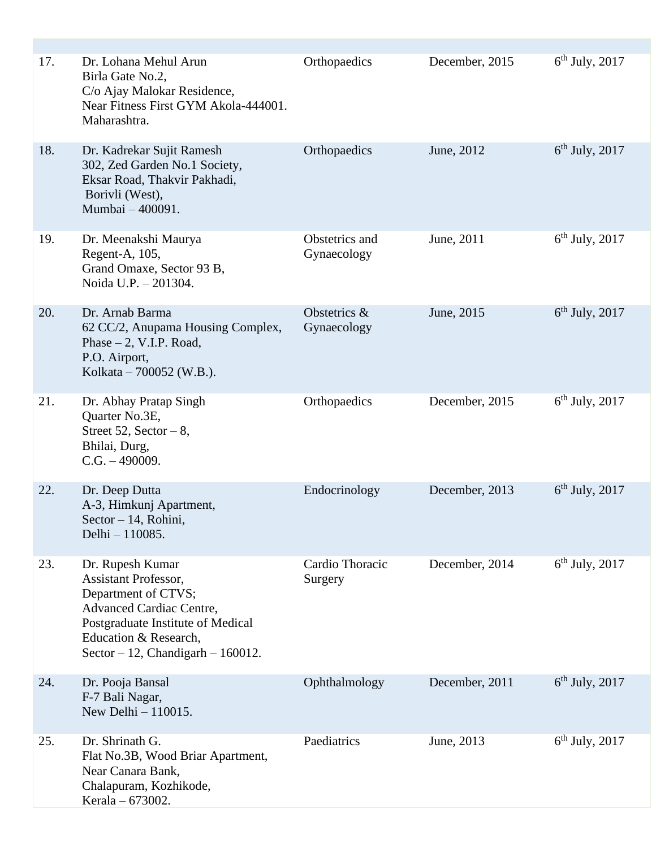| 17. | Dr. Lohana Mehul Arun<br>Birla Gate No.2,<br>C/o Ajay Malokar Residence,<br>Near Fitness First GYM Akola-444001.<br>Maharashtra.                                                                                 | Orthopaedics                  | December, 2015 | $6th$ July, 2017 |
|-----|------------------------------------------------------------------------------------------------------------------------------------------------------------------------------------------------------------------|-------------------------------|----------------|------------------|
| 18. | Dr. Kadrekar Sujit Ramesh<br>302, Zed Garden No.1 Society,<br>Eksar Road, Thakvir Pakhadi,<br>Borivli (West),<br>Mumbai - 400091.                                                                                | Orthopaedics                  | June, 2012     | $6th$ July, 2017 |
| 19. | Dr. Meenakshi Maurya<br>Regent-A, 105,<br>Grand Omaxe, Sector 93 B,<br>Noida U.P. - 201304.                                                                                                                      | Obstetrics and<br>Gynaecology | June, 2011     | $6th$ July, 2017 |
| 20. | Dr. Arnab Barma<br>62 CC/2, Anupama Housing Complex,<br>Phase $-2$ , V.I.P. Road,<br>P.O. Airport,<br>Kolkata – 700052 (W.B.).                                                                                   | Obstetrics &<br>Gynaecology   | June, 2015     | $6th$ July, 2017 |
| 21. | Dr. Abhay Pratap Singh<br>Quarter No.3E,<br>Street 52, Sector $-8$ ,<br>Bhilai, Durg,<br>$C.G. -490009.$                                                                                                         | Orthopaedics                  | December, 2015 | $6th$ July, 2017 |
| 22. | Dr. Deep Dutta<br>A-3, Himkunj Apartment,<br>Sector - 14, Rohini,<br>Delhi - 110085.                                                                                                                             | Endocrinology                 | December, 2013 | $6th$ July, 2017 |
| 23. | Dr. Rupesh Kumar<br><b>Assistant Professor,</b><br>Department of CTVS;<br><b>Advanced Cardiac Centre,</b><br>Postgraduate Institute of Medical<br>Education & Research,<br>Sector $-12$ , Chandigarh $-160012$ . | Cardio Thoracic<br>Surgery    | December, 2014 | $6th$ July, 2017 |
| 24. | Dr. Pooja Bansal<br>F-7 Bali Nagar,<br>New Delhi $-110015$ .                                                                                                                                                     | Ophthalmology                 | December, 2011 | $6th$ July, 2017 |
| 25. | Dr. Shrinath G.<br>Flat No.3B, Wood Briar Apartment,<br>Near Canara Bank,<br>Chalapuram, Kozhikode,<br>Kerala - 673002.                                                                                          | Paediatrics                   | June, 2013     | $6th$ July, 2017 |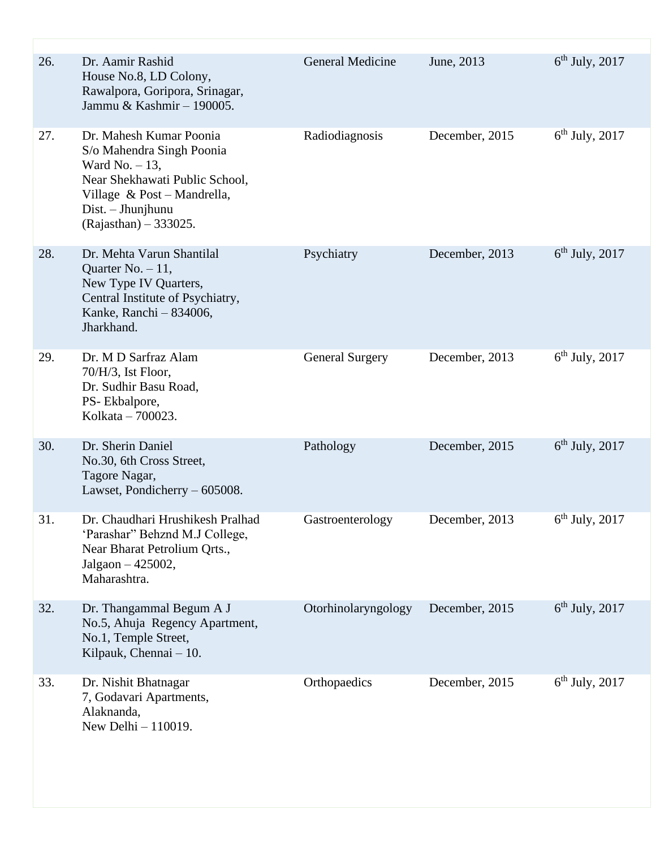| 26. | Dr. Aamir Rashid<br>House No.8, LD Colony,<br>Rawalpora, Goripora, Srinagar,<br>Jammu & Kashmir - 190005.                                                                                   | <b>General Medicine</b> | June, 2013     | $6th$ July, 2017 |
|-----|---------------------------------------------------------------------------------------------------------------------------------------------------------------------------------------------|-------------------------|----------------|------------------|
| 27. | Dr. Mahesh Kumar Poonia<br>S/o Mahendra Singh Poonia<br>Ward No. $-13$ ,<br>Near Shekhawati Public School,<br>Village & Post - Mandrella,<br>$Dist. - Jhunjhunu$<br>$(Rajasthan) - 333025.$ | Radiodiagnosis          | December, 2015 | $6th$ July, 2017 |
| 28. | Dr. Mehta Varun Shantilal<br>Quarter No. $-11$ ,<br>New Type IV Quarters,<br>Central Institute of Psychiatry,<br>Kanke, Ranchi - 834006,<br>Jharkhand.                                      | Psychiatry              | December, 2013 | $6th$ July, 2017 |
| 29. | Dr. M D Sarfraz Alam<br>70/H/3, Ist Floor,<br>Dr. Sudhir Basu Road,<br>PS-Ekbalpore,<br>Kolkata - 700023.                                                                                   | <b>General Surgery</b>  | December, 2013 | $6th$ July, 2017 |
| 30. | Dr. Sherin Daniel<br>No.30, 6th Cross Street,<br>Tagore Nagar,<br>Lawset, Pondicherry - 605008.                                                                                             | Pathology               | December, 2015 | $6th$ July, 2017 |
| 31. | Dr. Chaudhari Hrushikesh Pralhad<br>'Parashar" Behznd M.J College,<br>Near Bharat Petrolium Qrts.,<br>Jalgaon - 425002,<br>Maharashtra.                                                     | Gastroenterology        | December, 2013 | $6th$ July, 2017 |
| 32. | Dr. Thangammal Begum A J<br>No.5, Ahuja Regency Apartment,<br>No.1, Temple Street,<br>Kilpauk, Chennai - 10.                                                                                | Otorhinolaryngology     | December, 2015 | $6th$ July, 2017 |
| 33. | Dr. Nishit Bhatnagar<br>7, Godavari Apartments,<br>Alaknanda,<br>New Delhi - 110019.                                                                                                        | Orthopaedics            | December, 2015 | $6th$ July, 2017 |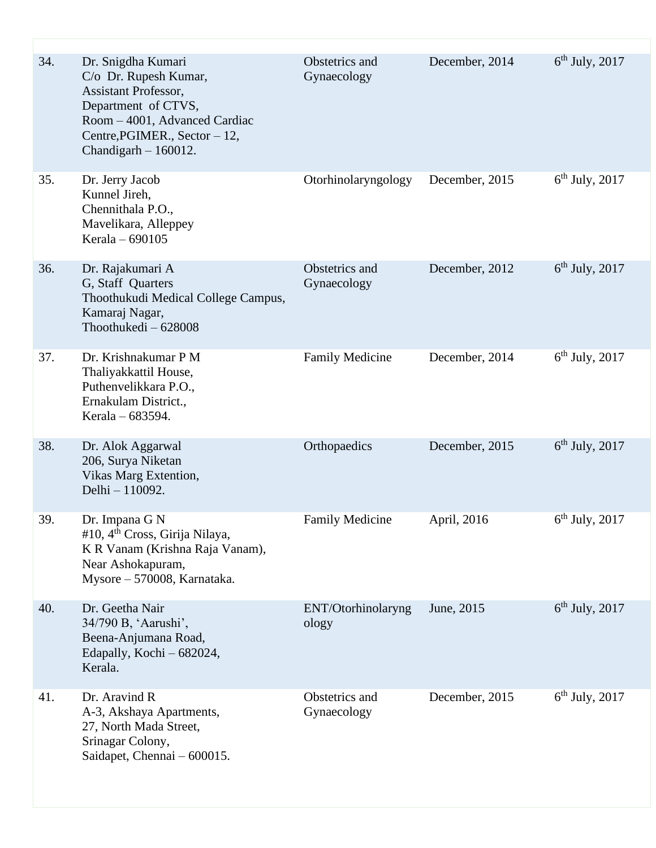| 34. | Dr. Snigdha Kumari<br>C/o Dr. Rupesh Kumar,<br>Assistant Professor,<br>Department of CTVS,<br>Room - 4001, Advanced Cardiac<br>Centre, PGIMER., Sector - 12,<br>Chandigarh $-160012$ . | Obstetrics and<br>Gynaecology | December, 2014 | $6th$ July, 2017 |
|-----|----------------------------------------------------------------------------------------------------------------------------------------------------------------------------------------|-------------------------------|----------------|------------------|
| 35. | Dr. Jerry Jacob<br>Kunnel Jireh,<br>Chennithala P.O.,<br>Mavelikara, Alleppey<br>Kerala - 690105                                                                                       | Otorhinolaryngology           | December, 2015 | $6th$ July, 2017 |
| 36. | Dr. Rajakumari A<br>G, Staff Quarters<br>Thoothukudi Medical College Campus,<br>Kamaraj Nagar,<br>Thoothukedi - 628008                                                                 | Obstetrics and<br>Gynaecology | December, 2012 | $6th$ July, 2017 |
| 37. | Dr. Krishnakumar P M<br>Thaliyakkattil House,<br>Puthenvelikkara P.O.,<br>Ernakulam District.,<br>Kerala – 683594.                                                                     | <b>Family Medicine</b>        | December, 2014 | $6th$ July, 2017 |
| 38. | Dr. Alok Aggarwal<br>206, Surya Niketan<br>Vikas Marg Extention,<br>Delhi - 110092.                                                                                                    | Orthopaedics                  | December, 2015 | $6th$ July, 2017 |
| 39. | Dr. Impana G N<br>#10, 4 <sup>th</sup> Cross, Girija Nilaya,<br>K R Vanam (Krishna Raja Vanam),<br>Near Ashokapuram,<br>Mysore - 570008, Karnataka.                                    | <b>Family Medicine</b>        | April, 2016    | $6th$ July, 2017 |
| 40. | Dr. Geetha Nair<br>34/790 B, 'Aarushi',<br>Beena-Anjumana Road,<br>Edapally, Kochi - 682024,<br>Kerala.                                                                                | ENT/Otorhinolaryng<br>ology   | June, 2015     | $6th$ July, 2017 |
| 41. | Dr. Aravind R<br>A-3, Akshaya Apartments,<br>27, North Mada Street,<br>Srinagar Colony,<br>Saidapet, Chennai - 600015.                                                                 | Obstetrics and<br>Gynaecology | December, 2015 | $6th$ July, 2017 |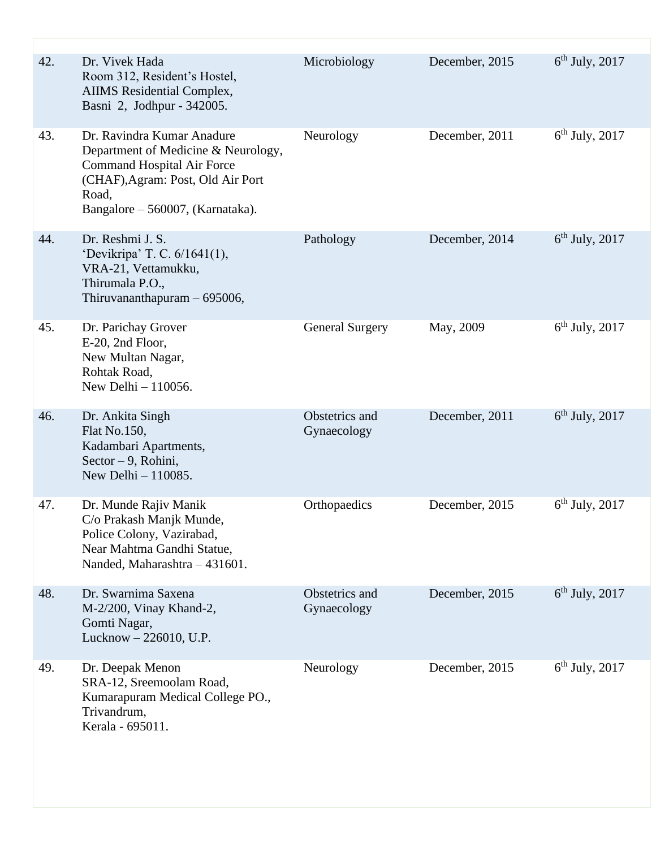| 42. | Dr. Vivek Hada<br>Room 312, Resident's Hostel,<br>AIIMS Residential Complex,<br>Basni 2, Jodhpur - 342005.                                                                               | Microbiology                  | December, 2015 | $6th$ July, 2017 |
|-----|------------------------------------------------------------------------------------------------------------------------------------------------------------------------------------------|-------------------------------|----------------|------------------|
| 43. | Dr. Ravindra Kumar Anadure<br>Department of Medicine & Neurology,<br><b>Command Hospital Air Force</b><br>(CHAF), Agram: Post, Old Air Port<br>Road,<br>Bangalore – 560007, (Karnataka). | Neurology                     | December, 2011 | $6th$ July, 2017 |
| 44. | Dr. Reshmi J. S.<br>'Devikripa' T. C. 6/1641(1),<br>VRA-21, Vettamukku,<br>Thirumala P.O.,<br>Thiruvananthapuram $-695006$ ,                                                             | Pathology                     | December, 2014 | $6th$ July, 2017 |
| 45. | Dr. Parichay Grover<br>E-20, 2nd Floor,<br>New Multan Nagar,<br>Rohtak Road,<br>New Delhi $-110056$ .                                                                                    | <b>General Surgery</b>        | May, 2009      | $6th$ July, 2017 |
| 46. | Dr. Ankita Singh<br>Flat No.150,<br>Kadambari Apartments,<br>Sector - 9, Rohini,<br>New Delhi $-110085$ .                                                                                | Obstetrics and<br>Gynaecology | December, 2011 | $6th$ July, 2017 |
| 47. | Dr. Munde Rajiv Manik<br>C/o Prakash Manjk Munde,<br>Police Colony, Vazirabad,<br>Near Mahtma Gandhi Statue,<br>Nanded, Maharashtra - 431601.                                            | Orthopaedics                  | December, 2015 | $6th$ July, 2017 |
| 48. | Dr. Swarnima Saxena<br>M-2/200, Vinay Khand-2,<br>Gomti Nagar,<br>Lucknow - 226010, U.P.                                                                                                 | Obstetrics and<br>Gynaecology | December, 2015 | $6th$ July, 2017 |
| 49. | Dr. Deepak Menon<br>SRA-12, Sreemoolam Road,<br>Kumarapuram Medical College PO.,<br>Trivandrum,<br>Kerala - 695011.                                                                      | Neurology                     | December, 2015 | $6th$ July, 2017 |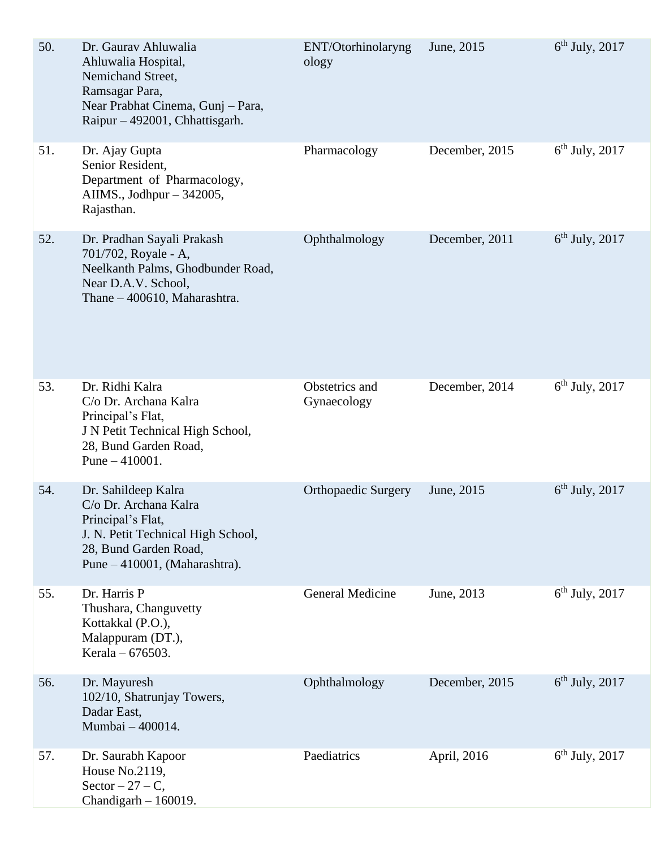| 50. | Dr. Gaurav Ahluwalia<br>Ahluwalia Hospital,<br>Nemichand Street,<br>Ramsagar Para,<br>Near Prabhat Cinema, Gunj - Para,<br>Raipur – 492001, Chhattisgarh.         | ENT/Otorhinolaryng<br>ology   | June, 2015     | $6th$ July, 2017 |
|-----|-------------------------------------------------------------------------------------------------------------------------------------------------------------------|-------------------------------|----------------|------------------|
| 51. | Dr. Ajay Gupta<br>Senior Resident,<br>Department of Pharmacology,<br>AIIMS., Jodhpur $-342005$ ,<br>Rajasthan.                                                    | Pharmacology                  | December, 2015 | $6th$ July, 2017 |
| 52. | Dr. Pradhan Sayali Prakash<br>701/702, Royale - A,<br>Neelkanth Palms, Ghodbunder Road,<br>Near D.A.V. School,<br>Thane - 400610, Maharashtra.                    | Ophthalmology                 | December, 2011 | $6th$ July, 2017 |
| 53. | Dr. Ridhi Kalra<br>C/o Dr. Archana Kalra<br>Principal's Flat,<br>J N Petit Technical High School,<br>28, Bund Garden Road,<br>Pune $-410001$ .                    | Obstetrics and<br>Gynaecology | December, 2014 | $6th$ July, 2017 |
| 54. | Dr. Sahildeep Kalra<br>C/o Dr. Archana Kalra<br>Principal's Flat,<br>J. N. Petit Technical High School,<br>28, Bund Garden Road,<br>Pune – 410001, (Maharashtra). | <b>Orthopaedic Surgery</b>    | June, 2015     | $6th$ July, 2017 |
| 55. | Dr. Harris P<br>Thushara, Changuvetty<br>Kottakkal (P.O.),<br>Malappuram (DT.),<br>Kerala – 676503.                                                               | <b>General Medicine</b>       | June, 2013     | $6th$ July, 2017 |
| 56. | Dr. Mayuresh<br>102/10, Shatrunjay Towers,<br>Dadar East,<br>Mumbai - 400014.                                                                                     | Ophthalmology                 | December, 2015 | $6th$ July, 2017 |
| 57. | Dr. Saurabh Kapoor<br>House No.2119,<br>$Sector - 27 - C$ ,<br>Chandigarh - 160019.                                                                               | Paediatrics                   | April, 2016    | $6th$ July, 2017 |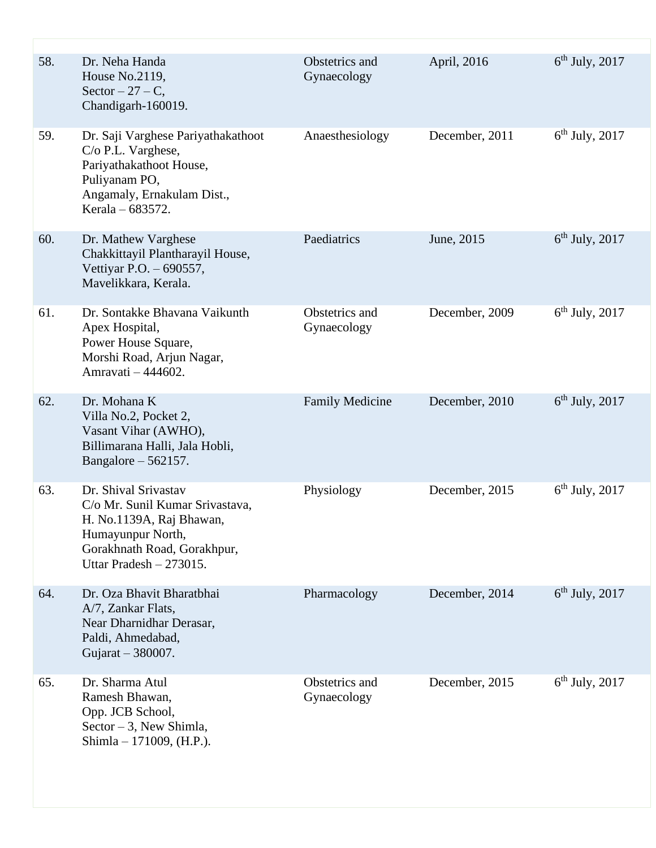| 58. | Dr. Neha Handa<br>House No.2119,<br>Sector $-27 - C$ ,<br>Chandigarh-160019.                                                                                         | Obstetrics and<br>Gynaecology | April, 2016    | $6th$ July, 2017 |
|-----|----------------------------------------------------------------------------------------------------------------------------------------------------------------------|-------------------------------|----------------|------------------|
| 59. | Dr. Saji Varghese Pariyathakathoot<br>C/o P.L. Varghese,<br>Pariyathakathoot House,<br>Puliyanam PO,<br>Angamaly, Ernakulam Dist.,<br>Kerala – 683572.               | Anaesthesiology               | December, 2011 | $6th$ July, 2017 |
| 60. | Dr. Mathew Varghese<br>Chakkittayil Plantharayil House,<br>Vettiyar P.O. - 690557,<br>Mavelikkara, Kerala.                                                           | Paediatrics                   | June, 2015     | $6th$ July, 2017 |
| 61. | Dr. Sontakke Bhavana Vaikunth<br>Apex Hospital,<br>Power House Square,<br>Morshi Road, Arjun Nagar,<br>Amravati - 444602.                                            | Obstetrics and<br>Gynaecology | December, 2009 | $6th$ July, 2017 |
| 62. | Dr. Mohana K<br>Villa No.2, Pocket 2,<br>Vasant Vihar (AWHO),<br>Billimarana Halli, Jala Hobli,<br>Bangalore $-562157$ .                                             | <b>Family Medicine</b>        | December, 2010 | $6th$ July, 2017 |
| 63. | Dr. Shival Srivastav<br>C/o Mr. Sunil Kumar Srivastava,<br>H. No.1139A, Raj Bhawan,<br>Humayunpur North,<br>Gorakhnath Road, Gorakhpur,<br>Uttar Pradesh $-273015$ . | Physiology                    | December, 2015 | $6th$ July, 2017 |
| 64. | Dr. Oza Bhavit Bharatbhai<br>A/7, Zankar Flats,<br>Near Dharnidhar Derasar,<br>Paldi, Ahmedabad,<br>Gujarat - 380007.                                                | Pharmacology                  | December, 2014 | $6th$ July, 2017 |
| 65. | Dr. Sharma Atul<br>Ramesh Bhawan,<br>Opp. JCB School,<br>Sector $-3$ , New Shimla,<br>Shimla - 171009, (H.P.).                                                       | Obstetrics and<br>Gynaecology | December, 2015 | $6th$ July, 2017 |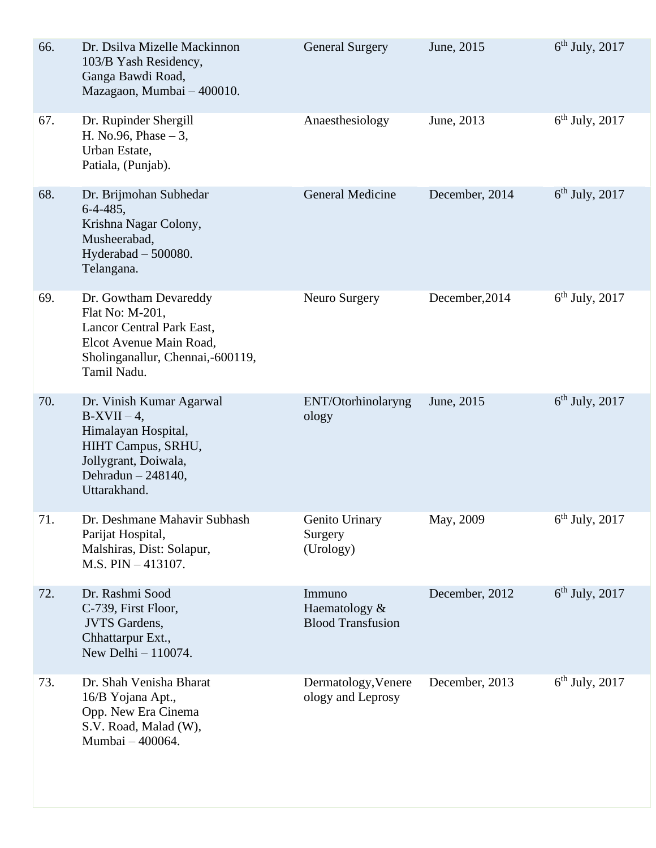| 66. | Dr. Dsilva Mizelle Mackinnon<br>103/B Yash Residency,<br>Ganga Bawdi Road,<br>Mazagaon, Mumbai - 400010.                                                | <b>General Surgery</b>                              | June, 2015     | $6th$ July, 2017 |
|-----|---------------------------------------------------------------------------------------------------------------------------------------------------------|-----------------------------------------------------|----------------|------------------|
| 67. | Dr. Rupinder Shergill<br>H. No.96, Phase $-3$ ,<br>Urban Estate,<br>Patiala, (Punjab).                                                                  | Anaesthesiology                                     | June, 2013     | $6th$ July, 2017 |
| 68. | Dr. Brijmohan Subhedar<br>$6-4-485,$<br>Krishna Nagar Colony,<br>Musheerabad,<br>Hyderabad $-500080$ .<br>Telangana.                                    | <b>General Medicine</b>                             | December, 2014 | $6th$ July, 2017 |
| 69. | Dr. Gowtham Devareddy<br>Flat No: M-201,<br>Lancor Central Park East,<br>Elcot Avenue Main Road,<br>Sholinganallur, Chennai,-600119,<br>Tamil Nadu.     | Neuro Surgery                                       | December, 2014 | $6th$ July, 2017 |
| 70. | Dr. Vinish Kumar Agarwal<br>$B-XVII - 4$ ,<br>Himalayan Hospital,<br>HIHT Campus, SRHU,<br>Jollygrant, Doiwala,<br>Dehradun $-248140$ ,<br>Uttarakhand. | ENT/Otorhinolaryng<br>ology                         | June, 2015     | $6th$ July, 2017 |
| 71. | Dr. Deshmane Mahavir Subhash<br>Parijat Hospital,<br>Malshiras, Dist: Solapur,<br>$M.S. PIN - 413107.$                                                  | Genito Urinary<br>Surgery<br>(Urology)              | May, 2009      | $6th$ July, 2017 |
| 72. | Dr. Rashmi Sood<br>C-739, First Floor,<br><b>JVTS</b> Gardens,<br>Chhattarpur Ext.,<br>New Delhi - 110074.                                              | Immuno<br>Haematology &<br><b>Blood Transfusion</b> | December, 2012 | $6th$ July, 2017 |
| 73. | Dr. Shah Venisha Bharat<br>16/B Yojana Apt.,<br>Opp. New Era Cinema<br>S.V. Road, Malad (W),<br>Mumbai - 400064.                                        | Dermatology, Venere<br>ology and Leprosy            | December, 2013 | $6th$ July, 2017 |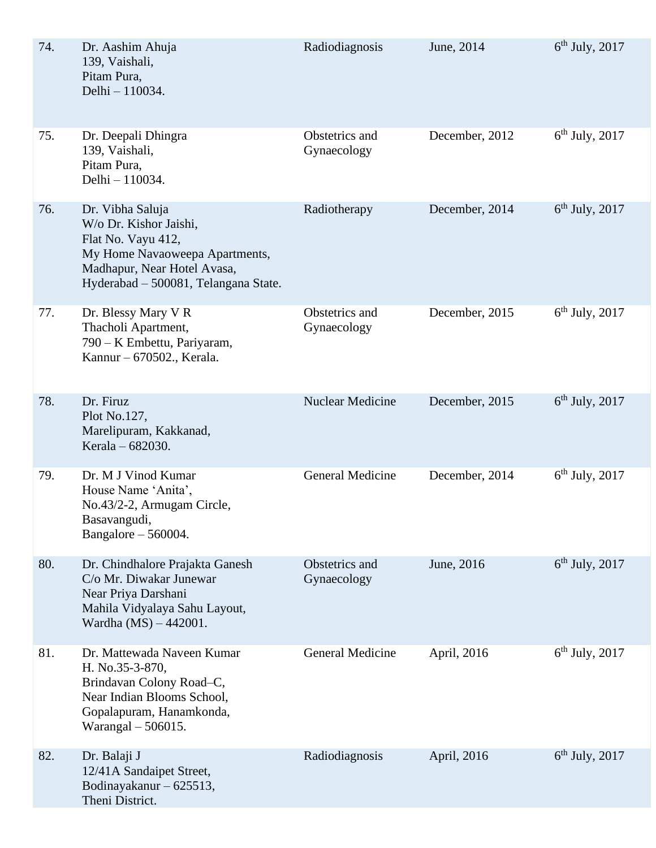| 74. | Dr. Aashim Ahuja<br>139, Vaishali,<br>Pitam Pura,<br>Delhi - 110034.                                                                                                      | Radiodiagnosis                | June, 2014     | $6th$ July, 2017 |
|-----|---------------------------------------------------------------------------------------------------------------------------------------------------------------------------|-------------------------------|----------------|------------------|
| 75. | Dr. Deepali Dhingra<br>139, Vaishali,<br>Pitam Pura,<br>Delhi - 110034.                                                                                                   | Obstetrics and<br>Gynaecology | December, 2012 | $6th$ July, 2017 |
| 76. | Dr. Vibha Saluja<br>W/o Dr. Kishor Jaishi,<br>Flat No. Vayu 412,<br>My Home Navaoweepa Apartments,<br>Madhapur, Near Hotel Avasa,<br>Hyderabad - 500081, Telangana State. | Radiotherapy                  | December, 2014 | $6th$ July, 2017 |
| 77. | Dr. Blessy Mary V R<br>Thacholi Apartment,<br>790 – K Embettu, Pariyaram,<br>Kannur - 670502., Kerala.                                                                    | Obstetrics and<br>Gynaecology | December, 2015 | $6th$ July, 2017 |
| 78. | Dr. Firuz<br>Plot No.127,<br>Marelipuram, Kakkanad,<br>Kerala – 682030.                                                                                                   | Nuclear Medicine              | December, 2015 | $6th$ July, 2017 |
| 79. | Dr. M J Vinod Kumar<br>House Name 'Anita',<br>No.43/2-2, Armugam Circle,<br>Basavangudi,<br>Bangalore $-560004$ .                                                         | <b>General Medicine</b>       | December, 2014 | $6th$ July, 2017 |
| 80. | Dr. Chindhalore Prajakta Ganesh<br>C/o Mr. Diwakar Junewar<br>Near Priya Darshani<br>Mahila Vidyalaya Sahu Layout,<br>Wardha (MS) - 442001.                               | Obstetrics and<br>Gynaecology | June, 2016     | $6th$ July, 2017 |
| 81. | Dr. Mattewada Naveen Kumar<br>H. No.35-3-870,<br>Brindavan Colony Road-C,<br>Near Indian Blooms School,<br>Gopalapuram, Hanamkonda,<br>Warangal $-506015$ .               | <b>General Medicine</b>       | April, 2016    | $6th$ July, 2017 |
| 82. | Dr. Balaji J<br>12/41A Sandaipet Street,<br>Bodinayakanur - 625513,<br>Theni District.                                                                                    | Radiodiagnosis                | April, 2016    | $6th$ July, 2017 |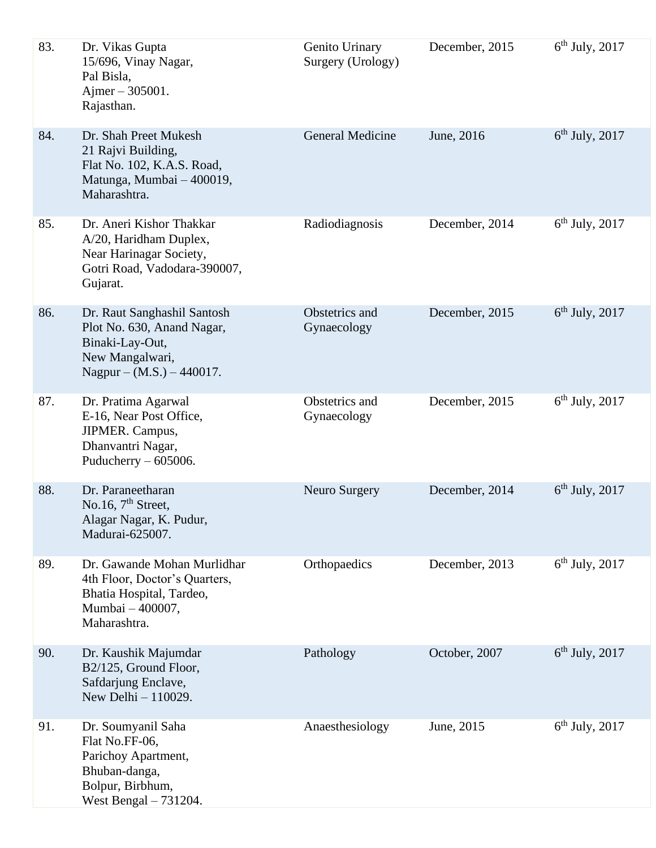| 83. | Dr. Vikas Gupta<br>15/696, Vinay Nagar,<br>Pal Bisla,<br>Ajmer $-305001$ .<br>Rajasthan.                                        | Genito Urinary<br>Surgery (Urology) | December, 2015 | $6th$ July, 2017 |
|-----|---------------------------------------------------------------------------------------------------------------------------------|-------------------------------------|----------------|------------------|
| 84. | Dr. Shah Preet Mukesh<br>21 Rajvi Building,<br>Flat No. 102, K.A.S. Road,<br>Matunga, Mumbai - 400019,<br>Maharashtra.          | General Medicine                    | June, 2016     | $6th$ July, 2017 |
| 85. | Dr. Aneri Kishor Thakkar<br>A/20, Haridham Duplex,<br>Near Harinagar Society,<br>Gotri Road, Vadodara-390007,<br>Gujarat.       | Radiodiagnosis                      | December, 2014 | $6th$ July, 2017 |
| 86. | Dr. Raut Sanghashil Santosh<br>Plot No. 630, Anand Nagar,<br>Binaki-Lay-Out,<br>New Mangalwari,<br>Nagpur – $(M.S.) - 440017$ . | Obstetrics and<br>Gynaecology       | December, 2015 | $6th$ July, 2017 |
| 87. | Dr. Pratima Agarwal<br>E-16, Near Post Office,<br>JIPMER. Campus,<br>Dhanvantri Nagar,<br>Puducherry $-605006$ .                | Obstetrics and<br>Gynaecology       | December, 2015 | $6th$ July, 2017 |
| 88. | Dr. Paraneetharan<br>No.16, $7th$ Street,<br>Alagar Nagar, K. Pudur,<br>Madurai-625007.                                         | Neuro Surgery                       | December, 2014 | $6th$ July, 2017 |
| 89. | Dr. Gawande Mohan Murlidhar<br>4th Floor, Doctor's Quarters,<br>Bhatia Hospital, Tardeo,<br>Mumbai - 400007,<br>Maharashtra.    | Orthopaedics                        | December, 2013 | $6th$ July, 2017 |
| 90. | Dr. Kaushik Majumdar<br>B2/125, Ground Floor,<br>Safdarjung Enclave,<br>New Delhi $-110029$ .                                   | Pathology                           | October, 2007  | $6th$ July, 2017 |
| 91. | Dr. Soumyanil Saha<br>Flat No.FF-06,<br>Parichoy Apartment,<br>Bhuban-danga,<br>Bolpur, Birbhum,<br>West Bengal - 731204.       | Anaesthesiology                     | June, 2015     | $6th$ July, 2017 |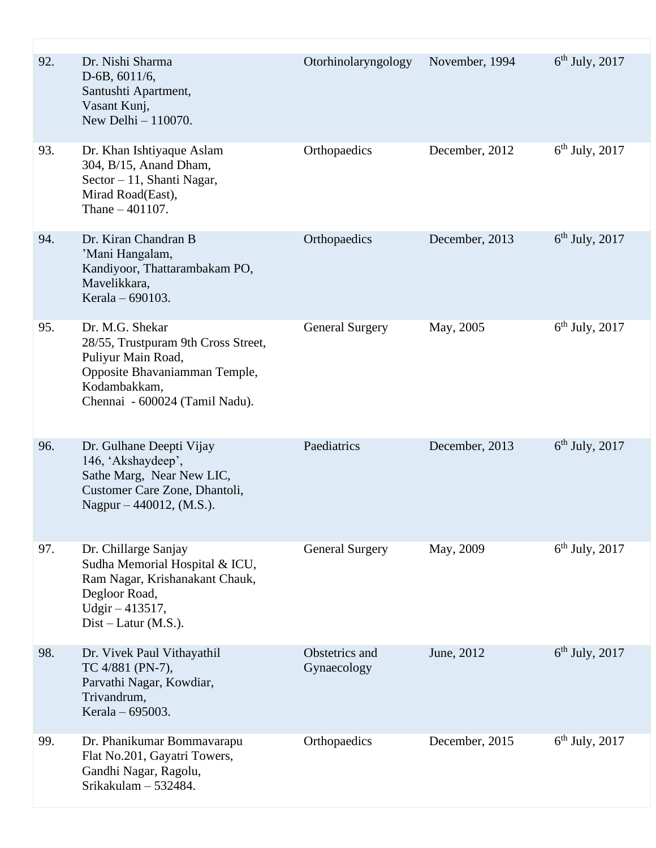| 92. | Dr. Nishi Sharma<br>$D-6B$ , 6011/6,<br>Santushti Apartment,<br>Vasant Kunj,<br>New Delhi - 110070.                                                             | Otorhinolaryngology           | November, 1994 | $6th$ July, 2017 |
|-----|-----------------------------------------------------------------------------------------------------------------------------------------------------------------|-------------------------------|----------------|------------------|
| 93. | Dr. Khan Ishtiyaque Aslam<br>304, B/15, Anand Dham,<br>Sector - 11, Shanti Nagar,<br>Mirad Road(East),<br>Thane $-401107$ .                                     | Orthopaedics                  | December, 2012 | $6th$ July, 2017 |
| 94. | Dr. Kiran Chandran B<br>'Mani Hangalam,<br>Kandiyoor, Thattarambakam PO,<br>Mavelikkara,<br>Kerala – 690103.                                                    | Orthopaedics                  | December, 2013 | $6th$ July, 2017 |
| 95. | Dr. M.G. Shekar<br>28/55, Trustpuram 9th Cross Street,<br>Puliyur Main Road,<br>Opposite Bhavaniamman Temple,<br>Kodambakkam,<br>Chennai - 600024 (Tamil Nadu). | <b>General Surgery</b>        | May, 2005      | $6th$ July, 2017 |
| 96. | Dr. Gulhane Deepti Vijay<br>146, 'Akshaydeep',<br>Sathe Marg, Near New LIC,<br>Customer Care Zone, Dhantoli,<br>Nagpur $-440012$ , (M.S.).                      | Paediatrics                   | December, 2013 | $6th$ July, 2017 |
| 97. | Dr. Chillarge Sanjay<br>Sudha Memorial Hospital & ICU,<br>Ram Nagar, Krishanakant Chauk,<br>Degloor Road,<br>Udgir $-413517$ ,<br>$Dist-Latur(M.S.).$           | <b>General Surgery</b>        | May, 2009      | $6th$ July, 2017 |
| 98. | Dr. Vivek Paul Vithayathil<br>TC 4/881 (PN-7),<br>Parvathi Nagar, Kowdiar,<br>Trivandrum,<br>Kerala – 695003.                                                   | Obstetrics and<br>Gynaecology | June, 2012     | $6th$ July, 2017 |
| 99. | Dr. Phanikumar Bommavarapu<br>Flat No.201, Gayatri Towers,<br>Gandhi Nagar, Ragolu,<br>Srikakulam - 532484.                                                     | Orthopaedics                  | December, 2015 | $6th$ July, 2017 |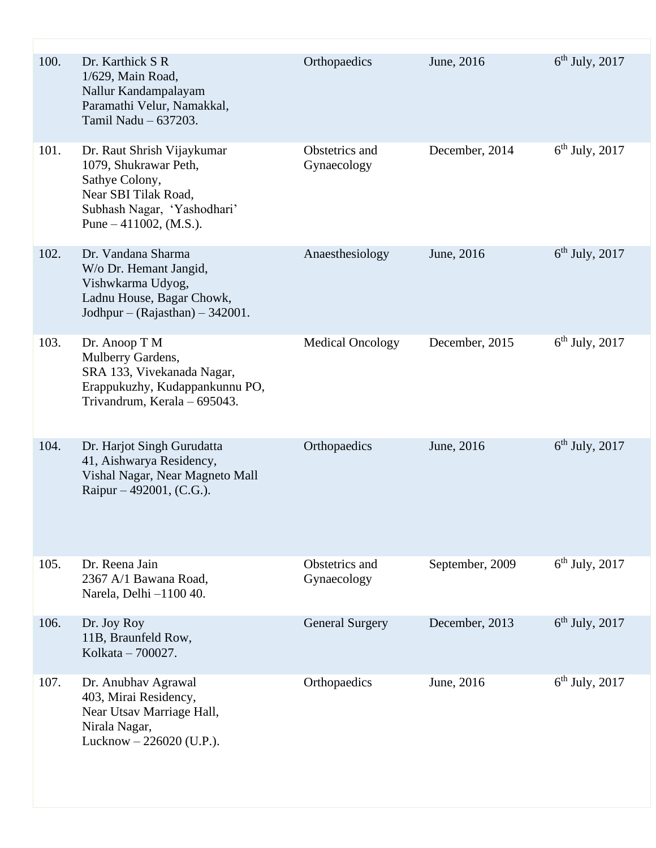| 100. | Dr. Karthick S R<br>1/629, Main Road,<br>Nallur Kandampalayam<br>Paramathi Velur, Namakkal,<br>Tamil Nadu - 637203.                                      | Orthopaedics                  | June, 2016      | $6th$ July, 2017 |
|------|----------------------------------------------------------------------------------------------------------------------------------------------------------|-------------------------------|-----------------|------------------|
| 101. | Dr. Raut Shrish Vijaykumar<br>1079, Shukrawar Peth,<br>Sathye Colony,<br>Near SBI Tilak Road,<br>Subhash Nagar, 'Yashodhari'<br>Pune $-411002$ , (M.S.). | Obstetrics and<br>Gynaecology | December, 2014  | $6th$ July, 2017 |
| 102. | Dr. Vandana Sharma<br>W/o Dr. Hemant Jangid,<br>Vishwkarma Udyog,<br>Ladnu House, Bagar Chowk,<br>Jodhpur – (Rajasthan) – 342001.                        | Anaesthesiology               | June, 2016      | $6th$ July, 2017 |
| 103. | Dr. Anoop T M<br>Mulberry Gardens,<br>SRA 133, Vivekanada Nagar,<br>Erappukuzhy, Kudappankunnu PO,<br>Trivandrum, Kerala - 695043.                       | <b>Medical Oncology</b>       | December, 2015  | $6th$ July, 2017 |
| 104. | Dr. Harjot Singh Gurudatta<br>41, Aishwarya Residency,<br>Vishal Nagar, Near Magneto Mall<br>Raipur – 492001, $(C.G.)$ .                                 | Orthopaedics                  | June, 2016      | $6th$ July, 2017 |
| 105. | Dr. Reena Jain<br>2367 A/1 Bawana Road,<br>Narela, Delhi -1100 40.                                                                                       | Obstetrics and<br>Gynaecology | September, 2009 | $6th$ July, 2017 |
| 106. | Dr. Joy Roy<br>11B, Braunfeld Row,<br>Kolkata - 700027.                                                                                                  | <b>General Surgery</b>        | December, 2013  | $6th$ July, 2017 |
| 107. | Dr. Anubhav Agrawal<br>403, Mirai Residency,<br>Near Utsav Marriage Hall,<br>Nirala Nagar,<br>Lucknow - 226020 (U.P.).                                   | Orthopaedics                  | June, 2016      | $6th$ July, 2017 |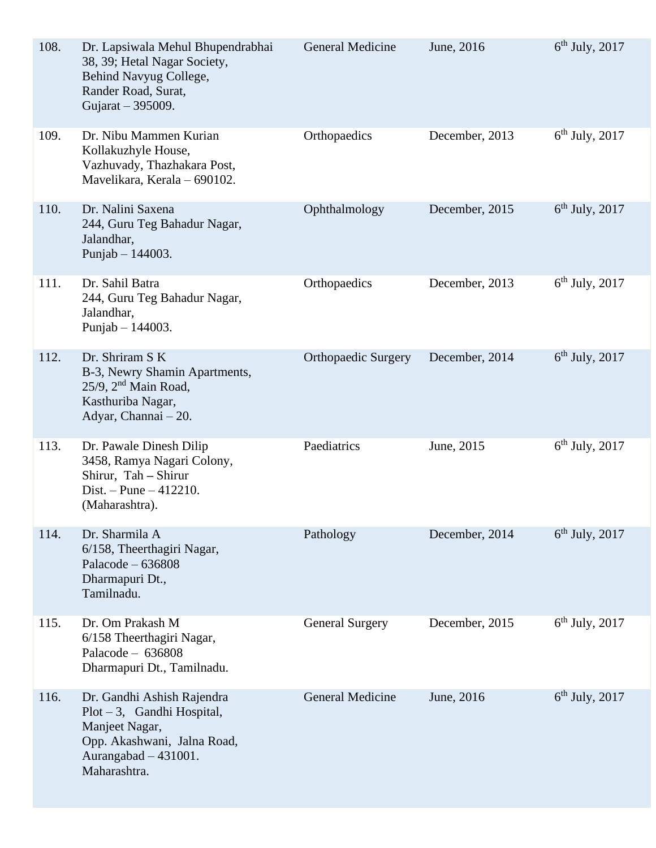| 108. | Dr. Lapsiwala Mehul Bhupendrabhai<br>38, 39; Hetal Nagar Society,<br>Behind Navyug College,<br>Rander Road, Surat,<br>Gujarat - 395009.                | <b>General Medicine</b>    | June, 2016     | $6th$ July, 2017 |
|------|--------------------------------------------------------------------------------------------------------------------------------------------------------|----------------------------|----------------|------------------|
| 109. | Dr. Nibu Mammen Kurian<br>Kollakuzhyle House,<br>Vazhuvady, Thazhakara Post,<br>Mavelikara, Kerala - 690102.                                           | Orthopaedics               | December, 2013 | $6th$ July, 2017 |
| 110. | Dr. Nalini Saxena<br>244, Guru Teg Bahadur Nagar,<br>Jalandhar,<br>Punjab $- 144003$ .                                                                 | Ophthalmology              | December, 2015 | $6th$ July, 2017 |
| 111. | Dr. Sahil Batra<br>244, Guru Teg Bahadur Nagar,<br>Jalandhar,<br>Punjab $- 144003$ .                                                                   | Orthopaedics               | December, 2013 | $6th$ July, 2017 |
| 112. | Dr. Shriram S K<br>B-3, Newry Shamin Apartments,<br>$25/9$ , $2nd$ Main Road,<br>Kasthuriba Nagar,<br>Adyar, Channai - 20.                             | <b>Orthopaedic Surgery</b> | December, 2014 | $6th$ July, 2017 |
| 113. | Dr. Pawale Dinesh Dilip<br>3458, Ramya Nagari Colony,<br>Shirur, Tah - Shirur<br>Dist. – Pune – $412210$ .<br>(Maharashtra).                           | Paediatrics                | June, 2015     | $6th$ July, 2017 |
| 114. | Dr. Sharmila A<br>6/158, Theerthagiri Nagar,<br>Palacode $-636808$<br>Dharmapuri Dt.,<br>Tamilnadu.                                                    | Pathology                  | December, 2014 | $6th$ July, 2017 |
| 115. | Dr. Om Prakash M<br>6/158 Theerthagiri Nagar,<br>Palacode $-636808$<br>Dharmapuri Dt., Tamilnadu.                                                      | <b>General Surgery</b>     | December, 2015 | $6th$ July, 2017 |
| 116. | Dr. Gandhi Ashish Rajendra<br>$Plot - 3$ , Gandhi Hospital,<br>Manjeet Nagar,<br>Opp. Akashwani, Jalna Road,<br>Aurangabad $-431001$ .<br>Maharashtra. | <b>General Medicine</b>    | June, 2016     | $6th$ July, 2017 |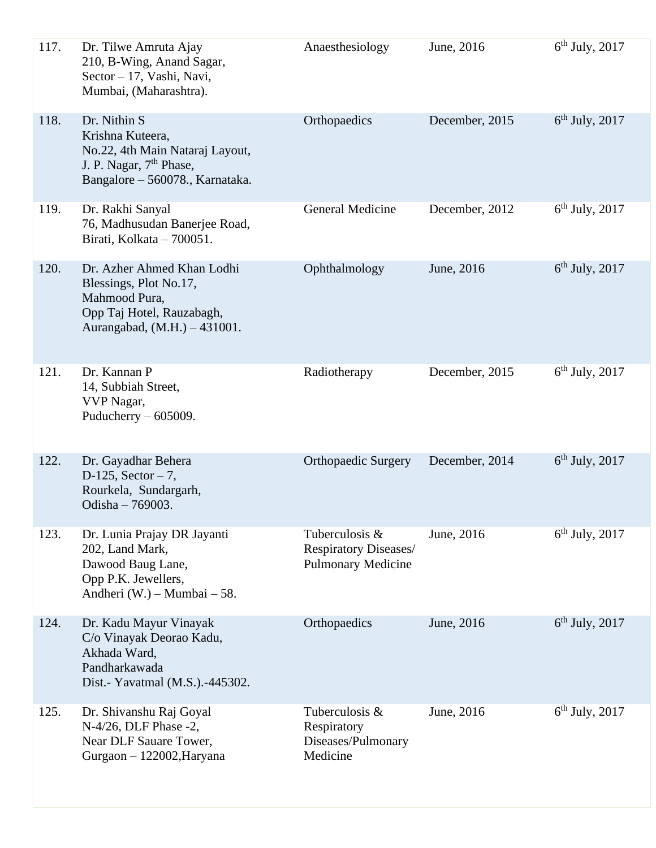| 117. | Dr. Tilwe Amruta Ajay<br>210, B-Wing, Anand Sagar,<br>Sector - 17, Vashi, Navi,<br>Mumbai, (Maharashtra).                                     | Anaesthesiology                                                      | June, 2016     | $6th$ July, 2017 |
|------|-----------------------------------------------------------------------------------------------------------------------------------------------|----------------------------------------------------------------------|----------------|------------------|
| 118. | Dr. Nithin S<br>Krishna Kuteera,<br>No.22, 4th Main Nataraj Layout,<br>J. P. Nagar, 7 <sup>th</sup> Phase,<br>Bangalore - 560078., Karnataka. | Orthopaedics                                                         | December, 2015 | $6th$ July, 2017 |
| 119. | Dr. Rakhi Sanyal<br>76, Madhusudan Banerjee Road,<br>Birati, Kolkata - 700051.                                                                | <b>General Medicine</b>                                              | December, 2012 | $6th$ July, 2017 |
| 120. | Dr. Azher Ahmed Khan Lodhi<br>Blessings, Plot No.17,<br>Mahmood Pura,<br>Opp Taj Hotel, Rauzabagh,<br>Aurangabad, (M.H.) - 431001.            | Ophthalmology                                                        | June, 2016     | $6th$ July, 2017 |
| 121. | Dr. Kannan P<br>14, Subbiah Street,<br>VVP Nagar,<br>Puducherry $-605009$ .                                                                   | Radiotherapy                                                         | December, 2015 | $6th$ July, 2017 |
| 122. | Dr. Gayadhar Behera<br>$D-125$ , Sector - 7,<br>Rourkela, Sundargarh,<br>Odisha - 769003.                                                     | <b>Orthopaedic Surgery</b>                                           | December, 2014 | $6th$ July, 2017 |
| 123. | Dr. Lunia Prajay DR Jayanti<br>202, Land Mark,<br>Dawood Baug Lane,<br>Opp P.K. Jewellers,<br>Andheri (W.) – Mumbai – 58.                     | Tuberculosis &<br>Respiratory Diseases/<br><b>Pulmonary Medicine</b> | June, 2016     | $6th$ July, 2017 |
| 124. | Dr. Kadu Mayur Vinayak<br>C/o Vinayak Deorao Kadu,<br>Akhada Ward,<br>Pandharkawada<br>Dist.- Yavatmal (M.S.).-445302.                        | Orthopaedics                                                         | June, 2016     | $6th$ July, 2017 |
| 125. | Dr. Shivanshu Raj Goyal<br>N-4/26, DLF Phase -2,<br>Near DLF Sauare Tower,<br>Gurgaon - 122002, Haryana                                       | Tuberculosis &<br>Respiratory<br>Diseases/Pulmonary<br>Medicine      | June, 2016     | $6th$ July, 2017 |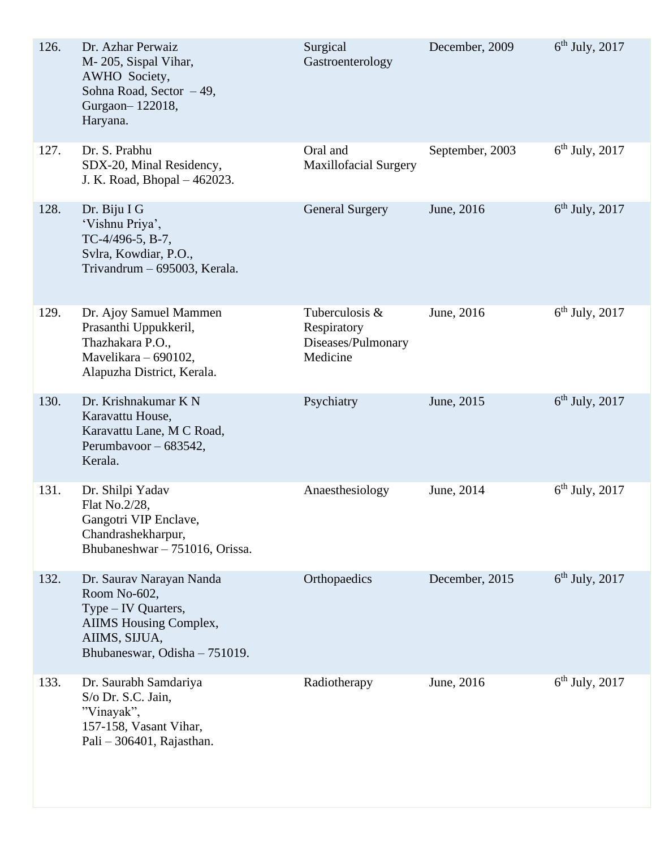| 126. | Dr. Azhar Perwaiz<br>M-205, Sispal Vihar,<br>AWHO Society,<br>Sohna Road, Sector -49,<br>Gurgaon-122018,<br>Haryana.                               | Surgical<br>Gastroenterology                                    | December, 2009  | $6th$ July, 2017 |
|------|----------------------------------------------------------------------------------------------------------------------------------------------------|-----------------------------------------------------------------|-----------------|------------------|
| 127. | Dr. S. Prabhu<br>SDX-20, Minal Residency,<br>J. K. Road, Bhopal - 462023.                                                                          | Oral and<br><b>Maxillofacial Surgery</b>                        | September, 2003 | $6th$ July, 2017 |
| 128. | Dr. Biju I G<br>'Vishnu Priya',<br>TC-4/496-5, B-7,<br>Svlra, Kowdiar, P.O.,<br>Trivandrum - 695003, Kerala.                                       | <b>General Surgery</b>                                          | June, 2016      | $6th$ July, 2017 |
| 129. | Dr. Ajoy Samuel Mammen<br>Prasanthi Uppukkeril,<br>Thazhakara P.O.,<br>Mavelikara - 690102,<br>Alapuzha District, Kerala.                          | Tuberculosis &<br>Respiratory<br>Diseases/Pulmonary<br>Medicine | June, 2016      | $6th$ July, 2017 |
| 130. | Dr. Krishnakumar K N<br>Karavattu House,<br>Karavattu Lane, M C Road,<br>Perumbayoor - 683542,<br>Kerala.                                          | Psychiatry                                                      | June, 2015      | $6th$ July, 2017 |
| 131. | Dr. Shilpi Yadav<br>Flat No.2/28,<br>Gangotri VIP Enclave,<br>Chandrashekharpur,<br>Bhubaneshwar - 751016, Orissa.                                 | Anaesthesiology                                                 | June, 2014      | $6th$ July, 2017 |
| 132. | Dr. Saurav Narayan Nanda<br>Room No-602,<br>Type – IV Quarters,<br><b>AIIMS</b> Housing Complex,<br>AIIMS, SIJUA,<br>Bhubaneswar, Odisha - 751019. | Orthopaedics                                                    | December, 2015  | $6th$ July, 2017 |
| 133. | Dr. Saurabh Samdariya<br>S/o Dr. S.C. Jain,<br>"Vinayak",<br>157-158, Vasant Vihar,<br>Pali $-306401$ , Rajasthan.                                 | Radiotherapy                                                    | June, 2016      | $6th$ July, 2017 |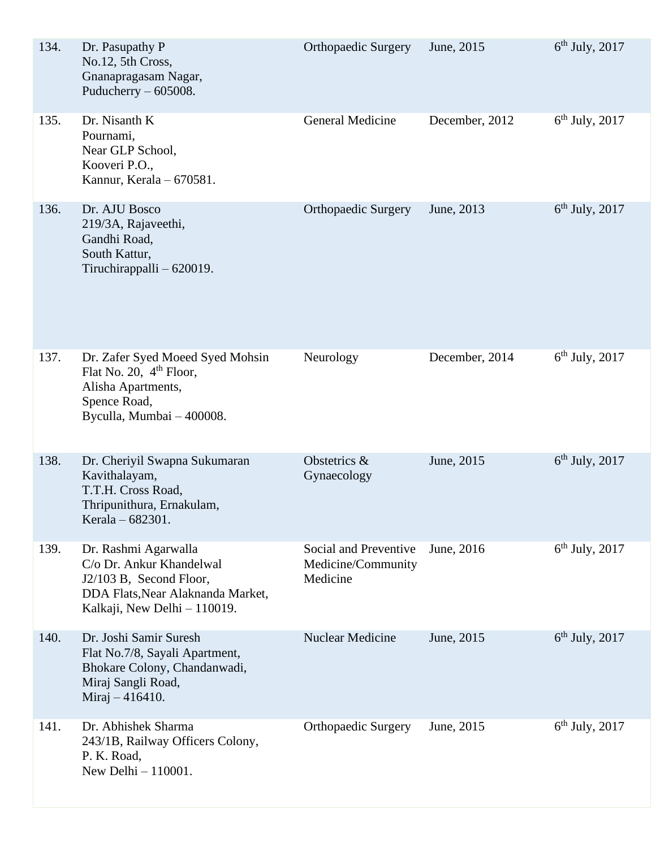| 134. | Dr. Pasupathy P<br>No.12, 5th Cross,<br>Gnanapragasam Nagar,<br>Puducherry $-605008$ .                                                           | <b>Orthopaedic Surgery</b>                              | June, 2015     | $6th$ July, 2017 |
|------|--------------------------------------------------------------------------------------------------------------------------------------------------|---------------------------------------------------------|----------------|------------------|
| 135. | Dr. Nisanth K<br>Pournami,<br>Near GLP School,<br>Kooveri P.O.,<br>Kannur, Kerala - 670581.                                                      | <b>General Medicine</b>                                 | December, 2012 | $6th$ July, 2017 |
| 136. | Dr. AJU Bosco<br>219/3A, Rajaveethi,<br>Gandhi Road,<br>South Kattur,<br>Tiruchirappalli $-620019$ .                                             | <b>Orthopaedic Surgery</b>                              | June, 2013     | $6th$ July, 2017 |
| 137. | Dr. Zafer Syed Moeed Syed Mohsin<br>Flat No. 20, $4th$ Floor,<br>Alisha Apartments,<br>Spence Road,<br>Byculla, Mumbai - 400008.                 | Neurology                                               | December, 2014 | $6th$ July, 2017 |
| 138. | Dr. Cheriyil Swapna Sukumaran<br>Kavithalayam,<br>T.T.H. Cross Road,<br>Thripunithura, Ernakulam,<br>Kerala - 682301.                            | Obstetrics &<br>Gynaecology                             | June, 2015     | $6th$ July, 2017 |
| 139. | Dr. Rashmi Agarwalla<br>C/o Dr. Ankur Khandelwal<br>J2/103 B, Second Floor,<br>DDA Flats, Near Alaknanda Market,<br>Kalkaji, New Delhi - 110019. | Social and Preventive<br>Medicine/Community<br>Medicine | June, 2016     | $6th$ July, 2017 |
| 140. | Dr. Joshi Samir Suresh<br>Flat No.7/8, Sayali Apartment,<br>Bhokare Colony, Chandanwadi,<br>Miraj Sangli Road,<br>Miraj $-416410$ .              | <b>Nuclear Medicine</b>                                 | June, 2015     | $6th$ July, 2017 |
| 141. | Dr. Abhishek Sharma<br>243/1B, Railway Officers Colony,<br>P. K. Road,<br>New Delhi $-110001$ .                                                  | <b>Orthopaedic Surgery</b>                              | June, 2015     | $6th$ July, 2017 |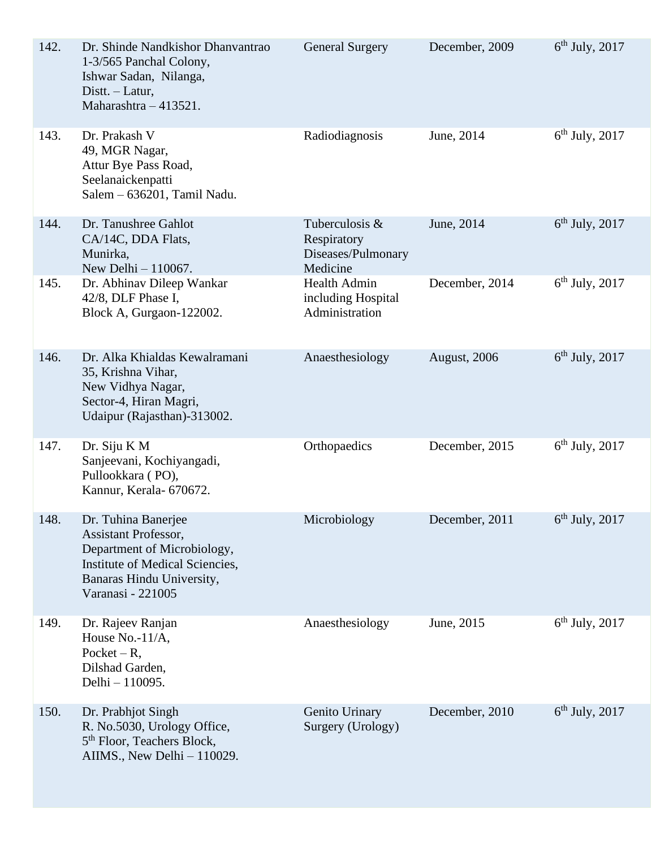| 142. | Dr. Shinde Nandkishor Dhanvantrao<br>1-3/565 Panchal Colony,<br>Ishwar Sadan, Nilanga,<br>Distt. - Latur,<br>Maharashtra - 413521.                              | <b>General Surgery</b>                                          | December, 2009 | $6th$ July, 2017 |
|------|-----------------------------------------------------------------------------------------------------------------------------------------------------------------|-----------------------------------------------------------------|----------------|------------------|
| 143. | Dr. Prakash V<br>49, MGR Nagar,<br>Attur Bye Pass Road,<br>Seelanaickenpatti<br>Salem - 636201, Tamil Nadu.                                                     | Radiodiagnosis                                                  | June, 2014     | $6th$ July, 2017 |
| 144. | Dr. Tanushree Gahlot<br>CA/14C, DDA Flats,<br>Munirka,<br>New Delhi - 110067.                                                                                   | Tuberculosis &<br>Respiratory<br>Diseases/Pulmonary<br>Medicine | June, 2014     | $6th$ July, 2017 |
| 145. | Dr. Abhinav Dileep Wankar<br>42/8, DLF Phase I,<br>Block A, Gurgaon-122002.                                                                                     | <b>Health Admin</b><br>including Hospital<br>Administration     | December, 2014 | $6th$ July, 2017 |
| 146. | Dr. Alka Khialdas Kewalramani<br>35, Krishna Vihar,<br>New Vidhya Nagar,<br>Sector-4, Hiran Magri,<br>Udaipur (Rajasthan)-313002.                               | Anaesthesiology                                                 | August, 2006   | $6th$ July, 2017 |
| 147. | Dr. Siju K M<br>Sanjeevani, Kochiyangadi,<br>Pullookkara (PO),<br>Kannur, Kerala- 670672.                                                                       | Orthopaedics                                                    | December, 2015 | $6th$ July, 2017 |
| 148. | Dr. Tuhina Banerjee<br>Assistant Professor,<br>Department of Microbiology,<br>Institute of Medical Sciencies,<br>Banaras Hindu University,<br>Varanasi - 221005 | Microbiology                                                    | December, 2011 | $6th$ July, 2017 |
| 149. | Dr. Rajeev Ranjan<br>House No.-11/A,<br>Pocket $-R$ ,<br>Dilshad Garden,<br>Delhi - 110095.                                                                     | Anaesthesiology                                                 | June, 2015     | $6th$ July, 2017 |
| 150. | Dr. Prabhjot Singh<br>R. No.5030, Urology Office,<br>5 <sup>th</sup> Floor, Teachers Block,<br>AIIMS., New Delhi $-110029$ .                                    | Genito Urinary<br>Surgery (Urology)                             | December, 2010 | $6th$ July, 2017 |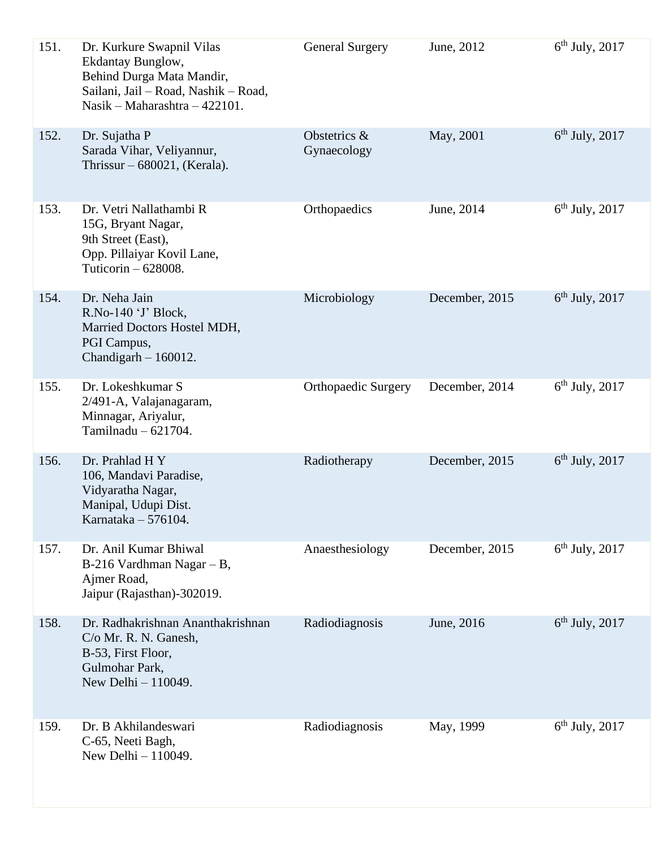| 151. | Dr. Kurkure Swapnil Vilas<br>Ekdantay Bunglow,<br>Behind Durga Mata Mandir,<br>Sailani, Jail - Road, Nashik - Road,<br>Nasik – Maharashtra – 422101. | <b>General Surgery</b>      | June, 2012     | $6th$ July, 2017 |
|------|------------------------------------------------------------------------------------------------------------------------------------------------------|-----------------------------|----------------|------------------|
| 152. | Dr. Sujatha P<br>Sarada Vihar, Veliyannur,<br>Thrissur $-680021$ , (Kerala).                                                                         | Obstetrics &<br>Gynaecology | May, 2001      | $6th$ July, 2017 |
| 153. | Dr. Vetri Nallathambi R<br>15G, Bryant Nagar,<br>9th Street (East),<br>Opp. Pillaiyar Kovil Lane,<br>Tuticorin $-628008$ .                           | Orthopaedics                | June, 2014     | $6th$ July, 2017 |
| 154. | Dr. Neha Jain<br>R.No-140 'J' Block,<br>Married Doctors Hostel MDH,<br>PGI Campus,<br>Chandigarh $-160012$ .                                         | Microbiology                | December, 2015 | $6th$ July, 2017 |
| 155. | Dr. Lokeshkumar S<br>2/491-A, Valajanagaram,<br>Minnagar, Ariyalur,<br>Tamilnadu $-621704$ .                                                         | <b>Orthopaedic Surgery</b>  | December, 2014 | $6th$ July, 2017 |
| 156. | Dr. Prahlad H Y<br>106, Mandavi Paradise,<br>Vidyaratha Nagar,<br>Manipal, Udupi Dist.<br>Karnataka - 576104.                                        | Radiotherapy                | December, 2015 | $6th$ July, 2017 |
| 157. | Dr. Anil Kumar Bhiwal<br>$B-216$ Vardhman Nagar - B,<br>Ajmer Road,<br>Jaipur (Rajasthan)-302019.                                                    | Anaesthesiology             | December, 2015 | $6th$ July, 2017 |
| 158. | Dr. Radhakrishnan Ananthakrishnan<br>C/o Mr. R. N. Ganesh,<br>B-53, First Floor,<br>Gulmohar Park,<br>New Delhi - 110049.                            | Radiodiagnosis              | June, 2016     | $6th$ July, 2017 |
| 159. | Dr. B Akhilandeswari<br>C-65, Neeti Bagh,<br>New Delhi - 110049.                                                                                     | Radiodiagnosis              | May, 1999      | $6th$ July, 2017 |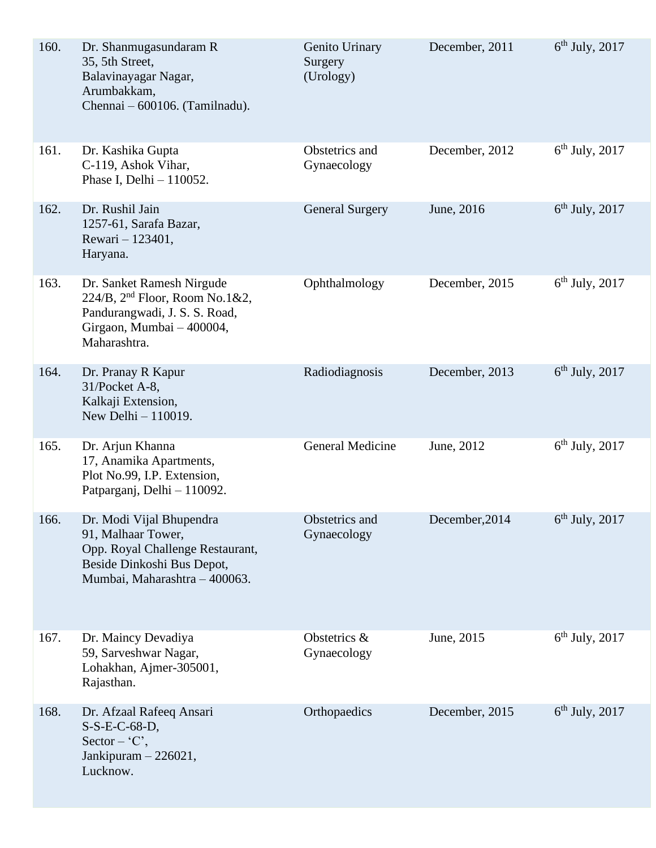| 160. | Dr. Shanmugasundaram R<br>35, 5th Street,<br>Balavinayagar Nagar,<br>Arumbakkam,<br>Chennai - 600106. (Tamilnadu).                                    | Genito Urinary<br>Surgery<br>(Urology) | December, 2011 | $6th$ July, 2017 |
|------|-------------------------------------------------------------------------------------------------------------------------------------------------------|----------------------------------------|----------------|------------------|
| 161. | Dr. Kashika Gupta<br>C-119, Ashok Vihar,<br>Phase I, Delhi $-110052$ .                                                                                | Obstetrics and<br>Gynaecology          | December, 2012 | $6th$ July, 2017 |
| 162. | Dr. Rushil Jain<br>1257-61, Sarafa Bazar,<br>Rewari - 123401,<br>Haryana.                                                                             | <b>General Surgery</b>                 | June, 2016     | $6th$ July, 2017 |
| 163. | Dr. Sanket Ramesh Nirgude<br>224/B, 2 <sup>nd</sup> Floor, Room No.1&2,<br>Pandurangwadi, J. S. S. Road,<br>Girgaon, Mumbai - 400004,<br>Maharashtra. | Ophthalmology                          | December, 2015 | $6th$ July, 2017 |
| 164. | Dr. Pranay R Kapur<br>31/Pocket A-8,<br>Kalkaji Extension,<br>New Delhi - 110019.                                                                     | Radiodiagnosis                         | December, 2013 | $6th$ July, 2017 |
| 165. | Dr. Arjun Khanna<br>17, Anamika Apartments,<br>Plot No.99, I.P. Extension,<br>Patparganj, Delhi - 110092.                                             | General Medicine                       | June, 2012     | $6th$ July, 2017 |
| 166. | Dr. Modi Vijal Bhupendra<br>91, Malhaar Tower,<br>Opp. Royal Challenge Restaurant,<br>Beside Dinkoshi Bus Depot,<br>Mumbai, Maharashtra - 400063.     | Obstetrics and<br>Gynaecology          | December, 2014 | $6th$ July, 2017 |
| 167. | Dr. Maincy Devadiya<br>59, Sarveshwar Nagar,<br>Lohakhan, Ajmer-305001,<br>Rajasthan.                                                                 | Obstetrics &<br>Gynaecology            | June, 2015     | $6th$ July, 2017 |
| 168. | Dr. Afzaal Rafeeq Ansari<br>$S-S-E-C-68-D,$<br>Sector – $C$ ,<br>Jankipuram $-226021$ ,<br>Lucknow.                                                   | Orthopaedics                           | December, 2015 | $6th$ July, 2017 |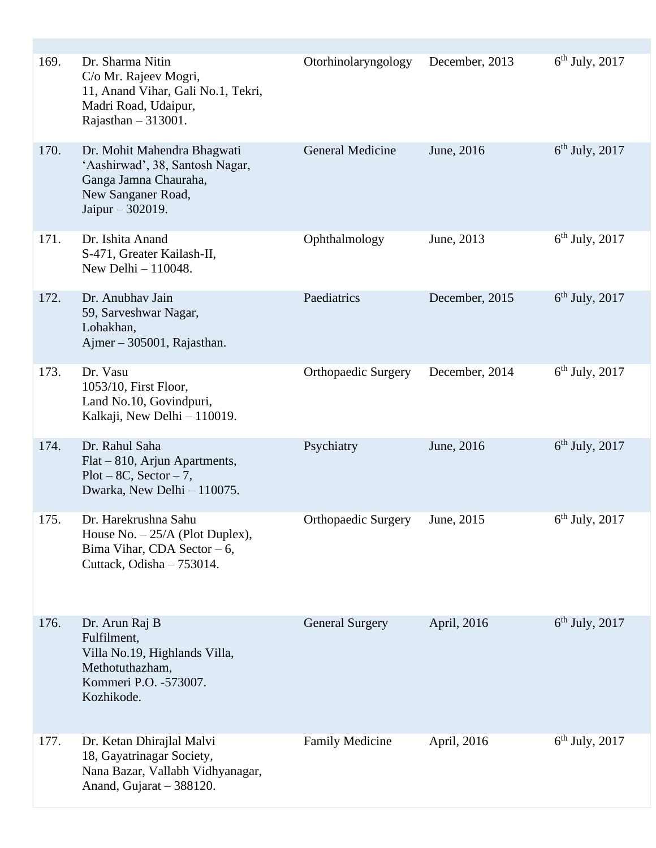| 169. | Dr. Sharma Nitin<br>C/o Mr. Rajeev Mogri,<br>11, Anand Vihar, Gali No.1, Tekri,<br>Madri Road, Udaipur,<br>Rajasthan $-313001$ .  | Otorhinolaryngology        | December, 2013 | $6th$ July, 2017 |
|------|-----------------------------------------------------------------------------------------------------------------------------------|----------------------------|----------------|------------------|
| 170. | Dr. Mohit Mahendra Bhagwati<br>'Aashirwad', 38, Santosh Nagar,<br>Ganga Jamna Chauraha,<br>New Sanganer Road,<br>Jaipur - 302019. | <b>General Medicine</b>    | June, 2016     | $6th$ July, 2017 |
| 171. | Dr. Ishita Anand<br>S-471, Greater Kailash-II,<br>New Delhi $-110048$ .                                                           | Ophthalmology              | June, 2013     | $6th$ July, 2017 |
| 172. | Dr. Anubhav Jain<br>59, Sarveshwar Nagar,<br>Lohakhan,<br>Ajmer $-305001$ , Rajasthan.                                            | Paediatrics                | December, 2015 | $6th$ July, 2017 |
| 173. | Dr. Vasu<br>1053/10, First Floor,<br>Land No.10, Govindpuri,<br>Kalkaji, New Delhi - 110019.                                      | <b>Orthopaedic Surgery</b> | December, 2014 | $6th$ July, 2017 |
| 174. | Dr. Rahul Saha<br>$Flat-810$ , Arjun Apartments,<br>$Plot - 8C$ , $Section - 7$ ,<br>Dwarka, New Delhi - 110075.                  | Psychiatry                 | June, 2016     | $6th$ July, 2017 |
| 175. | Dr. Harekrushna Sahu<br>House No. $-25/A$ (Plot Duplex),<br>Bima Vihar, CDA Sector $-6$ ,<br>Cuttack, Odisha - 753014.            | <b>Orthopaedic Surgery</b> | June, 2015     | $6th$ July, 2017 |
| 176. | Dr. Arun Raj B<br>Fulfilment,<br>Villa No.19, Highlands Villa,<br>Methotuthazham,<br>Kommeri P.O. -573007.<br>Kozhikode.          | <b>General Surgery</b>     | April, 2016    | $6th$ July, 2017 |
| 177. | Dr. Ketan Dhirajlal Malvi<br>18, Gayatrinagar Society,<br>Nana Bazar, Vallabh Vidhyanagar,<br>Anand, Gujarat - 388120.            | <b>Family Medicine</b>     | April, 2016    | $6th$ July, 2017 |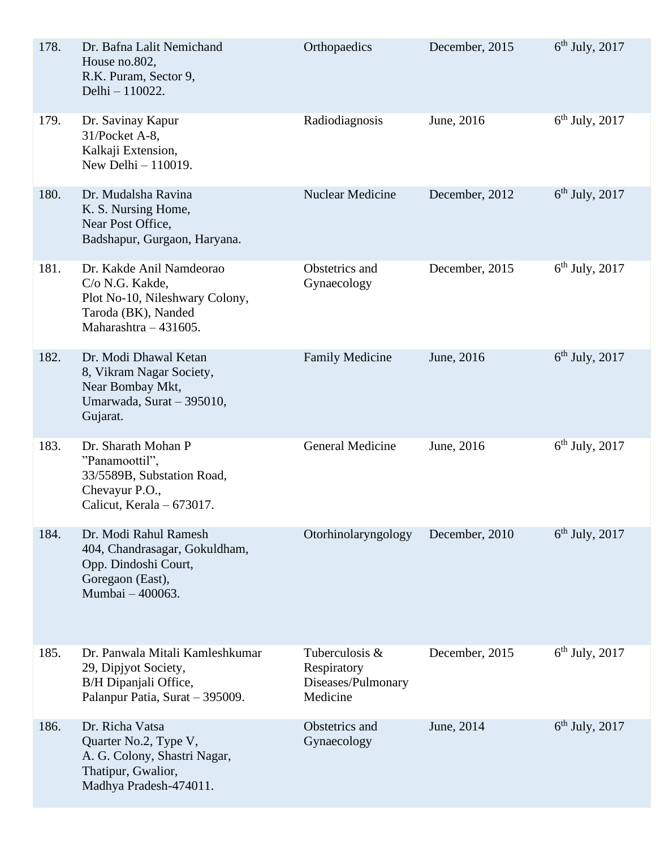| 178. | Dr. Bafna Lalit Nemichand<br>House no.802,<br>R.K. Puram, Sector 9,<br>Delhi - 110022.                                          | Orthopaedics                                                    | December, 2015 | $6th$ July, 2017 |
|------|---------------------------------------------------------------------------------------------------------------------------------|-----------------------------------------------------------------|----------------|------------------|
| 179. | Dr. Savinay Kapur<br>31/Pocket A-8,<br>Kalkaji Extension,<br>New Delhi $-110019$ .                                              | Radiodiagnosis                                                  | June, 2016     | $6th$ July, 2017 |
| 180. | Dr. Mudalsha Ravina<br>K. S. Nursing Home,<br>Near Post Office,<br>Badshapur, Gurgaon, Haryana.                                 | Nuclear Medicine                                                | December, 2012 | $6th$ July, 2017 |
| 181. | Dr. Kakde Anil Namdeorao<br>C/o N.G. Kakde,<br>Plot No-10, Nileshwary Colony,<br>Taroda (BK), Nanded<br>Maharashtra $-431605$ . | Obstetrics and<br>Gynaecology                                   | December, 2015 | $6th$ July, 2017 |
| 182. | Dr. Modi Dhawal Ketan<br>8, Vikram Nagar Society,<br>Near Bombay Mkt,<br>Umarwada, Surat - 395010,<br>Gujarat.                  | <b>Family Medicine</b>                                          | June, 2016     | $6th$ July, 2017 |
| 183. | Dr. Sharath Mohan P<br>"Panamoottil",<br>33/5589B, Substation Road,<br>Chevayur P.O.,<br>Calicut, Kerala – 673017.              | <b>General Medicine</b>                                         | June, 2016     | $6th$ July, 2017 |
| 184. | Dr. Modi Rahul Ramesh<br>404, Chandrasagar, Gokuldham,<br>Opp. Dindoshi Court,<br>Goregaon (East),<br>Mumbai - 400063.          | Otorhinolaryngology                                             | December, 2010 | $6th$ July, 2017 |
| 185. | Dr. Panwala Mitali Kamleshkumar<br>29, Dipjyot Society,<br>B/H Dipanjali Office,<br>Palanpur Patia, Surat - 395009.             | Tuberculosis &<br>Respiratory<br>Diseases/Pulmonary<br>Medicine | December, 2015 | $6th$ July, 2017 |
| 186. | Dr. Richa Vatsa<br>Quarter No.2, Type V,<br>A. G. Colony, Shastri Nagar,<br>Thatipur, Gwalior,<br>Madhya Pradesh-474011.        | Obstetrics and<br>Gynaecology                                   | June, 2014     | $6th$ July, 2017 |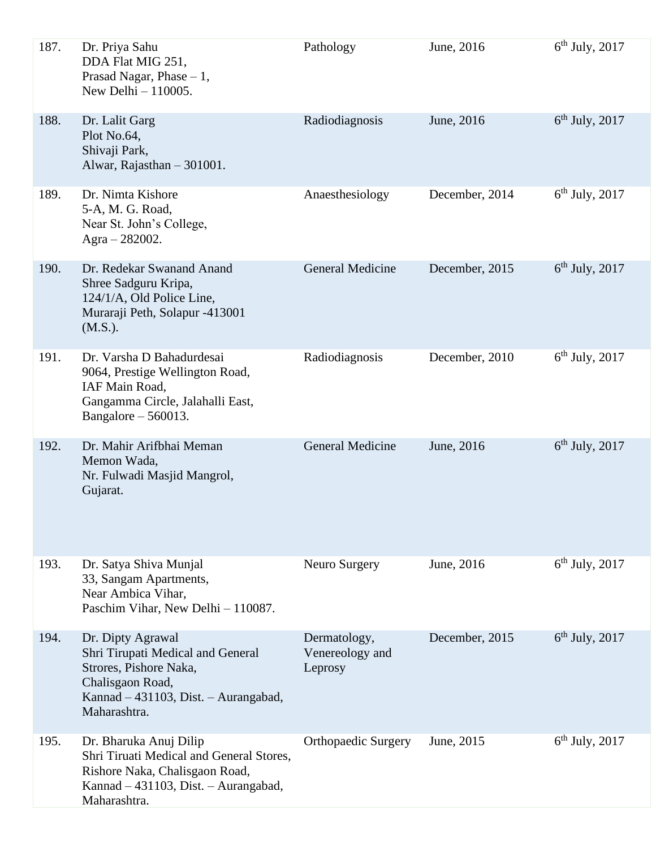| 187. | Dr. Priya Sahu<br>DDA Flat MIG 251,<br>Prasad Nagar, Phase $-1$ ,<br>New Delhi $-110005$ .                                                                   | Pathology                                  | June, 2016     | $6th$ July, 2017 |
|------|--------------------------------------------------------------------------------------------------------------------------------------------------------------|--------------------------------------------|----------------|------------------|
| 188. | Dr. Lalit Garg<br>Plot No.64,<br>Shivaji Park,<br>Alwar, Rajasthan - 301001.                                                                                 | Radiodiagnosis                             | June, 2016     | $6th$ July, 2017 |
| 189. | Dr. Nimta Kishore<br>5-A, M. G. Road,<br>Near St. John's College,<br>Agra $- 282002$ .                                                                       | Anaesthesiology                            | December, 2014 | $6th$ July, 2017 |
| 190. | Dr. Redekar Swanand Anand<br>Shree Sadguru Kripa,<br>124/1/A, Old Police Line,<br>Muraraji Peth, Solapur -413001<br>(M.S.).                                  | <b>General Medicine</b>                    | December, 2015 | $6th$ July, 2017 |
| 191. | Dr. Varsha D Bahadurdesai<br>9064, Prestige Wellington Road,<br>IAF Main Road,<br>Gangamma Circle, Jalahalli East,<br>Bangalore $-560013$ .                  | Radiodiagnosis                             | December, 2010 | $6th$ July, 2017 |
| 192. | Dr. Mahir Arifbhai Meman<br>Memon Wada,<br>Nr. Fulwadi Masjid Mangrol,<br>Gujarat.                                                                           | <b>General Medicine</b>                    | June, 2016     | $6th$ July, 2017 |
| 193. | Dr. Satya Shiva Munjal<br>33, Sangam Apartments,<br>Near Ambica Vihar,<br>Paschim Vihar, New Delhi - 110087.                                                 | Neuro Surgery                              | June, 2016     | $6th$ July, 2017 |
| 194. | Dr. Dipty Agrawal<br>Shri Tirupati Medical and General<br>Strores, Pishore Naka,<br>Chalisgaon Road,<br>Kannad - 431103, Dist. - Aurangabad,<br>Maharashtra. | Dermatology,<br>Venereology and<br>Leprosy | December, 2015 | $6th$ July, 2017 |
| 195. | Dr. Bharuka Anuj Dilip<br>Shri Tiruati Medical and General Stores,<br>Rishore Naka, Chalisgaon Road,<br>Kannad – 431103, Dist. – Aurangabad,<br>Maharashtra. | <b>Orthopaedic Surgery</b>                 | June, 2015     | $6th$ July, 2017 |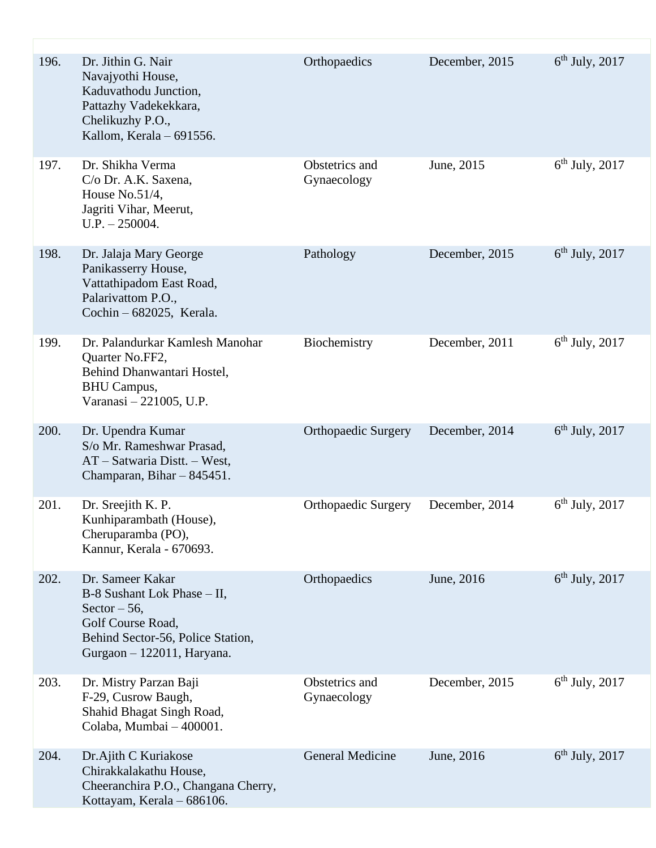| 196. | Dr. Jithin G. Nair<br>Navajyothi House,<br>Kaduvathodu Junction,<br>Pattazhy Vadekekkara,<br>Chelikuzhy P.O.,<br>Kallom, Kerala - 691556.                 | Orthopaedics                  | December, 2015 | $6th$ July, 2017 |
|------|-----------------------------------------------------------------------------------------------------------------------------------------------------------|-------------------------------|----------------|------------------|
| 197. | Dr. Shikha Verma<br>C/o Dr. A.K. Saxena,<br>House $No.51/4$ ,<br>Jagriti Vihar, Meerut,<br>$U.P. - 250004.$                                               | Obstetrics and<br>Gynaecology | June, 2015     | $6th$ July, 2017 |
| 198. | Dr. Jalaja Mary George<br>Panikasserry House,<br>Vattathipadom East Road,<br>Palarivattom P.O.,<br>Cochin - 682025, Kerala.                               | Pathology                     | December, 2015 | $6th$ July, 2017 |
| 199. | Dr. Palandurkar Kamlesh Manohar<br>Quarter No.FF2,<br>Behind Dhanwantari Hostel,<br><b>BHU Campus,</b><br>Varanasi - 221005, U.P.                         | Biochemistry                  | December, 2011 | $6th$ July, 2017 |
| 200. | Dr. Upendra Kumar<br>S/o Mr. Rameshwar Prasad,<br>AT - Satwaria Distt. - West,<br>Champaran, Bihar - 845451.                                              | <b>Orthopaedic Surgery</b>    | December, 2014 | $6th$ July, 2017 |
| 201. | Dr. Sreejith K. P.<br>Kunhiparambath (House),<br>Cheruparamba (PO),<br>Kannur, Kerala - 670693.                                                           | <b>Orthopaedic Surgery</b>    | December, 2014 | $6th$ July, 2017 |
| 202. | Dr. Sameer Kakar<br>B-8 Sushant Lok Phase - II,<br>Sector $-56$ ,<br>Golf Course Road,<br>Behind Sector-56, Police Station,<br>Gurgaon - 122011, Haryana. | Orthopaedics                  | June, 2016     | $6th$ July, 2017 |
| 203. | Dr. Mistry Parzan Baji<br>F-29, Cusrow Baugh,<br>Shahid Bhagat Singh Road,<br>Colaba, Mumbai - 400001.                                                    | Obstetrics and<br>Gynaecology | December, 2015 | $6th$ July, 2017 |
| 204. | Dr.Ajith C Kuriakose<br>Chirakkalakathu House,<br>Cheeranchira P.O., Changana Cherry,<br>Kottayam, Kerala - 686106.                                       | <b>General Medicine</b>       | June, 2016     | $6th$ July, 2017 |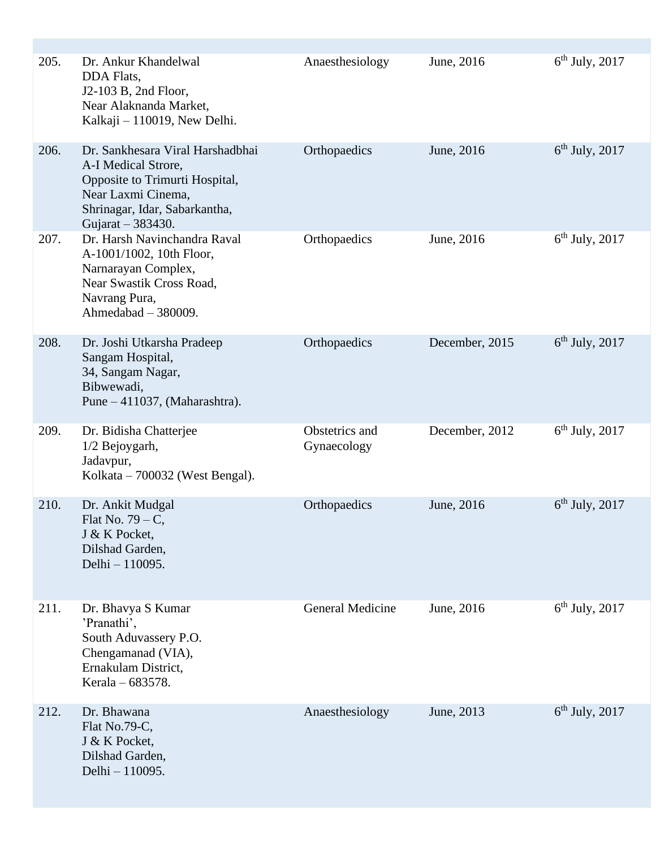| 205. | Dr. Ankur Khandelwal<br>DDA Flats,<br>J2-103 B, 2nd Floor,<br>Near Alaknanda Market,<br>Kalkaji - 110019, New Delhi.                                                  | Anaesthesiology               | June, 2016     | $6th$ July, 2017 |
|------|-----------------------------------------------------------------------------------------------------------------------------------------------------------------------|-------------------------------|----------------|------------------|
| 206. | Dr. Sankhesara Viral Harshadbhai<br>A-I Medical Strore,<br>Opposite to Trimurti Hospital,<br>Near Laxmi Cinema,<br>Shrinagar, Idar, Sabarkantha,<br>Gujarat - 383430. | Orthopaedics                  | June, 2016     | $6th$ July, 2017 |
| 207. | Dr. Harsh Navinchandra Raval<br>A-1001/1002, 10th Floor,<br>Narnarayan Complex,<br>Near Swastik Cross Road,<br>Navrang Pura,<br>Ahmedabad - 380009.                   | Orthopaedics                  | June, 2016     | $6th$ July, 2017 |
| 208. | Dr. Joshi Utkarsha Pradeep<br>Sangam Hospital,<br>34, Sangam Nagar,<br>Bibwewadi,<br>Pune $-411037$ , (Maharashtra).                                                  | Orthopaedics                  | December, 2015 | $6th$ July, 2017 |
| 209. | Dr. Bidisha Chatterjee<br>1/2 Bejoygarh,<br>Jadavpur,<br>Kolkata – 700032 (West Bengal).                                                                              | Obstetrics and<br>Gynaecology | December, 2012 | $6th$ July, 2017 |
| 210. | Dr. Ankit Mudgal<br>Flat No. $79 - C$ ,<br>J & K Pocket,<br>Dilshad Garden,<br>Delhi - 110095.                                                                        | Orthopaedics                  | June, 2016     | $6th$ July, 2017 |
| 211. | Dr. Bhavya S Kumar<br>'Pranathi',<br>South Aduvassery P.O.<br>Chengamanad (VIA),<br>Ernakulam District,<br>Kerala – 683578.                                           | <b>General Medicine</b>       | June, 2016     | $6th$ July, 2017 |
| 212. | Dr. Bhawana<br>Flat No.79-C,<br>J & K Pocket,<br>Dilshad Garden,<br>Delhi - 110095.                                                                                   | Anaesthesiology               | June, 2013     | $6th$ July, 2017 |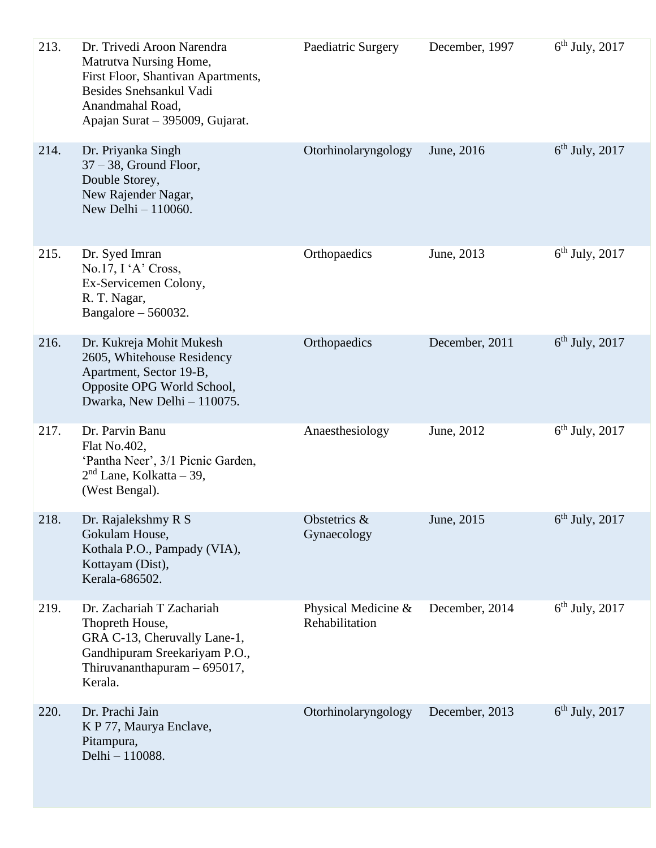| 213. | Dr. Trivedi Aroon Narendra<br>Matrutva Nursing Home,<br>First Floor, Shantivan Apartments,<br>Besides Snehsankul Vadi<br>Anandmahal Road,<br>Apajan Surat - 395009, Gujarat. | Paediatric Surgery                    | December, 1997 | $6th$ July, 2017 |
|------|------------------------------------------------------------------------------------------------------------------------------------------------------------------------------|---------------------------------------|----------------|------------------|
| 214. | Dr. Priyanka Singh<br>$37 - 38$ , Ground Floor,<br>Double Storey,<br>New Rajender Nagar,<br>New Delhi - 110060.                                                              | Otorhinolaryngology                   | June, 2016     | $6th$ July, 2017 |
| 215. | Dr. Syed Imran<br>No.17, I'A' Cross,<br>Ex-Servicemen Colony,<br>R. T. Nagar,<br>Bangalore $-560032$ .                                                                       | Orthopaedics                          | June, 2013     | $6th$ July, 2017 |
| 216. | Dr. Kukreja Mohit Mukesh<br>2605, Whitehouse Residency<br>Apartment, Sector 19-B,<br>Opposite OPG World School,<br>Dwarka, New Delhi - 110075.                               | Orthopaedics                          | December, 2011 | $6th$ July, 2017 |
| 217. | Dr. Parvin Banu<br>Flat No.402,<br>'Pantha Neer', 3/1 Picnic Garden,<br>$2nd$ Lane, Kolkatta – 39,<br>(West Bengal).                                                         | Anaesthesiology                       | June, 2012     | $6th$ July, 2017 |
| 218. | Dr. Rajalekshmy R S<br>Gokulam House,<br>Kothala P.O., Pampady (VIA),<br>Kottayam (Dist),<br>Kerala-686502.                                                                  | Obstetrics &<br>Gynaecology           | June, 2015     | $6th$ July, 2017 |
| 219. | Dr. Zachariah T Zachariah<br>Thopreth House,<br>GRA C-13, Cheruvally Lane-1,<br>Gandhipuram Sreekariyam P.O.,<br>Thiruvananthapuram $-695017$ ,<br>Kerala.                   | Physical Medicine &<br>Rehabilitation | December, 2014 | $6th$ July, 2017 |
| 220. | Dr. Prachi Jain<br>K P 77, Maurya Enclave,<br>Pitampura,<br>Delhi - 110088.                                                                                                  | Otorhinolaryngology                   | December, 2013 | $6th$ July, 2017 |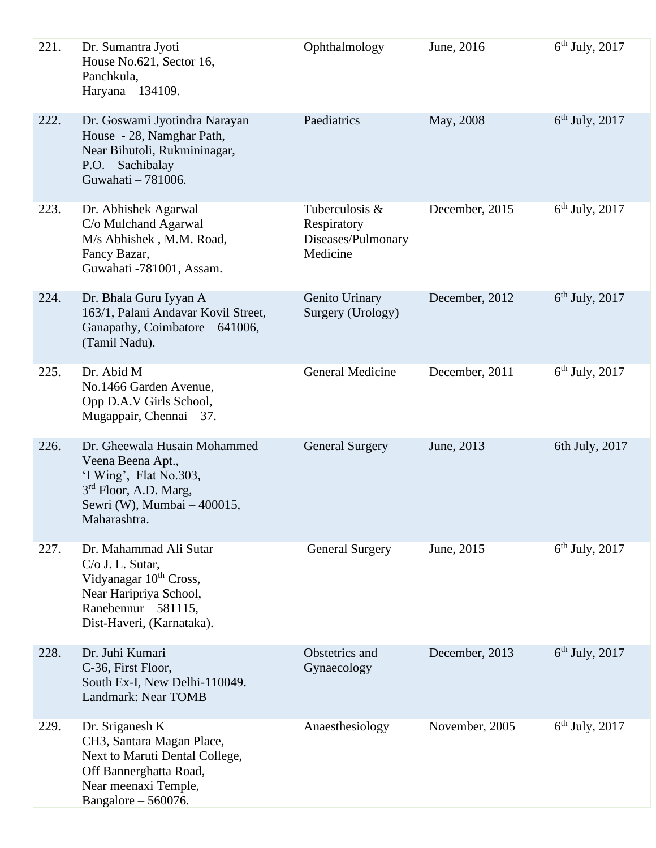| 221. | Dr. Sumantra Jyoti<br>House No.621, Sector 16,<br>Panchkula,<br>Haryana - 134109.                                                                                 | Ophthalmology                                                   | June, 2016     | $6th$ July, 2017 |
|------|-------------------------------------------------------------------------------------------------------------------------------------------------------------------|-----------------------------------------------------------------|----------------|------------------|
| 222. | Dr. Goswami Jyotindra Narayan<br>House - 28, Namghar Path,<br>Near Bihutoli, Rukmininagar,<br>P.O. - Sachibalay<br>Guwahati - 781006.                             | Paediatrics                                                     | May, 2008      | $6th$ July, 2017 |
| 223. | Dr. Abhishek Agarwal<br>C/o Mulchand Agarwal<br>M/s Abhishek, M.M. Road,<br>Fancy Bazar,<br>Guwahati -781001, Assam.                                              | Tuberculosis &<br>Respiratory<br>Diseases/Pulmonary<br>Medicine | December, 2015 | $6th$ July, 2017 |
| 224. | Dr. Bhala Guru Iyyan A<br>163/1, Palani Andavar Kovil Street,<br>Ganapathy, Coimbatore - 641006,<br>(Tamil Nadu).                                                 | Genito Urinary<br>Surgery (Urology)                             | December, 2012 | $6th$ July, 2017 |
| 225. | Dr. Abid M<br>No.1466 Garden Avenue,<br>Opp D.A.V Girls School,<br>Mugappair, Chennai $-37$ .                                                                     | <b>General Medicine</b>                                         | December, 2011 | $6th$ July, 2017 |
| 226. | Dr. Gheewala Husain Mohammed<br>Veena Beena Apt.,<br>'I Wing', Flat No.303,<br>3 <sup>rd</sup> Floor, A.D. Marg,<br>Sewri (W), Mumbai - 400015,<br>Maharashtra.   | <b>General Surgery</b>                                          | June, 2013     | 6th July, 2017   |
| 227. | Dr. Mahammad Ali Sutar<br>C/o J. L. Sutar,<br>Vidyanagar 10 <sup>th</sup> Cross,<br>Near Haripriya School,<br>Ranebennur $-581115$ ,<br>Dist-Haveri, (Karnataka). | <b>General Surgery</b>                                          | June, 2015     | $6th$ July, 2017 |
| 228. | Dr. Juhi Kumari<br>C-36, First Floor,<br>South Ex-I, New Delhi-110049.<br>Landmark: Near TOMB                                                                     | Obstetrics and<br>Gynaecology                                   | December, 2013 | $6th$ July, 2017 |
| 229. | Dr. Sriganesh K<br>CH3, Santara Magan Place,<br>Next to Maruti Dental College,<br>Off Bannerghatta Road,<br>Near meenaxi Temple,<br>Bangalore $-560076$ .         | Anaesthesiology                                                 | November, 2005 | $6th$ July, 2017 |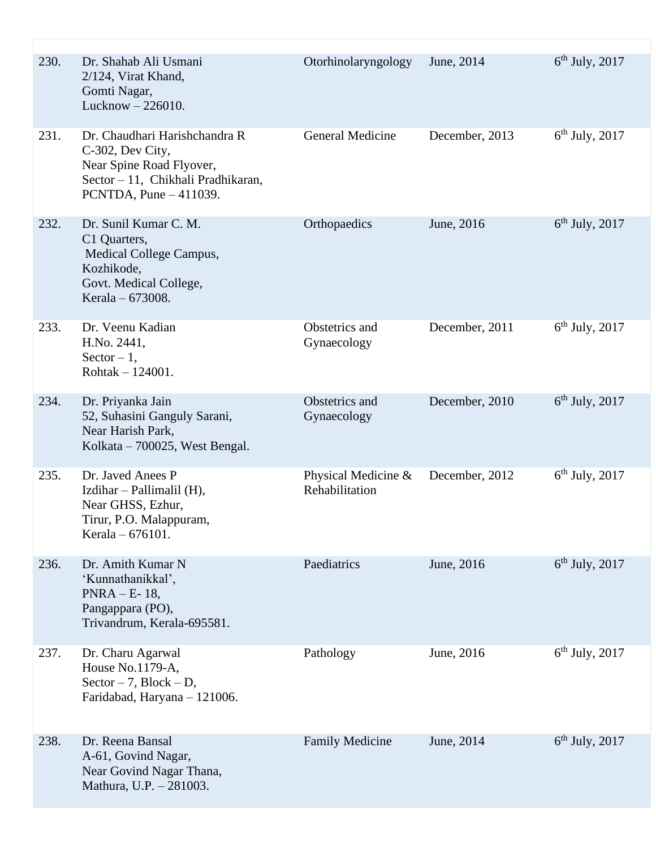| 230. | Dr. Shahab Ali Usmani<br>$2/124$ , Virat Khand,<br>Gomti Nagar,<br>Lucknow $-226010$ .                                                          | Otorhinolaryngology                   | June, 2014     | $6th$ July, 2017 |
|------|-------------------------------------------------------------------------------------------------------------------------------------------------|---------------------------------------|----------------|------------------|
| 231. | Dr. Chaudhari Harishchandra R<br>C-302, Dev City,<br>Near Spine Road Flyover,<br>Sector - 11, Chikhali Pradhikaran,<br>PCNTDA, Pune $-411039$ . | General Medicine                      | December, 2013 | $6th$ July, 2017 |
| 232. | Dr. Sunil Kumar C. M.<br>C1 Quarters,<br>Medical College Campus,<br>Kozhikode,<br>Govt. Medical College,<br>Kerala – 673008.                    | Orthopaedics                          | June, 2016     | $6th$ July, 2017 |
| 233. | Dr. Veenu Kadian<br>H.No. 2441,<br>$Sector - 1$ ,<br>Rohtak $-124001$ .                                                                         | Obstetrics and<br>Gynaecology         | December, 2011 | $6th$ July, 2017 |
| 234. | Dr. Priyanka Jain<br>52, Suhasini Ganguly Sarani,<br>Near Harish Park,<br>Kolkata – 700025, West Bengal.                                        | Obstetrics and<br>Gynaecology         | December, 2010 | $6th$ July, 2017 |
| 235. | Dr. Javed Anees P<br>Izdihar - Pallimalil (H),<br>Near GHSS, Ezhur,<br>Tirur, P.O. Malappuram,<br>Kerala - 676101.                              | Physical Medicine &<br>Rehabilitation | December, 2012 | $6th$ July, 2017 |
| 236. | Dr. Amith Kumar N<br>'Kunnathanikkal',<br>$PNRA – E-18,$<br>Pangappara (PO),<br>Trivandrum, Kerala-695581.                                      | Paediatrics                           | June, 2016     | $6th$ July, 2017 |
| 237. | Dr. Charu Agarwal<br>House No.1179-A,<br>Sector $-7$ , Block $- D$ ,<br>Faridabad, Haryana - 121006.                                            | Pathology                             | June, 2016     | $6th$ July, 2017 |
| 238. | Dr. Reena Bansal<br>A-61, Govind Nagar,<br>Near Govind Nagar Thana,<br>Mathura, U.P. - 281003.                                                  | <b>Family Medicine</b>                | June, 2014     | $6th$ July, 2017 |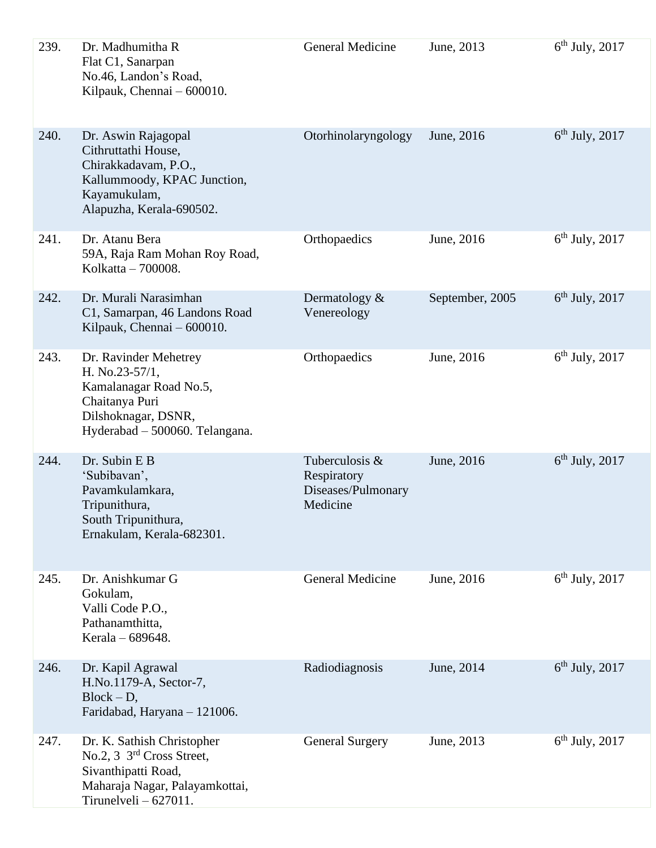| 239. | Dr. Madhumitha R<br>Flat C1, Sanarpan<br>No.46, Landon's Road,<br>Kilpauk, Chennai – 600010.                                                  | General Medicine                                                | June, 2013      | $6th$ July, 2017 |
|------|-----------------------------------------------------------------------------------------------------------------------------------------------|-----------------------------------------------------------------|-----------------|------------------|
| 240. | Dr. Aswin Rajagopal<br>Cithruttathi House,<br>Chirakkadavam, P.O.,<br>Kallummoody, KPAC Junction,<br>Kayamukulam,<br>Alapuzha, Kerala-690502. | Otorhinolaryngology                                             | June, 2016      | $6th$ July, 2017 |
| 241. | Dr. Atanu Bera<br>59A, Raja Ram Mohan Roy Road,<br>Kolkatta – 700008.                                                                         | Orthopaedics                                                    | June, 2016      | $6th$ July, 2017 |
| 242. | Dr. Murali Narasimhan<br>C1, Samarpan, 46 Landons Road<br>Kilpauk, Chennai – 600010.                                                          | Dermatology $\&$<br>Venereology                                 | September, 2005 | $6th$ July, 2017 |
| 243. | Dr. Ravinder Mehetrey<br>H. No.23-57/1,<br>Kamalanagar Road No.5,<br>Chaitanya Puri<br>Dilshoknagar, DSNR,<br>Hyderabad - 500060. Telangana.  | Orthopaedics                                                    | June, 2016      | $6th$ July, 2017 |
| 244. | Dr. Subin E B<br>'Subibavan',<br>Pavamkulamkara,<br>Tripunithura,<br>South Tripunithura,<br>Ernakulam, Kerala-682301.                         | Tuberculosis &<br>Respiratory<br>Diseases/Pulmonary<br>Medicine | June, 2016      | $6th$ July, 2017 |
| 245. | Dr. Anishkumar G<br>Gokulam,<br>Valli Code P.O.,<br>Pathanamthitta,<br>Kerala - 689648.                                                       | <b>General Medicine</b>                                         | June, 2016      | $6th$ July, 2017 |
| 246. | Dr. Kapil Agrawal<br>H.No.1179-A, Sector-7,<br>$Block - D,$<br>Faridabad, Haryana - 121006.                                                   | Radiodiagnosis                                                  | June, 2014      | $6th$ July, 2017 |
| 247. | Dr. K. Sathish Christopher<br>No.2, 3 3rd Cross Street,<br>Sivanthipatti Road,<br>Maharaja Nagar, Palayamkottai,<br>Tirunelveli $-627011$ .   | <b>General Surgery</b>                                          | June, 2013      | $6th$ July, 2017 |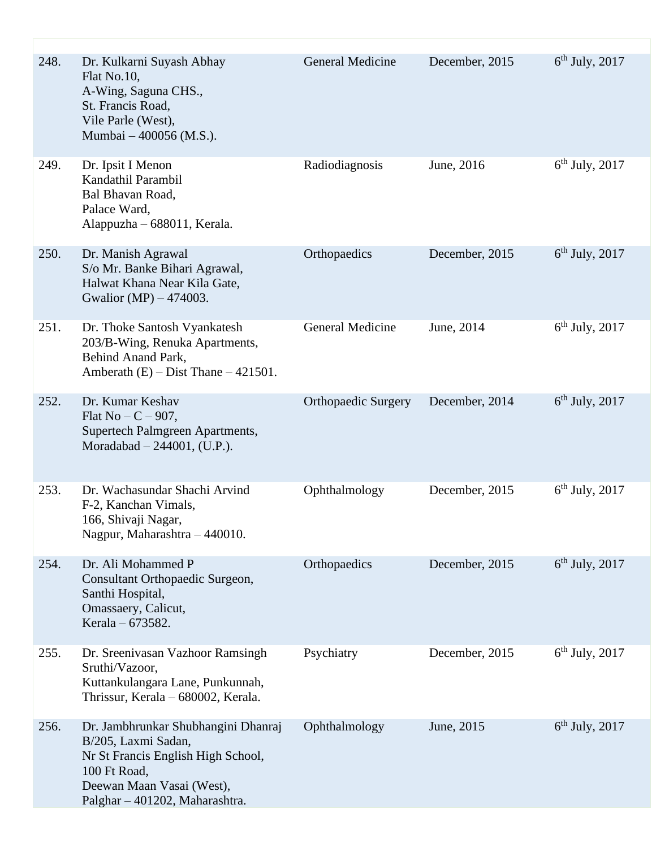| 248. | Dr. Kulkarni Suyash Abhay<br>Flat No.10,<br>A-Wing, Saguna CHS.,<br>St. Francis Road,<br>Vile Parle (West),<br>Mumbai - 400056 (M.S.).                                          | <b>General Medicine</b>    | December, 2015 | $6th$ July, 2017 |
|------|---------------------------------------------------------------------------------------------------------------------------------------------------------------------------------|----------------------------|----------------|------------------|
| 249. | Dr. Ipsit I Menon<br>Kandathil Parambil<br>Bal Bhavan Road,<br>Palace Ward,<br>Alappuzha – 688011, Kerala.                                                                      | Radiodiagnosis             | June, 2016     | $6th$ July, 2017 |
| 250. | Dr. Manish Agrawal<br>S/o Mr. Banke Bihari Agrawal,<br>Halwat Khana Near Kila Gate,<br>Gwalior (MP) $-474003$ .                                                                 | Orthopaedics               | December, 2015 | $6th$ July, 2017 |
| 251. | Dr. Thoke Santosh Vyankatesh<br>203/B-Wing, Renuka Apartments,<br>Behind Anand Park,<br>Amberath $(E)$ – Dist Thane – 421501.                                                   | <b>General Medicine</b>    | June, 2014     | $6th$ July, 2017 |
| 252. | Dr. Kumar Keshav<br>Flat No $-C - 907$ ,<br>Supertech Palmgreen Apartments,<br>Moradabad $-244001$ , (U.P.).                                                                    | <b>Orthopaedic Surgery</b> | December, 2014 | $6th$ July, 2017 |
| 253. | Dr. Wachasundar Shachi Arvind<br>F-2, Kanchan Vimals,<br>166, Shivaji Nagar,<br>Nagpur, Maharashtra - 440010.                                                                   | Ophthalmology              | December, 2015 | $6th$ July, 2017 |
| 254. | Dr. Ali Mohammed P<br>Consultant Orthopaedic Surgeon,<br>Santhi Hospital,<br>Omassaery, Calicut,<br>Kerala - 673582.                                                            | Orthopaedics               | December, 2015 | $6th$ July, 2017 |
| 255. | Dr. Sreenivasan Vazhoor Ramsingh<br>Sruthi/Vazoor,<br>Kuttankulangara Lane, Punkunnah,<br>Thrissur, Kerala - 680002, Kerala.                                                    | Psychiatry                 | December, 2015 | $6th$ July, 2017 |
| 256. | Dr. Jambhrunkar Shubhangini Dhanraj<br>B/205, Laxmi Sadan,<br>Nr St Francis English High School,<br>100 Ft Road,<br>Deewan Maan Vasai (West),<br>Palghar - 401202, Maharashtra. | Ophthalmology              | June, 2015     | $6th$ July, 2017 |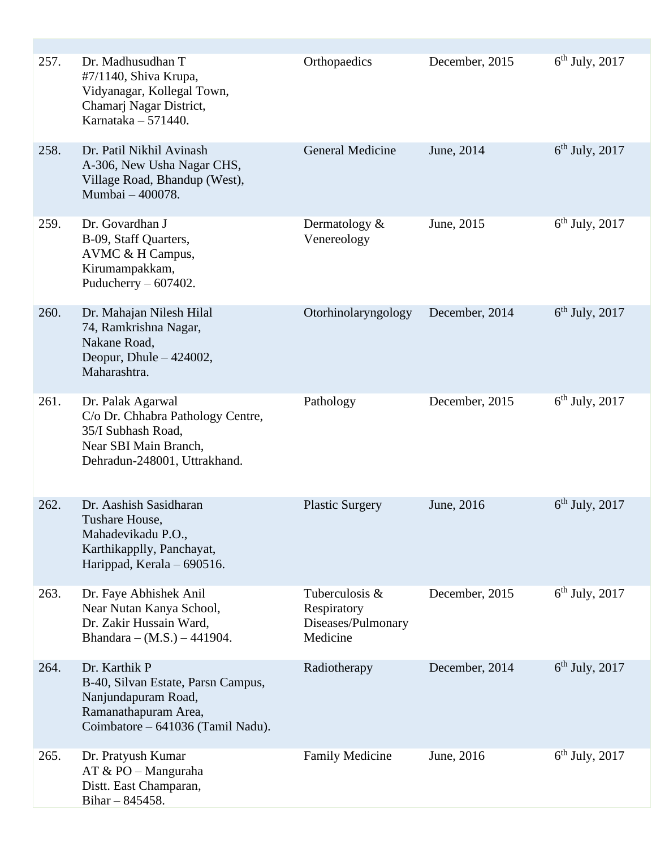| 257. | Dr. Madhusudhan T<br>#7/1140, Shiva Krupa,<br>Vidyanagar, Kollegal Town,<br>Chamarj Nagar District,<br>Karnataka $-571440$ .            | Orthopaedics                                                    | December, 2015 | $6th$ July, 2017 |
|------|-----------------------------------------------------------------------------------------------------------------------------------------|-----------------------------------------------------------------|----------------|------------------|
| 258. | Dr. Patil Nikhil Avinash<br>A-306, New Usha Nagar CHS,<br>Village Road, Bhandup (West),<br>Mumbai - 400078.                             | <b>General Medicine</b>                                         | June, 2014     | $6th$ July, 2017 |
| 259. | Dr. Govardhan J<br>B-09, Staff Quarters,<br>AVMC & H Campus,<br>Kirumampakkam,<br>Puducherry $-607402$ .                                | Dermatology $&$<br>Venereology                                  | June, 2015     | $6th$ July, 2017 |
| 260. | Dr. Mahajan Nilesh Hilal<br>74, Ramkrishna Nagar,<br>Nakane Road,<br>Deopur, Dhule $-424002$ ,<br>Maharashtra.                          | Otorhinolaryngology                                             | December, 2014 | $6th$ July, 2017 |
| 261. | Dr. Palak Agarwal<br>C/o Dr. Chhabra Pathology Centre,<br>35/I Subhash Road,<br>Near SBI Main Branch,<br>Dehradun-248001, Uttrakhand.   | Pathology                                                       | December, 2015 | $6th$ July, 2017 |
| 262. | Dr. Aashish Sasidharan<br>Tushare House,<br>Mahadevikadu P.O.,<br>Karthikapplly, Panchayat,<br>Harippad, Kerala – 690516.               | <b>Plastic Surgery</b>                                          | June, 2016     | $6th$ July, 2017 |
| 263. | Dr. Faye Abhishek Anil<br>Near Nutan Kanya School,<br>Dr. Zakir Hussain Ward,<br>Bhandara – $(M.S.) - 441904$ .                         | Tuberculosis &<br>Respiratory<br>Diseases/Pulmonary<br>Medicine | December, 2015 | $6th$ July, 2017 |
| 264. | Dr. Karthik P<br>B-40, Silvan Estate, Parsn Campus,<br>Nanjundapuram Road,<br>Ramanathapuram Area,<br>Coimbatore - 641036 (Tamil Nadu). | Radiotherapy                                                    | December, 2014 | $6th$ July, 2017 |
| 265. | Dr. Pratyush Kumar<br>$AT & PO - Manguraha$<br>Distt. East Champaran,<br>Bihar $- 845458$ .                                             | <b>Family Medicine</b>                                          | June, 2016     | $6th$ July, 2017 |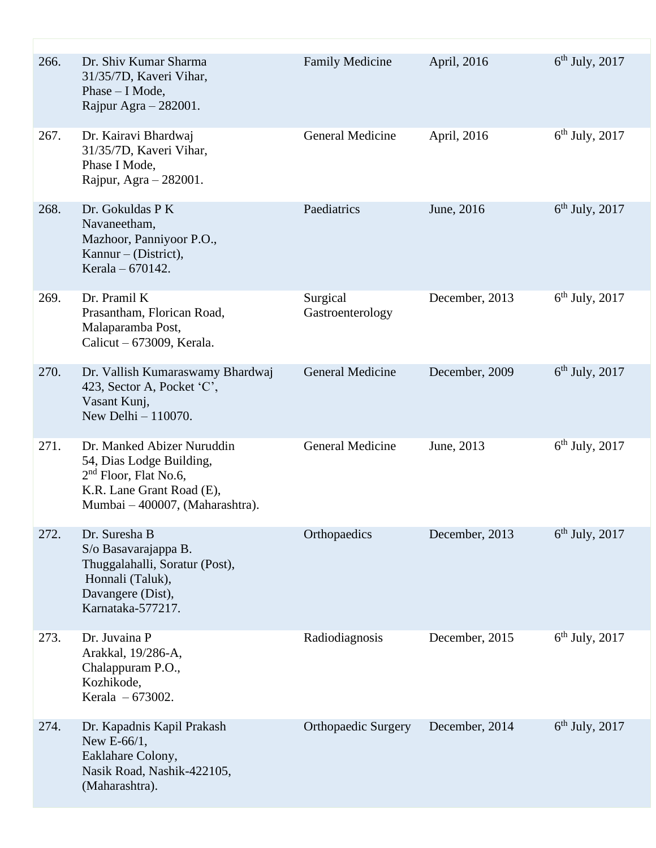| 266. | Dr. Shiv Kumar Sharma<br>31/35/7D, Kaveri Vihar,<br>Phase - I Mode,<br>Rajpur Agra $-282001$ .                                                    | <b>Family Medicine</b>       | April, 2016    | $6th$ July, 2017 |
|------|---------------------------------------------------------------------------------------------------------------------------------------------------|------------------------------|----------------|------------------|
| 267. | Dr. Kairavi Bhardwaj<br>31/35/7D, Kaveri Vihar,<br>Phase I Mode,<br>Rajpur, Agra - 282001.                                                        | <b>General Medicine</b>      | April, 2016    | $6th$ July, 2017 |
| 268. | Dr. Gokuldas P K<br>Navaneetham,<br>Mazhoor, Panniyoor P.O.,<br>Kannur – (District),<br>Kerala – 670142.                                          | Paediatrics                  | June, 2016     | $6th$ July, 2017 |
| 269. | Dr. Pramil K<br>Prasantham, Florican Road,<br>Malaparamba Post,<br>Calicut $-673009$ , Kerala.                                                    | Surgical<br>Gastroenterology | December, 2013 | $6th$ July, 2017 |
| 270. | Dr. Vallish Kumaraswamy Bhardwaj<br>423, Sector A, Pocket 'C',<br>Vasant Kunj,<br>New Delhi $-110070$ .                                           | <b>General Medicine</b>      | December, 2009 | $6th$ July, 2017 |
| 271. | Dr. Manked Abizer Nuruddin<br>54, Dias Lodge Building,<br>$2nd$ Floor, Flat No.6,<br>K.R. Lane Grant Road (E),<br>Mumbai - 400007, (Maharashtra). | <b>General Medicine</b>      | June, 2013     | $6th$ July, 2017 |
| 272. | Dr. Suresha B<br>S/o Basavarajappa B.<br>Thuggalahalli, Soratur (Post),<br>Honnali (Taluk),<br>Davangere (Dist),<br>Karnataka-577217.             | Orthopaedics                 | December, 2013 | $6th$ July, 2017 |
| 273. | Dr. Juvaina P<br>Arakkal, 19/286-A,<br>Chalappuram P.O.,<br>Kozhikode,<br>Kerala - 673002.                                                        | Radiodiagnosis               | December, 2015 | $6th$ July, 2017 |
| 274. | Dr. Kapadnis Kapil Prakash<br>New E-66/1,<br>Eaklahare Colony,<br>Nasik Road, Nashik-422105,<br>(Maharashtra).                                    | <b>Orthopaedic Surgery</b>   | December, 2014 | $6th$ July, 2017 |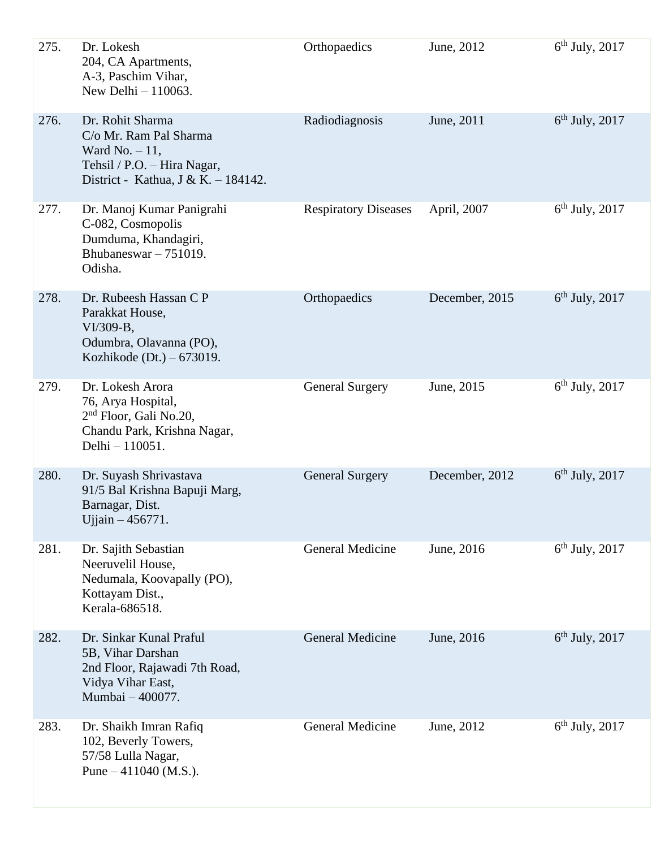| 275. | Dr. Lokesh<br>204, CA Apartments,<br>A-3, Paschim Vihar,<br>New Delhi $-110063$ .                                                    | Orthopaedics                | June, 2012     | $6th$ July, 2017 |
|------|--------------------------------------------------------------------------------------------------------------------------------------|-----------------------------|----------------|------------------|
| 276. | Dr. Rohit Sharma<br>C/o Mr. Ram Pal Sharma<br>Ward No. $-11$ ,<br>Tehsil / P.O. - Hira Nagar,<br>District - Kathua, J & K. - 184142. | Radiodiagnosis              | June, 2011     | $6th$ July, 2017 |
| 277. | Dr. Manoj Kumar Panigrahi<br>C-082, Cosmopolis<br>Dumduma, Khandagiri,<br>Bhubaneswar $-751019$ .<br>Odisha.                         | <b>Respiratory Diseases</b> | April, 2007    | $6th$ July, 2017 |
| 278. | Dr. Rubeesh Hassan C P<br>Parakkat House,<br>VI/309-B,<br>Odumbra, Olavanna (PO),<br>Kozhikode (Dt.) $-673019$ .                     | Orthopaedics                | December, 2015 | $6th$ July, 2017 |
| 279. | Dr. Lokesh Arora<br>76, Arya Hospital,<br>2 <sup>nd</sup> Floor, Gali No.20,<br>Chandu Park, Krishna Nagar,<br>Delhi - 110051.       | <b>General Surgery</b>      | June, 2015     | $6th$ July, 2017 |
| 280. | Dr. Suyash Shrivastava<br>91/5 Bal Krishna Bapuji Marg,<br>Barnagar, Dist.<br>Ujjain – 456771.                                       | <b>General Surgery</b>      | December, 2012 | $6th$ July, 2017 |
| 281. | Dr. Sajith Sebastian<br>Neeruvelil House,<br>Nedumala, Koovapally (PO),<br>Kottayam Dist.,<br>Kerala-686518.                         | General Medicine            | June, 2016     | $6th$ July, 2017 |
| 282. | Dr. Sinkar Kunal Praful<br>5B, Vihar Darshan<br>2nd Floor, Rajawadi 7th Road,<br>Vidya Vihar East,<br>Mumbai - 400077.               | <b>General Medicine</b>     | June, 2016     | $6th$ July, 2017 |
| 283. | Dr. Shaikh Imran Rafiq<br>102, Beverly Towers,<br>57/58 Lulla Nagar,<br>Pune $-411040$ (M.S.).                                       | <b>General Medicine</b>     | June, 2012     | $6th$ July, 2017 |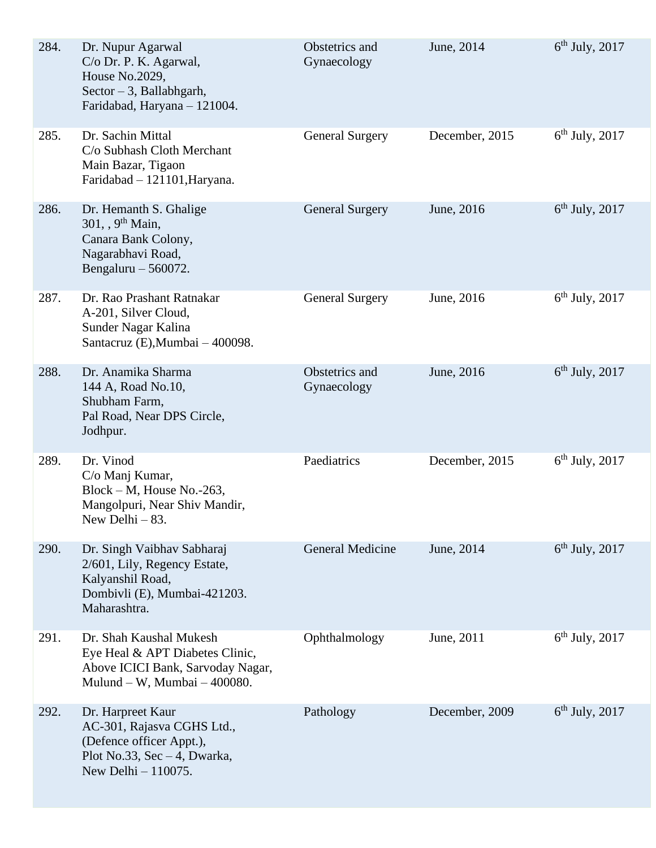| 284. | Dr. Nupur Agarwal<br>C/o Dr. P. K. Agarwal,<br>House No.2029,<br>Sector $-3$ , Ballabhgarh,<br>Faridabad, Haryana - 121004.            | Obstetrics and<br>Gynaecology | June, 2014     | $6th$ July, 2017 |
|------|----------------------------------------------------------------------------------------------------------------------------------------|-------------------------------|----------------|------------------|
| 285. | Dr. Sachin Mittal<br>C/o Subhash Cloth Merchant<br>Main Bazar, Tigaon<br>Faridabad - 121101, Haryana.                                  | <b>General Surgery</b>        | December, 2015 | $6th$ July, 2017 |
| 286. | Dr. Hemanth S. Ghalige<br>301, $9^{th}$ Main,<br>Canara Bank Colony,<br>Nagarabhavi Road,<br>Bengaluru $-560072$ .                     | <b>General Surgery</b>        | June, 2016     | $6th$ July, 2017 |
| 287. | Dr. Rao Prashant Ratnakar<br>A-201, Silver Cloud,<br>Sunder Nagar Kalina<br>Santacruz (E), Mumbai - 400098.                            | <b>General Surgery</b>        | June, 2016     | $6th$ July, 2017 |
| 288. | Dr. Anamika Sharma<br>144 A, Road No.10,<br>Shubham Farm,<br>Pal Road, Near DPS Circle,<br>Jodhpur.                                    | Obstetrics and<br>Gynaecology | June, 2016     | $6th$ July, 2017 |
| 289. | Dr. Vinod<br>C/o Manj Kumar,<br>Block - M, House No.-263,<br>Mangolpuri, Near Shiv Mandir,<br>New Delhi $-83$ .                        | Paediatrics                   | December, 2015 | $6th$ July, 2017 |
| 290. | Dr. Singh Vaibhav Sabharaj<br>2/601, Lily, Regency Estate,<br>Kalyanshil Road,<br>Dombivli (E), Mumbai-421203.<br>Maharashtra.         | <b>General Medicine</b>       | June, 2014     | $6th$ July, 2017 |
| 291. | Dr. Shah Kaushal Mukesh<br>Eye Heal & APT Diabetes Clinic,<br>Above ICICI Bank, Sarvoday Nagar,<br>Mulund - W, Mumbai - 400080.        | Ophthalmology                 | June, 2011     | $6th$ July, 2017 |
| 292. | Dr. Harpreet Kaur<br>AC-301, Rajasva CGHS Ltd.,<br>(Defence officer Appt.),<br>Plot No.33, Sec $-4$ , Dwarka,<br>New Delhi $-110075$ . | Pathology                     | December, 2009 | $6th$ July, 2017 |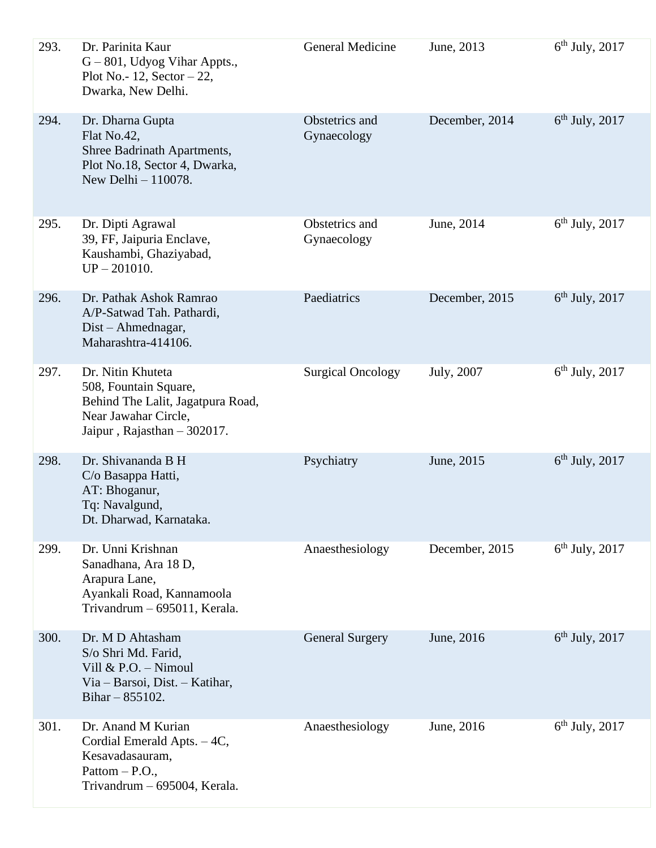| 293. | Dr. Parinita Kaur<br>$G - 801$ , Udyog Vihar Appts.,<br>Plot No.- 12, Sector $-22$ ,<br>Dwarka, New Delhi.                             | General Medicine              | June, 2013     | $6th$ July, 2017 |
|------|----------------------------------------------------------------------------------------------------------------------------------------|-------------------------------|----------------|------------------|
| 294. | Dr. Dharna Gupta<br>Flat No.42,<br>Shree Badrinath Apartments,<br>Plot No.18, Sector 4, Dwarka,<br>New Delhi - 110078.                 | Obstetrics and<br>Gynaecology | December, 2014 | $6th$ July, 2017 |
| 295. | Dr. Dipti Agrawal<br>39, FF, Jaipuria Enclave,<br>Kaushambi, Ghaziyabad,<br>$UP - 201010.$                                             | Obstetrics and<br>Gynaecology | June, 2014     | $6th$ July, 2017 |
| 296. | Dr. Pathak Ashok Ramrao<br>A/P-Satwad Tah. Pathardi,<br>Dist – Ahmednagar,<br>Maharashtra-414106.                                      | Paediatrics                   | December, 2015 | $6th$ July, 2017 |
| 297. | Dr. Nitin Khuteta<br>508, Fountain Square,<br>Behind The Lalit, Jagatpura Road,<br>Near Jawahar Circle,<br>Jaipur, Rajasthan - 302017. | <b>Surgical Oncology</b>      | July, 2007     | $6th$ July, 2017 |
| 298. | Dr. Shivananda B H<br>C/o Basappa Hatti,<br>AT: Bhoganur,<br>Tq: Navalgund,<br>Dt. Dharwad, Karnataka.                                 | Psychiatry                    | June, 2015     | $6th$ July, 2017 |
| 299. | Dr. Unni Krishnan<br>Sanadhana, Ara 18 D,<br>Arapura Lane,<br>Ayankali Road, Kannamoola<br>Trivandrum - 695011, Kerala.                | Anaesthesiology               | December, 2015 | $6th$ July, 2017 |
| 300. | Dr. M D Ahtasham<br>S/o Shri Md. Farid,<br>Vill $&$ P.O. - Nimoul<br>Via – Barsoi, Dist. – Katihar,<br>Bihar $-855102$ .               | <b>General Surgery</b>        | June, 2016     | $6th$ July, 2017 |
| 301. | Dr. Anand M Kurian<br>Cordial Emerald Apts. - 4C,<br>Kesavadasauram,<br>Pattom $-$ P.O.,<br>Trivandrum - 695004, Kerala.               | Anaesthesiology               | June, 2016     | $6th$ July, 2017 |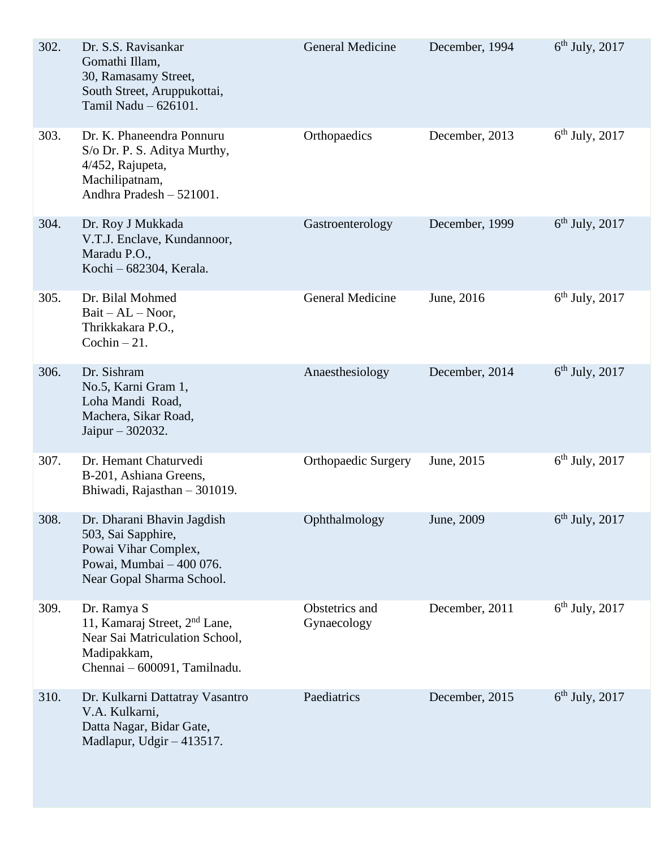| 302. | Dr. S.S. Ravisankar<br>Gomathi Illam,<br>30, Ramasamy Street,<br>South Street, Aruppukottai,<br>Tamil Nadu - 626101.                      | <b>General Medicine</b>       | December, 1994 | $6th$ July, 2017 |
|------|-------------------------------------------------------------------------------------------------------------------------------------------|-------------------------------|----------------|------------------|
| 303. | Dr. K. Phaneendra Ponnuru<br>S/o Dr. P. S. Aditya Murthy,<br>4/452, Rajupeta,<br>Machilipatnam,<br>Andhra Pradesh - 521001.               | Orthopaedics                  | December, 2013 | $6th$ July, 2017 |
| 304. | Dr. Roy J Mukkada<br>V.T.J. Enclave, Kundannoor,<br>Maradu P.O.,<br>Kochi - 682304, Kerala.                                               | Gastroenterology              | December, 1999 | $6th$ July, 2017 |
| 305. | Dr. Bilal Mohmed<br>$Bait - AL - Noor,$<br>Thrikkakara P.O.,<br>Cochin $-21$ .                                                            | <b>General Medicine</b>       | June, 2016     | $6th$ July, 2017 |
| 306. | Dr. Sishram<br>No.5, Karni Gram 1,<br>Loha Mandi Road,<br>Machera, Sikar Road,<br>Jaipur - 302032.                                        | Anaesthesiology               | December, 2014 | $6th$ July, 2017 |
| 307. | Dr. Hemant Chaturvedi<br>B-201, Ashiana Greens,<br>Bhiwadi, Rajasthan - 301019.                                                           | <b>Orthopaedic Surgery</b>    | June, 2015     | $6th$ July, 2017 |
| 308. | Dr. Dharani Bhavin Jagdish<br>503, Sai Sapphire,<br>Powai Vihar Complex,<br>Powai, Mumbai - 400 076.<br>Near Gopal Sharma School.         | Ophthalmology                 | June, 2009     | $6th$ July, 2017 |
| 309. | Dr. Ramya S<br>11, Kamaraj Street, 2 <sup>nd</sup> Lane,<br>Near Sai Matriculation School,<br>Madipakkam,<br>Chennai - 600091, Tamilnadu. | Obstetrics and<br>Gynaecology | December, 2011 | $6th$ July, 2017 |
| 310. | Dr. Kulkarni Dattatray Vasantro<br>V.A. Kulkarni,<br>Datta Nagar, Bidar Gate,<br>Madlapur, Udgir - 413517.                                | Paediatrics                   | December, 2015 | $6th$ July, 2017 |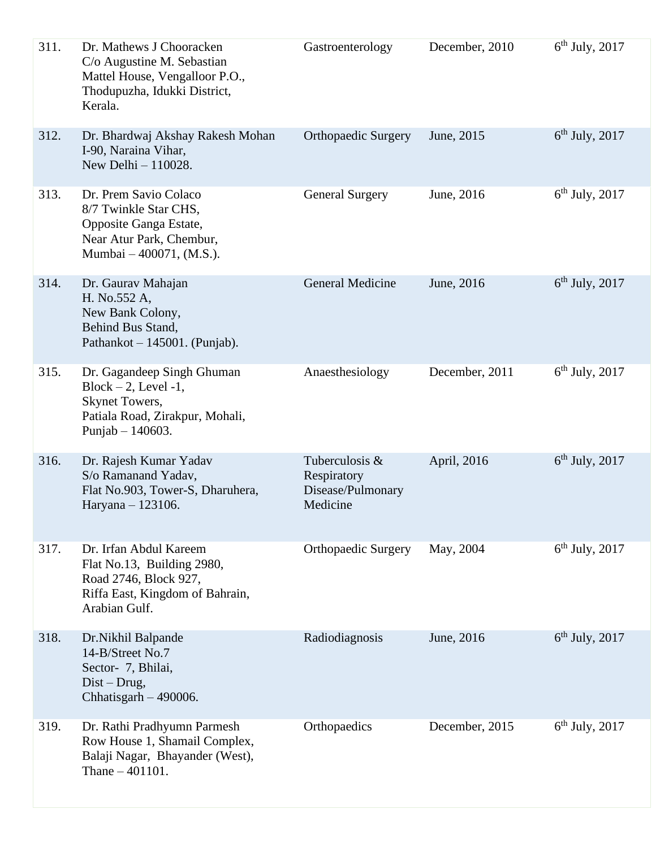| 311. | Dr. Mathews J Chooracken<br>C/o Augustine M. Sebastian<br>Mattel House, Vengalloor P.O.,<br>Thodupuzha, Idukki District,<br>Kerala. | Gastroenterology                                               | December, 2010 | $6th$ July, 2017 |
|------|-------------------------------------------------------------------------------------------------------------------------------------|----------------------------------------------------------------|----------------|------------------|
| 312. | Dr. Bhardwaj Akshay Rakesh Mohan<br>I-90, Naraina Vihar,<br>New Delhi $-110028$ .                                                   | <b>Orthopaedic Surgery</b>                                     | June, 2015     | $6th$ July, 2017 |
| 313. | Dr. Prem Savio Colaco<br>8/7 Twinkle Star CHS,<br>Opposite Ganga Estate,<br>Near Atur Park, Chembur,<br>Mumbai – 400071, (M.S.).    | <b>General Surgery</b>                                         | June, 2016     | $6th$ July, 2017 |
| 314. | Dr. Gaurav Mahajan<br>H. No.552 A,<br>New Bank Colony,<br>Behind Bus Stand,<br>Pathankot $-145001$ . (Punjab).                      | <b>General Medicine</b>                                        | June, 2016     | $6th$ July, 2017 |
| 315. | Dr. Gagandeep Singh Ghuman<br>$Block - 2$ , Level -1,<br>Skynet Towers,<br>Patiala Road, Zirakpur, Mohali,<br>Punjab $- 140603$ .   | Anaesthesiology                                                | December, 2011 | $6th$ July, 2017 |
| 316. | Dr. Rajesh Kumar Yadav<br>S/o Ramanand Yadav,<br>Flat No.903, Tower-S, Dharuhera,<br>Haryana - 123106.                              | Tuberculosis &<br>Respiratory<br>Disease/Pulmonary<br>Medicine | April, 2016    | $6th$ July, 2017 |
| 317. | Dr. Irfan Abdul Kareem<br>Flat No.13, Building 2980,<br>Road 2746, Block 927,<br>Riffa East, Kingdom of Bahrain,<br>Arabian Gulf.   | <b>Orthopaedic Surgery</b>                                     | May, 2004      | $6th$ July, 2017 |
| 318. | Dr.Nikhil Balpande<br>14-B/Street No.7<br>Sector- 7, Bhilai,<br>$Dist - Drug,$<br>Chhatisgarh $-490006$ .                           | Radiodiagnosis                                                 | June, 2016     | $6th$ July, 2017 |
| 319. | Dr. Rathi Pradhyumn Parmesh<br>Row House 1, Shamail Complex,<br>Balaji Nagar, Bhayander (West),<br>Thane $-401101$ .                | Orthopaedics                                                   | December, 2015 | $6th$ July, 2017 |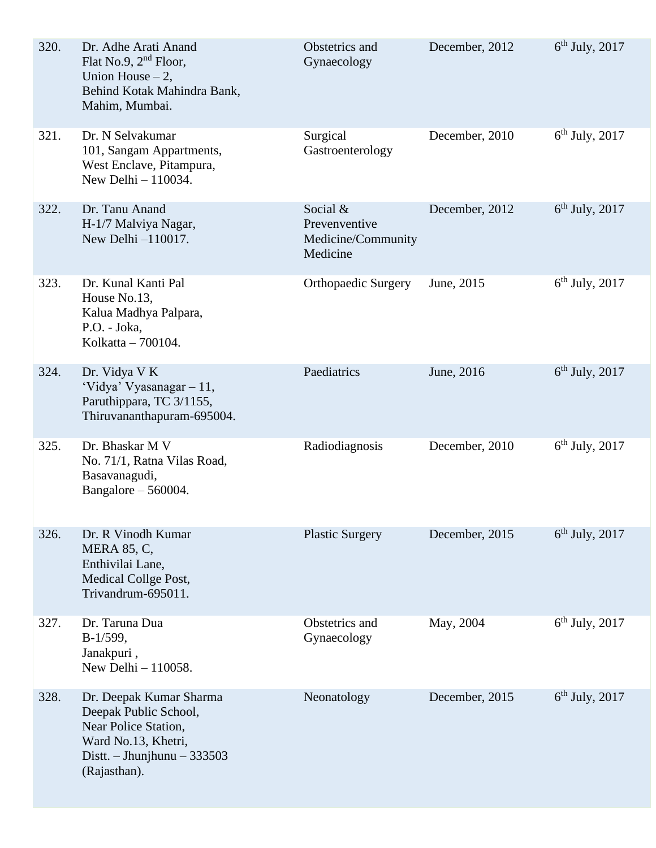| 320. | Dr. Adhe Arati Anand<br>Flat No.9, $2nd$ Floor,<br>Union House $-2$ ,<br>Behind Kotak Mahindra Bank,<br>Mahim, Mumbai.                          | Obstetrics and<br>Gynaecology                               | December, 2012 | $6th$ July, 2017 |
|------|-------------------------------------------------------------------------------------------------------------------------------------------------|-------------------------------------------------------------|----------------|------------------|
| 321. | Dr. N Selvakumar<br>101, Sangam Appartments,<br>West Enclave, Pitampura,<br>New Delhi $-110034$ .                                               | Surgical<br>Gastroenterology                                | December, 2010 | $6th$ July, 2017 |
| 322. | Dr. Tanu Anand<br>H-1/7 Malviya Nagar,<br>New Delhi -110017.                                                                                    | Social &<br>Prevenventive<br>Medicine/Community<br>Medicine | December, 2012 | $6th$ July, 2017 |
| 323. | Dr. Kunal Kanti Pal<br>House No.13,<br>Kalua Madhya Palpara,<br>P.O. - Joka,<br>Kolkatta - 700104.                                              | <b>Orthopaedic Surgery</b>                                  | June, 2015     | $6th$ July, 2017 |
| 324. | Dr. Vidya V K<br>'Vidya' Vyasanagar - 11,<br>Paruthippara, TC 3/1155,<br>Thiruvananthapuram-695004.                                             | Paediatrics                                                 | June, 2016     | $6th$ July, 2017 |
| 325. | Dr. Bhaskar M V<br>No. 71/1, Ratna Vilas Road,<br>Basavanagudi,<br>Bangalore $-560004$ .                                                        | Radiodiagnosis                                              | December, 2010 | $6th$ July, 2017 |
| 326. | Dr. R Vinodh Kumar<br><b>MERA 85, C,</b><br>Enthivilai Lane,<br>Medical Collge Post,<br>Trivandrum-695011.                                      | <b>Plastic Surgery</b>                                      | December, 2015 | $6th$ July, 2017 |
| 327. | Dr. Taruna Dua<br>$B-1/599,$<br>Janakpuri,<br>New Delhi - 110058.                                                                               | Obstetrics and<br>Gynaecology                               | May, 2004      | $6th$ July, 2017 |
| 328. | Dr. Deepak Kumar Sharma<br>Deepak Public School,<br>Near Police Station,<br>Ward No.13, Khetri,<br>Distt. - Jhunjhunu $-333503$<br>(Rajasthan). | Neonatology                                                 | December, 2015 | $6th$ July, 2017 |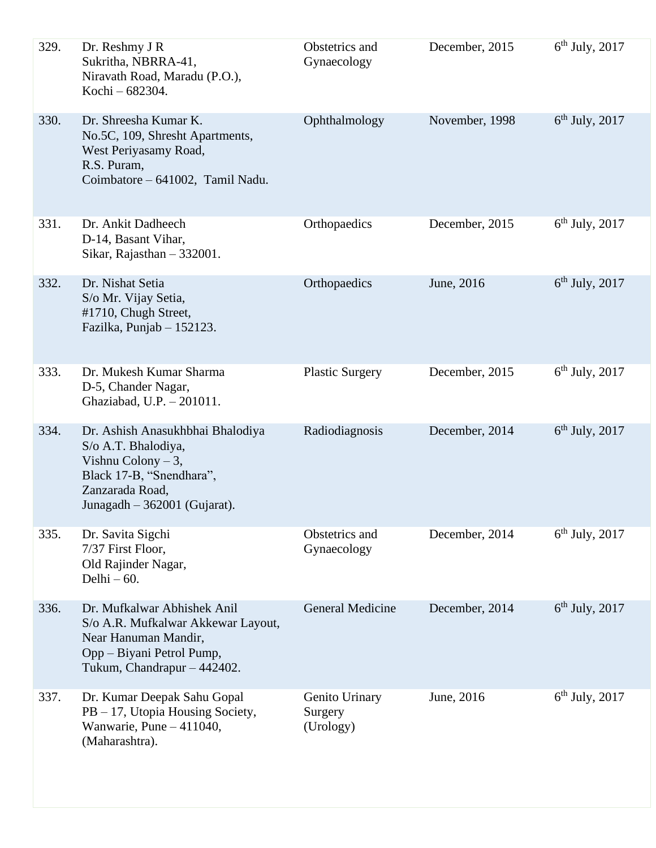| 329. | Dr. Reshmy J R<br>Sukritha, NBRRA-41,<br>Niravath Road, Maradu (P.O.),<br>Kochi - 682304.                                                                      | Obstetrics and<br>Gynaecology          | December, 2015 | $6th$ July, 2017 |
|------|----------------------------------------------------------------------------------------------------------------------------------------------------------------|----------------------------------------|----------------|------------------|
| 330. | Dr. Shreesha Kumar K.<br>No.5C, 109, Shresht Apartments,<br>West Periyasamy Road,<br>R.S. Puram,<br>Coimbatore - 641002, Tamil Nadu.                           | Ophthalmology                          | November, 1998 | $6th$ July, 2017 |
| 331. | Dr. Ankit Dadheech<br>D-14, Basant Vihar,<br>Sikar, Rajasthan $-332001$ .                                                                                      | Orthopaedics                           | December, 2015 | $6th$ July, 2017 |
| 332. | Dr. Nishat Setia<br>S/o Mr. Vijay Setia,<br>#1710, Chugh Street,<br>Fazilka, Punjab - 152123.                                                                  | Orthopaedics                           | June, 2016     | $6th$ July, 2017 |
| 333. | Dr. Mukesh Kumar Sharma<br>D-5, Chander Nagar,<br>Ghaziabad, U.P. - 201011.                                                                                    | <b>Plastic Surgery</b>                 | December, 2015 | $6th$ July, 2017 |
| 334. | Dr. Ashish Anasukhbhai Bhalodiya<br>S/o A.T. Bhalodiya,<br>Vishnu Colony $-3$ ,<br>Black 17-B, "Snendhara",<br>Zanzarada Road,<br>Junagadh - 362001 (Gujarat). | Radiodiagnosis                         | December, 2014 | $6th$ July, 2017 |
| 335. | Dr. Savita Sigchi<br>7/37 First Floor,<br>Old Rajinder Nagar,<br>Delhi $-60$ .                                                                                 | Obstetrics and<br>Gynaecology          | December, 2014 | $6th$ July, 2017 |
| 336. | Dr. Mufkalwar Abhishek Anil<br>S/o A.R. Mufkalwar Akkewar Layout,<br>Near Hanuman Mandir,<br>Opp – Biyani Petrol Pump,<br>Tukum, Chandrapur - 442402.          | <b>General Medicine</b>                | December, 2014 | $6th$ July, 2017 |
| 337. | Dr. Kumar Deepak Sahu Gopal<br>PB – 17, Utopia Housing Society,<br>Wanwarie, Pune $-411040$ ,<br>(Maharashtra).                                                | Genito Urinary<br>Surgery<br>(Urology) | June, 2016     | $6th$ July, 2017 |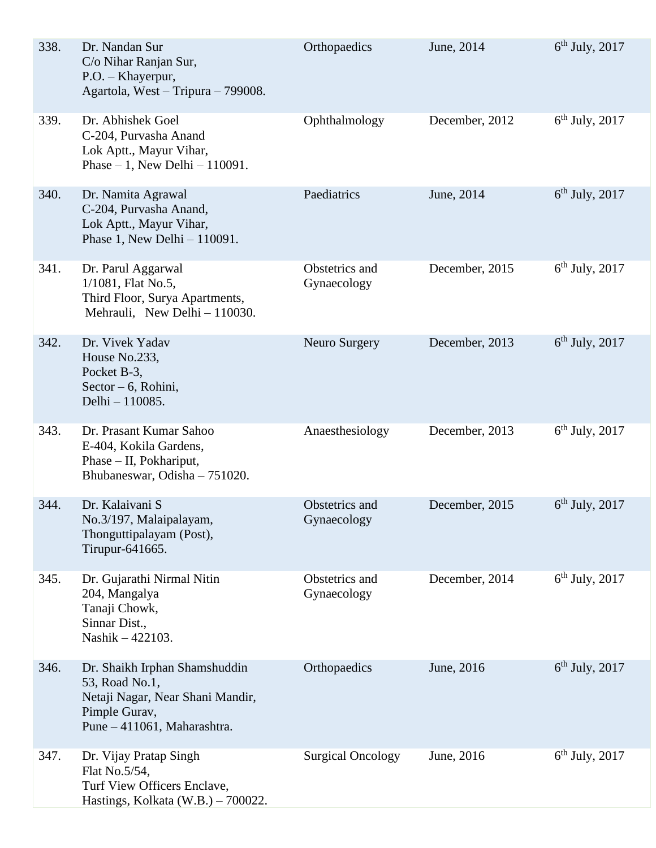| 338. | Dr. Nandan Sur<br>C/o Nihar Ranjan Sur,<br>P.O. - Khayerpur,<br>Agartola, West - Tripura - 799008.                                  | Orthopaedics                  | June, 2014     | $6th$ July, 2017 |
|------|-------------------------------------------------------------------------------------------------------------------------------------|-------------------------------|----------------|------------------|
| 339. | Dr. Abhishek Goel<br>C-204, Purvasha Anand<br>Lok Aptt., Mayur Vihar,<br>Phase $-1$ , New Delhi $-110091$ .                         | Ophthalmology                 | December, 2012 | $6th$ July, 2017 |
| 340. | Dr. Namita Agrawal<br>C-204, Purvasha Anand,<br>Lok Aptt., Mayur Vihar,<br>Phase 1, New Delhi $-110091$ .                           | Paediatrics                   | June, 2014     | $6th$ July, 2017 |
| 341. | Dr. Parul Aggarwal<br>1/1081, Flat No.5,<br>Third Floor, Surya Apartments,<br>Mehrauli, New Delhi - 110030.                         | Obstetrics and<br>Gynaecology | December, 2015 | $6th$ July, 2017 |
| 342. | Dr. Vivek Yadav<br>House No.233,<br>Pocket B-3,<br>Sector - 6, Rohini,<br>Delhi - 110085.                                           | Neuro Surgery                 | December, 2013 | $6th$ July, 2017 |
| 343. | Dr. Prasant Kumar Sahoo<br>E-404, Kokila Gardens,<br>Phase - II, Pokhariput,<br>Bhubaneswar, Odisha - 751020.                       | Anaesthesiology               | December, 2013 | $6th$ July, 2017 |
| 344. | Dr. Kalaivani S<br>No.3/197, Malaipalayam,<br>Thonguttipalayam (Post),<br>Tirupur-641665.                                           | Obstetrics and<br>Gynaecology | December, 2015 | $6th$ July, 2017 |
| 345. | Dr. Gujarathi Nirmal Nitin<br>204, Mangalya<br>Tanaji Chowk,<br>Sinnar Dist.,<br>Nashik - 422103.                                   | Obstetrics and<br>Gynaecology | December, 2014 | $6th$ July, 2017 |
| 346. | Dr. Shaikh Irphan Shamshuddin<br>53, Road No.1,<br>Netaji Nagar, Near Shani Mandir,<br>Pimple Gurav,<br>Pune - 411061, Maharashtra. | Orthopaedics                  | June, 2016     | $6th$ July, 2017 |
| 347. | Dr. Vijay Pratap Singh<br>Flat No.5/54,<br>Turf View Officers Enclave,<br>Hastings, Kolkata (W.B.) - 700022.                        | <b>Surgical Oncology</b>      | June, 2016     | $6th$ July, 2017 |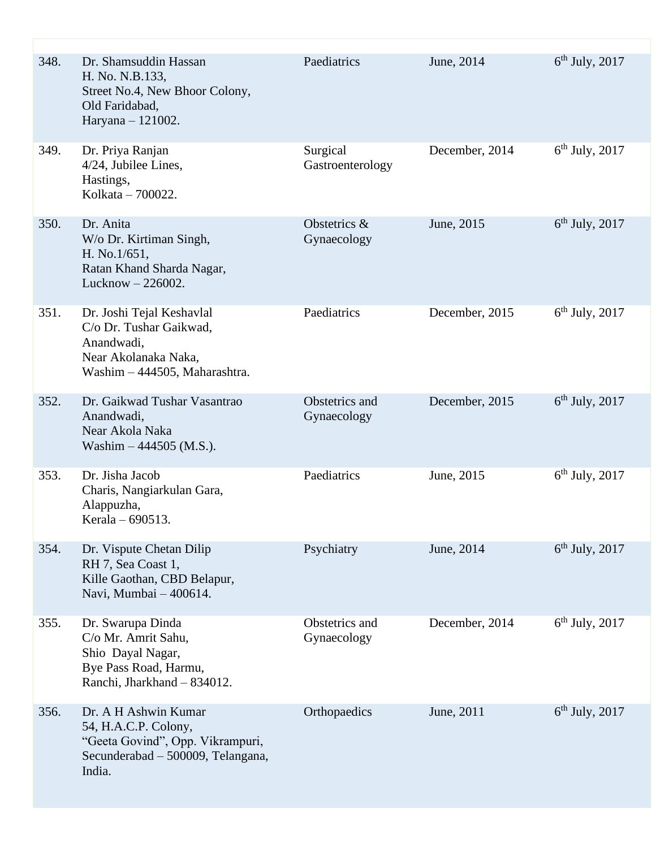| 348. | Dr. Shamsuddin Hassan<br>H. No. N.B.133,<br>Street No.4, New Bhoor Colony,<br>Old Faridabad.<br>Haryana - 121002.               | Paediatrics                   | June, 2014     | $6th$ July, 2017 |
|------|---------------------------------------------------------------------------------------------------------------------------------|-------------------------------|----------------|------------------|
| 349. | Dr. Priya Ranjan<br>$4/24$ , Jubilee Lines,<br>Hastings,<br>Kolkata - 700022.                                                   | Surgical<br>Gastroenterology  | December, 2014 | $6th$ July, 2017 |
| 350. | Dr. Anita<br>W/o Dr. Kirtiman Singh,<br>H. No.1/651,<br>Ratan Khand Sharda Nagar,<br>Lucknow $-226002$ .                        | Obstetrics &<br>Gynaecology   | June, 2015     | $6th$ July, 2017 |
| 351. | Dr. Joshi Tejal Keshavlal<br>C/o Dr. Tushar Gaikwad,<br>Anandwadi,<br>Near Akolanaka Naka,<br>Washim - 444505, Maharashtra.     | Paediatrics                   | December, 2015 | $6th$ July, 2017 |
| 352. | Dr. Gaikwad Tushar Vasantrao<br>Anandwadi,<br>Near Akola Naka<br>Washim $-444505$ (M.S.).                                       | Obstetrics and<br>Gynaecology | December, 2015 | $6th$ July, 2017 |
| 353. | Dr. Jisha Jacob<br>Charis, Nangiarkulan Gara,<br>Alappuzha,<br>Kerala - 690513.                                                 | Paediatrics                   | June, 2015     | $6th$ July, 2017 |
| 354. | Dr. Vispute Chetan Dilip<br>RH 7, Sea Coast 1,<br>Kille Gaothan, CBD Belapur,<br>Navi, Mumbai - 400614.                         | Psychiatry                    | June, 2014     | $6th$ July, 2017 |
| 355. | Dr. Swarupa Dinda<br>C/o Mr. Amrit Sahu,<br>Shio Dayal Nagar,<br>Bye Pass Road, Harmu,<br>Ranchi, Jharkhand - 834012.           | Obstetrics and<br>Gynaecology | December, 2014 | $6th$ July, 2017 |
| 356. | Dr. A H Ashwin Kumar<br>54, H.A.C.P. Colony,<br>"Geeta Govind", Opp. Vikrampuri,<br>Secunderabad – 500009, Telangana,<br>India. | Orthopaedics                  | June, 2011     | $6th$ July, 2017 |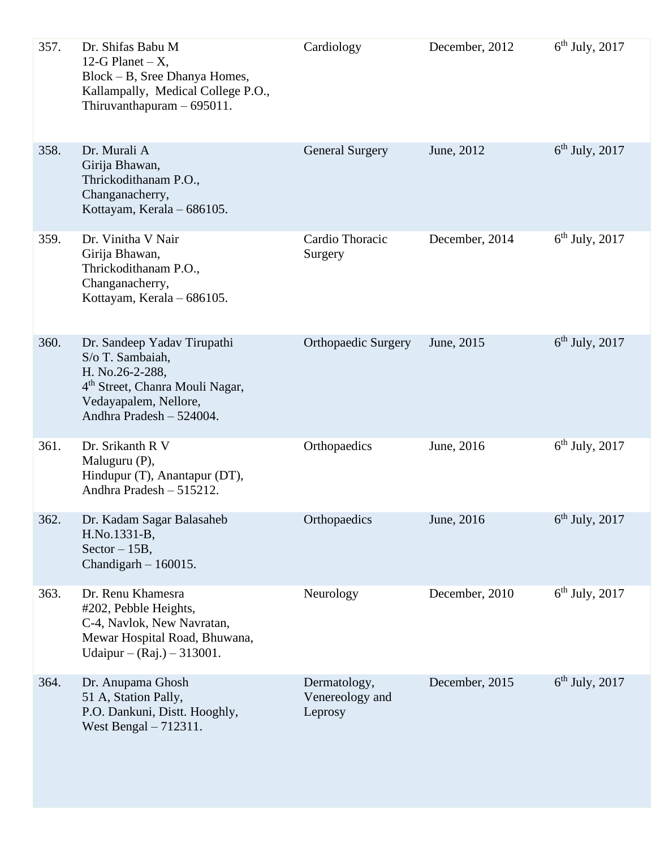| 357. | Dr. Shifas Babu M<br>12-G Planet $-X$ ,<br>Block – B, Sree Dhanya Homes,<br>Kallampally, Medical College P.O.,<br>Thiruvanthapuram $-695011$ .                         | Cardiology                                 | December, 2012 | $6th$ July, 2017 |
|------|------------------------------------------------------------------------------------------------------------------------------------------------------------------------|--------------------------------------------|----------------|------------------|
| 358. | Dr. Murali A<br>Girija Bhawan,<br>Thrickodithanam P.O.,<br>Changanacherry,<br>Kottayam, Kerala - 686105.                                                               | <b>General Surgery</b>                     | June, 2012     | $6th$ July, 2017 |
| 359. | Dr. Vinitha V Nair<br>Girija Bhawan,<br>Thrickodithanam P.O.,<br>Changanacherry,<br>Kottayam, Kerala - 686105.                                                         | Cardio Thoracic<br>Surgery                 | December, 2014 | $6th$ July, 2017 |
| 360. | Dr. Sandeep Yadav Tirupathi<br>S/o T. Sambaiah,<br>H. No.26-2-288,<br>4 <sup>th</sup> Street, Chanra Mouli Nagar,<br>Vedayapalem, Nellore,<br>Andhra Pradesh - 524004. | <b>Orthopaedic Surgery</b>                 | June, 2015     | $6th$ July, 2017 |
| 361. | Dr. Srikanth R V<br>Maluguru (P),<br>Hindupur (T), Anantapur (DT),<br>Andhra Pradesh - 515212.                                                                         | Orthopaedics                               | June, 2016     | $6th$ July, 2017 |
| 362. | Dr. Kadam Sagar Balasaheb<br>H.No.1331-B,<br>$Sector - 15B$ ,<br>Chandigarh $-160015$ .                                                                                | Orthopaedics                               | June, 2016     | $6th$ July, 2017 |
| 363. | Dr. Renu Khamesra<br>#202, Pebble Heights,<br>C-4, Navlok, New Navratan,<br>Mewar Hospital Road, Bhuwana,<br>Udaipur – $(Raj.) - 313001$ .                             | Neurology                                  | December, 2010 | $6th$ July, 2017 |
| 364. | Dr. Anupama Ghosh<br>51 A, Station Pally,<br>P.O. Dankuni, Distt. Hooghly,<br>West Bengal $-712311$ .                                                                  | Dermatology,<br>Venereology and<br>Leprosy | December, 2015 | $6th$ July, 2017 |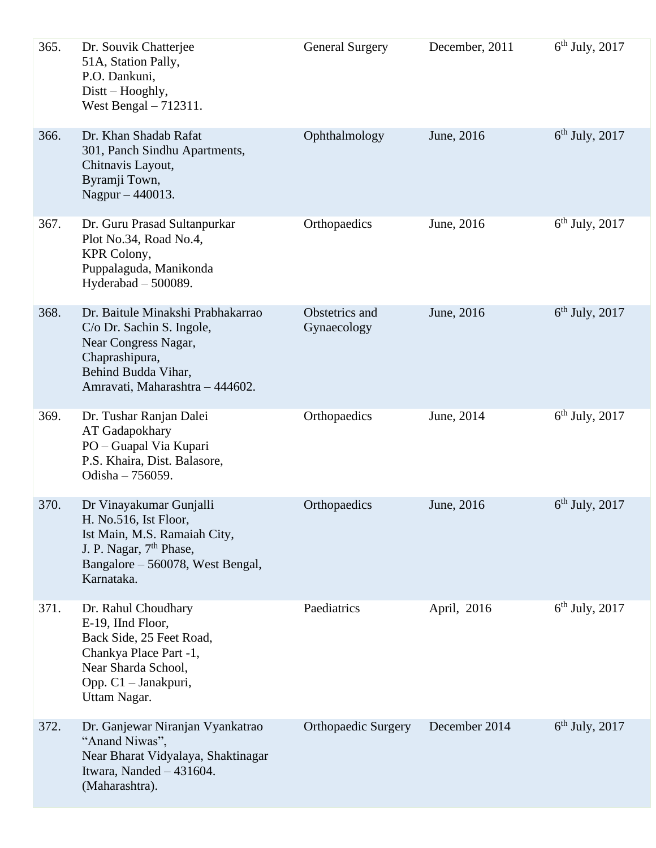| 365. | Dr. Souvik Chatterjee<br>51A, Station Pally,<br>P.O. Dankuni,<br>Distt – Hooghly,<br>West Bengal $-712311$ .                                                              | <b>General Surgery</b>        | December, 2011 | $6th$ July, 2017 |
|------|---------------------------------------------------------------------------------------------------------------------------------------------------------------------------|-------------------------------|----------------|------------------|
| 366. | Dr. Khan Shadab Rafat<br>301, Panch Sindhu Apartments,<br>Chitnavis Layout,<br>Byramji Town,<br>Nagpur $-440013$ .                                                        | Ophthalmology                 | June, 2016     | $6th$ July, 2017 |
| 367. | Dr. Guru Prasad Sultanpurkar<br>Plot No.34, Road No.4,<br>KPR Colony,<br>Puppalaguda, Manikonda<br>Hyderabad $-500089$ .                                                  | Orthopaedics                  | June, 2016     | $6th$ July, 2017 |
| 368. | Dr. Baitule Minakshi Prabhakarrao<br>C/o Dr. Sachin S. Ingole,<br>Near Congress Nagar,<br>Chaprashipura,<br>Behind Budda Vihar,<br>Amravati, Maharashtra - 444602.        | Obstetrics and<br>Gynaecology | June, 2016     | $6th$ July, 2017 |
| 369. | Dr. Tushar Ranjan Dalei<br>AT Gadapokhary<br>PO - Guapal Via Kupari<br>P.S. Khaira, Dist. Balasore,<br>Odisha - 756059.                                                   | Orthopaedics                  | June, 2014     | $6th$ July, 2017 |
| 370. | Dr Vinayakumar Gunjalli<br>H. No.516, Ist Floor,<br>Ist Main, M.S. Ramaiah City,<br>J. P. Nagar, 7 <sup>th</sup> Phase,<br>Bangalore – 560078, West Bengal,<br>Karnataka. | Orthopaedics                  | June, 2016     | $6th$ July, 2017 |
| 371. | Dr. Rahul Choudhary<br>E-19, IInd Floor,<br>Back Side, 25 Feet Road,<br>Chankya Place Part -1,<br>Near Sharda School,<br>Opp. C1 - Janakpuri,<br>Uttam Nagar.             | Paediatrics                   | April, 2016    | $6th$ July, 2017 |
| 372. | Dr. Ganjewar Niranjan Vyankatrao<br>"Anand Niwas",<br>Near Bharat Vidyalaya, Shaktinagar<br>Itwara, Nanded $-431604$ .<br>(Maharashtra).                                  | <b>Orthopaedic Surgery</b>    | December 2014  | $6th$ July, 2017 |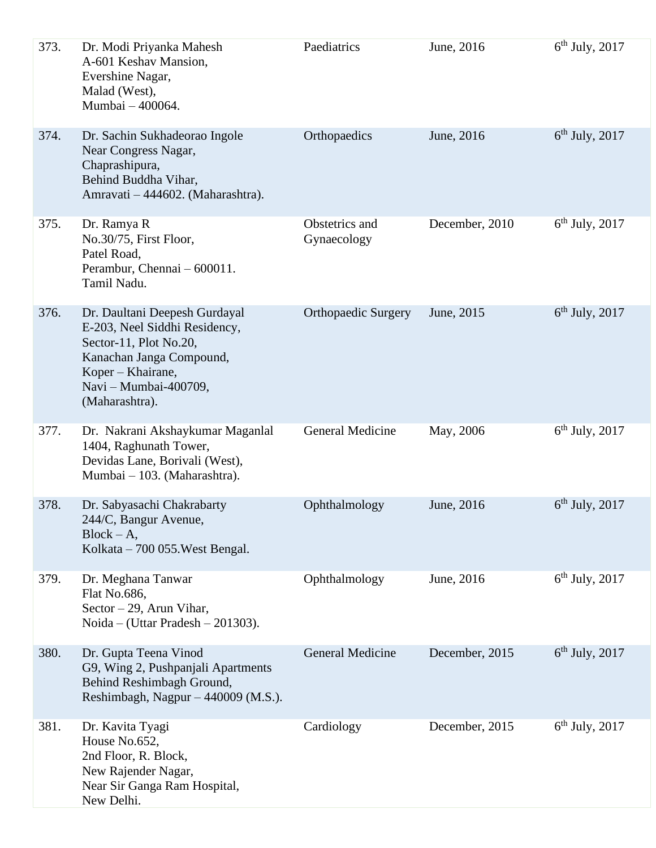| 373. | Dr. Modi Priyanka Mahesh<br>A-601 Keshav Mansion,<br>Evershine Nagar,<br>Malad (West),<br>Mumbai - 400064.                                                                           | Paediatrics                   | June, 2016     | $6th$ July, 2017 |
|------|--------------------------------------------------------------------------------------------------------------------------------------------------------------------------------------|-------------------------------|----------------|------------------|
| 374. | Dr. Sachin Sukhadeorao Ingole<br>Near Congress Nagar,<br>Chaprashipura,<br>Behind Buddha Vihar,<br>Amravati - 444602. (Maharashtra).                                                 | Orthopaedics                  | June, 2016     | $6th$ July, 2017 |
| 375. | Dr. Ramya R<br>No.30/75, First Floor,<br>Patel Road,<br>Perambur, Chennai - 600011.<br>Tamil Nadu.                                                                                   | Obstetrics and<br>Gynaecology | December, 2010 | $6th$ July, 2017 |
| 376. | Dr. Daultani Deepesh Gurdayal<br>E-203, Neel Siddhi Residency,<br>Sector-11, Plot No.20,<br>Kanachan Janga Compound,<br>Koper - Khairane,<br>Navi - Mumbai-400709,<br>(Maharashtra). | <b>Orthopaedic Surgery</b>    | June, 2015     | $6th$ July, 2017 |
| 377. | Dr. Nakrani Akshaykumar Maganlal<br>1404, Raghunath Tower,<br>Devidas Lane, Borivali (West),<br>Mumbai – 103. (Maharashtra).                                                         | <b>General Medicine</b>       | May, 2006      | $6th$ July, 2017 |
| 378. | Dr. Sabyasachi Chakrabarty<br>244/C, Bangur Avenue,<br>$Block - A,$<br>Kolkata – 700 055. West Bengal.                                                                               | Ophthalmology                 | June, 2016     | $6th$ July, 2017 |
| 379. | Dr. Meghana Tanwar<br>Flat No.686,<br>Sector $-29$ , Arun Vihar,<br>Noida – (Uttar Pradesh – 201303).                                                                                | Ophthalmology                 | June, 2016     | $6th$ July, 2017 |
| 380. | Dr. Gupta Teena Vinod<br>G9, Wing 2, Pushpanjali Apartments<br>Behind Reshimbagh Ground,<br>Reshimbagh, Nagpur - 440009 (M.S.).                                                      | <b>General Medicine</b>       | December, 2015 | $6th$ July, 2017 |
| 381. | Dr. Kavita Tyagi<br>House No.652,<br>2nd Floor, R. Block,<br>New Rajender Nagar,<br>Near Sir Ganga Ram Hospital,<br>New Delhi.                                                       | Cardiology                    | December, 2015 | $6th$ July, 2017 |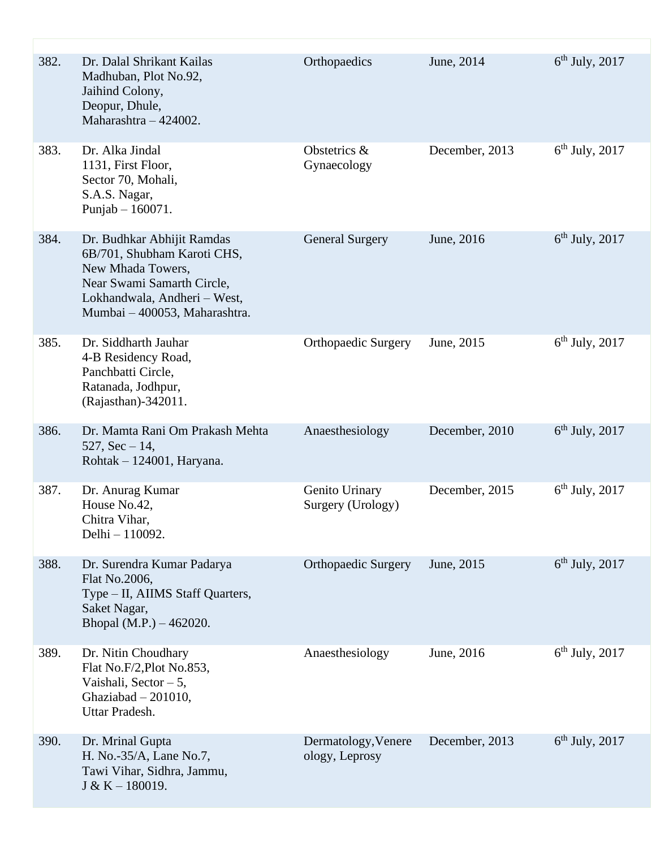| 382. | Dr. Dalal Shrikant Kailas<br>Madhuban, Plot No.92,<br>Jaihind Colony,<br>Deopur, Dhule,<br>Maharashtra - 424002.                                                              | Orthopaedics                          | June, 2014     | $6th$ July, 2017 |
|------|-------------------------------------------------------------------------------------------------------------------------------------------------------------------------------|---------------------------------------|----------------|------------------|
| 383. | Dr. Alka Jindal<br>1131, First Floor,<br>Sector 70, Mohali,<br>S.A.S. Nagar,<br>Punjab $-160071$ .                                                                            | Obstetrics &<br>Gynaecology           | December, 2013 | $6th$ July, 2017 |
| 384. | Dr. Budhkar Abhijit Ramdas<br>6B/701, Shubham Karoti CHS,<br>New Mhada Towers,<br>Near Swami Samarth Circle,<br>Lokhandwala, Andheri - West,<br>Mumbai - 400053, Maharashtra. | <b>General Surgery</b>                | June, 2016     | $6th$ July, 2017 |
| 385. | Dr. Siddharth Jauhar<br>4-B Residency Road,<br>Panchbatti Circle,<br>Ratanada, Jodhpur,<br>(Rajasthan)-342011.                                                                | <b>Orthopaedic Surgery</b>            | June, 2015     | $6th$ July, 2017 |
| 386. | Dr. Mamta Rani Om Prakash Mehta<br>527, $Sec-14$ ,<br>Rohtak – 124001, Haryana.                                                                                               | Anaesthesiology                       | December, 2010 | $6th$ July, 2017 |
| 387. | Dr. Anurag Kumar<br>House No.42,<br>Chitra Vihar,<br>Delhi - 110092.                                                                                                          | Genito Urinary<br>Surgery (Urology)   | December, 2015 | $6th$ July, 2017 |
| 388. | Dr. Surendra Kumar Padarya<br>Flat No.2006,<br>Type – II, AIIMS Staff Quarters,<br>Saket Nagar,<br>Bhopal (M.P.) $-462020$ .                                                  | <b>Orthopaedic Surgery</b>            | June, 2015     | $6th$ July, 2017 |
| 389. | Dr. Nitin Choudhary<br>Flat No.F/2, Plot No.853,<br>Vaishali, Sector $-5$ ,<br>Ghaziabad $-201010$ ,<br>Uttar Pradesh.                                                        | Anaesthesiology                       | June, 2016     | $6th$ July, 2017 |
| 390. | Dr. Mrinal Gupta<br>H. No.-35/A, Lane No.7,<br>Tawi Vihar, Sidhra, Jammu,<br>$J & K - 180019.$                                                                                | Dermatology, Venere<br>ology, Leprosy | December, 2013 | $6th$ July, 2017 |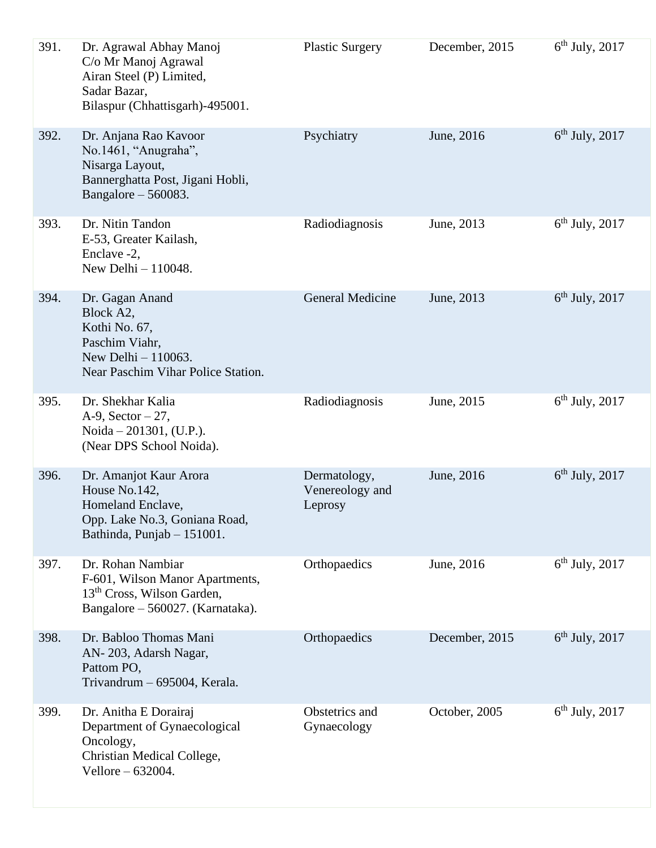| 391. | Dr. Agrawal Abhay Manoj<br>C/o Mr Manoj Agrawal<br>Airan Steel (P) Limited,<br>Sadar Bazar,<br>Bilaspur (Chhattisgarh)-495001.     | <b>Plastic Surgery</b>                     | December, 2015 | $6th$ July, 2017 |
|------|------------------------------------------------------------------------------------------------------------------------------------|--------------------------------------------|----------------|------------------|
| 392. | Dr. Anjana Rao Kavoor<br>No.1461, "Anugraha",<br>Nisarga Layout,<br>Bannerghatta Post, Jigani Hobli,<br>Bangalore $-560083$ .      | Psychiatry                                 | June, 2016     | $6th$ July, 2017 |
| 393. | Dr. Nitin Tandon<br>E-53, Greater Kailash,<br>Enclave -2,<br>New Delhi - 110048.                                                   | Radiodiagnosis                             | June, 2013     | $6th$ July, 2017 |
| 394. | Dr. Gagan Anand<br>Block A2,<br>Kothi No. 67,<br>Paschim Viahr,<br>New Delhi - 110063.<br>Near Paschim Vihar Police Station.       | <b>General Medicine</b>                    | June, 2013     | $6th$ July, 2017 |
| 395. | Dr. Shekhar Kalia<br>A-9, Sector $-27$ ,<br>Noida $-201301$ , (U.P.).<br>(Near DPS School Noida).                                  | Radiodiagnosis                             | June, 2015     | $6th$ July, 2017 |
| 396. | Dr. Amanjot Kaur Arora<br>House No.142,<br>Homeland Enclave,<br>Opp. Lake No.3, Goniana Road,<br>Bathinda, Punjab - 151001.        | Dermatology,<br>Venereology and<br>Leprosy | June, 2016     | $6th$ July, 2017 |
| 397. | Dr. Rohan Nambiar<br>F-601, Wilson Manor Apartments,<br>13 <sup>th</sup> Cross, Wilson Garden,<br>Bangalore - 560027. (Karnataka). | Orthopaedics                               | June, 2016     | $6th$ July, 2017 |
| 398. | Dr. Babloo Thomas Mani<br>AN-203, Adarsh Nagar,<br>Pattom PO,<br>Trivandrum - 695004, Kerala.                                      | Orthopaedics                               | December, 2015 | $6th$ July, 2017 |
| 399. | Dr. Anitha E Dorairaj<br>Department of Gynaecological<br>Oncology,<br>Christian Medical College,<br>Vellore - 632004.              | Obstetrics and<br>Gynaecology              | October, 2005  | $6th$ July, 2017 |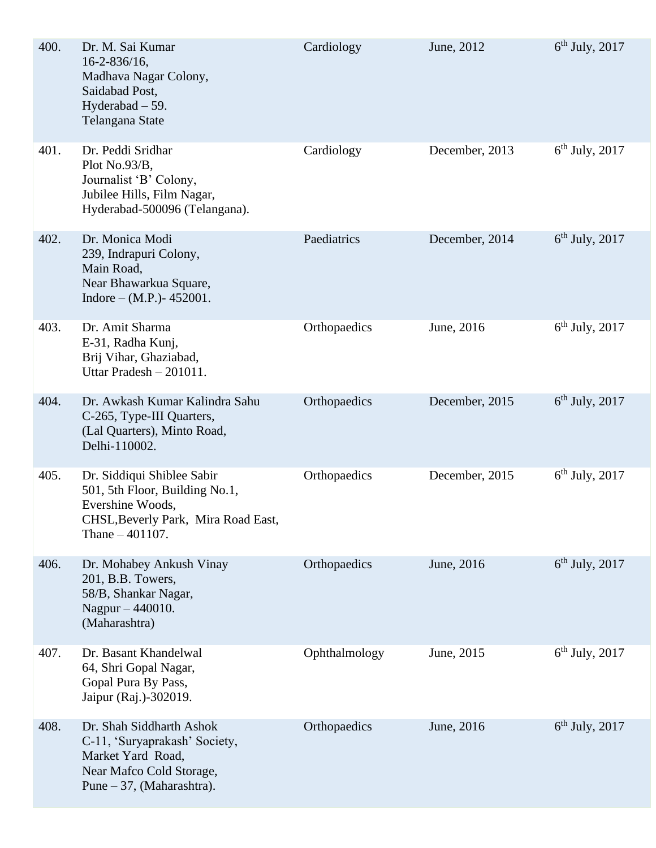| 400. | Dr. M. Sai Kumar<br>$16 - 2 - 836/16$ ,<br>Madhava Nagar Colony,<br>Saidabad Post,<br>Hyderabad - 59.<br>Telangana State                     | Cardiology    | June, 2012     | $6th$ July, 2017 |
|------|----------------------------------------------------------------------------------------------------------------------------------------------|---------------|----------------|------------------|
| 401. | Dr. Peddi Sridhar<br>Plot No.93/B,<br>Journalist 'B' Colony,<br>Jubilee Hills, Film Nagar,<br>Hyderabad-500096 (Telangana).                  | Cardiology    | December, 2013 | $6th$ July, 2017 |
| 402. | Dr. Monica Modi<br>239, Indrapuri Colony,<br>Main Road,<br>Near Bhawarkua Square,<br>Indore – $(M.P.)$ - 452001.                             | Paediatrics   | December, 2014 | $6th$ July, 2017 |
| 403. | Dr. Amit Sharma<br>E-31, Radha Kunj,<br>Brij Vihar, Ghaziabad,<br>Uttar Pradesh - 201011.                                                    | Orthopaedics  | June, 2016     | $6th$ July, 2017 |
| 404. | Dr. Awkash Kumar Kalindra Sahu<br>C-265, Type-III Quarters,<br>(Lal Quarters), Minto Road,<br>Delhi-110002.                                  | Orthopaedics  | December, 2015 | $6th$ July, 2017 |
| 405. | Dr. Siddiqui Shiblee Sabir<br>501, 5th Floor, Building No.1,<br>Evershine Woods,<br>CHSL, Beverly Park, Mira Road East,<br>Thane $-401107$ . | Orthopaedics  | December, 2015 | $6th$ July, 2017 |
| 406. | Dr. Mohabey Ankush Vinay<br>201, B.B. Towers,<br>58/B, Shankar Nagar,<br>Nagpur - 440010.<br>(Maharashtra)                                   | Orthopaedics  | June, 2016     | $6th$ July, 2017 |
| 407. | Dr. Basant Khandelwal<br>64, Shri Gopal Nagar,<br>Gopal Pura By Pass,<br>Jaipur (Raj.)-302019.                                               | Ophthalmology | June, 2015     | $6th$ July, 2017 |
| 408. | Dr. Shah Siddharth Ashok<br>C-11, 'Suryaprakash' Society,<br>Market Yard Road,<br>Near Mafco Cold Storage,<br>Pune $-37$ , (Maharashtra).    | Orthopaedics  | June, 2016     | $6th$ July, 2017 |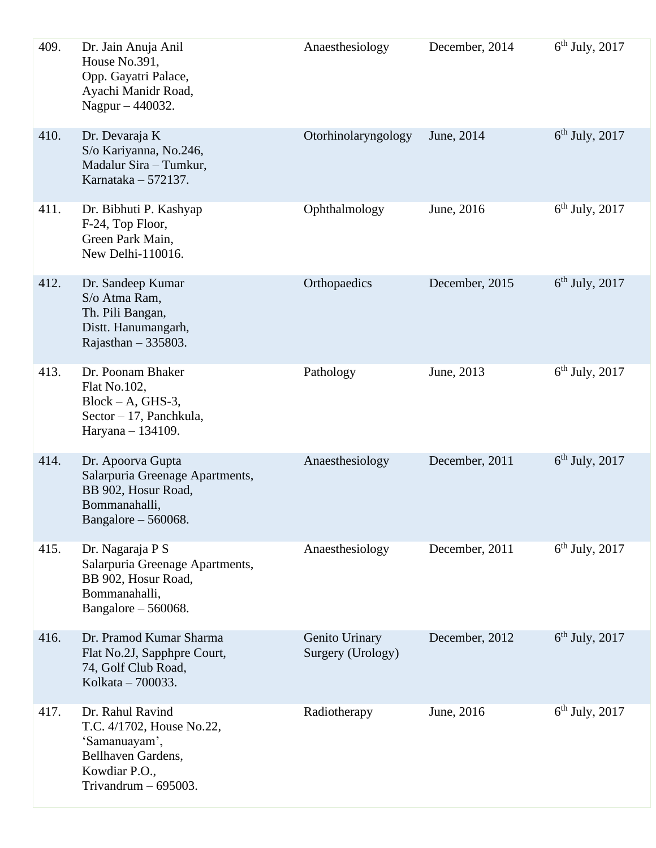| 409. | Dr. Jain Anuja Anil<br>House No.391,<br>Opp. Gayatri Palace,<br>Ayachi Manidr Road,<br>Nagpur - 440032.                         | Anaesthesiology                     | December, 2014 | $6th$ July, 2017 |
|------|---------------------------------------------------------------------------------------------------------------------------------|-------------------------------------|----------------|------------------|
| 410. | Dr. Devaraja K<br>S/o Kariyanna, No.246,<br>Madalur Sira - Tumkur,<br>Karnataka $-572137$ .                                     | Otorhinolaryngology                 | June, 2014     | $6th$ July, 2017 |
| 411. | Dr. Bibhuti P. Kashyap<br>F-24, Top Floor,<br>Green Park Main,<br>New Delhi-110016.                                             | Ophthalmology                       | June, 2016     | $6th$ July, 2017 |
| 412. | Dr. Sandeep Kumar<br>S/o Atma Ram,<br>Th. Pili Bangan,<br>Distt. Hanumangarh,<br>Rajasthan $-335803$ .                          | Orthopaedics                        | December, 2015 | $6th$ July, 2017 |
| 413. | Dr. Poonam Bhaker<br>Flat No.102,<br>$Block - A, GHS-3,$<br>Sector - 17, Panchkula,<br>Haryana - 134109.                        | Pathology                           | June, 2013     | $6th$ July, 2017 |
| 414. | Dr. Apoorva Gupta<br>Salarpuria Greenage Apartments,<br>BB 902, Hosur Road,<br>Bommanahalli,<br>Bangalore $-560068$ .           | Anaesthesiology                     | December, 2011 | $6th$ July, 2017 |
| 415. | Dr. Nagaraja P S<br>Salarpuria Greenage Apartments,<br>BB 902, Hosur Road,<br>Bommanahalli,<br>Bangalore $-560068$ .            | Anaesthesiology                     | December, 2011 | $6th$ July, 2017 |
| 416. | Dr. Pramod Kumar Sharma<br>Flat No.2J, Sapphpre Court,<br>74, Golf Club Road,<br>Kolkata - 700033.                              | Genito Urinary<br>Surgery (Urology) | December, 2012 | $6th$ July, 2017 |
| 417. | Dr. Rahul Ravind<br>T.C. 4/1702, House No.22,<br>'Samanuayam',<br>Bellhaven Gardens,<br>Kowdiar P.O.,<br>Trivandrum $-695003$ . | Radiotherapy                        | June, 2016     | $6th$ July, 2017 |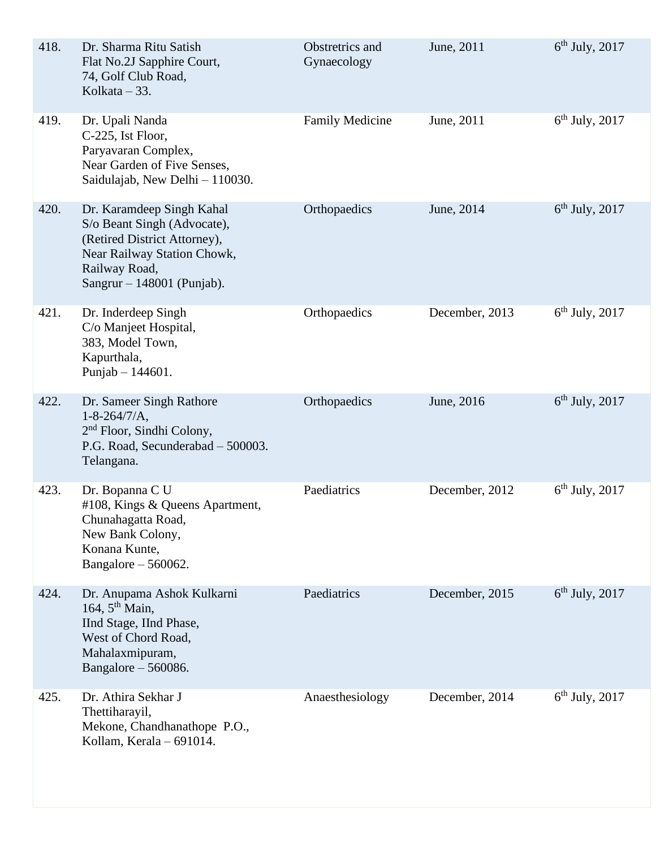| 418. | Dr. Sharma Ritu Satish<br>Flat No.2J Sapphire Court,<br>74, Golf Club Road,<br>Kolkata $-33$ .                                                                           | Obstretrics and<br>Gynaecology | June, 2011     | $6th$ July, 2017 |
|------|--------------------------------------------------------------------------------------------------------------------------------------------------------------------------|--------------------------------|----------------|------------------|
| 419. | Dr. Upali Nanda<br>C-225, Ist Floor,<br>Paryavaran Complex,<br>Near Garden of Five Senses,<br>Saidulajab, New Delhi - 110030.                                            | <b>Family Medicine</b>         | June, 2011     | $6th$ July, 2017 |
| 420. | Dr. Karamdeep Singh Kahal<br>S/o Beant Singh (Advocate),<br>(Retired District Attorney),<br>Near Railway Station Chowk,<br>Railway Road,<br>Sangrur $- 148001$ (Punjab). | Orthopaedics                   | June, 2014     | $6th$ July, 2017 |
| 421. | Dr. Inderdeep Singh<br>C/o Manjeet Hospital,<br>383, Model Town,<br>Kapurthala,<br>Punjab $- 144601$ .                                                                   | Orthopaedics                   | December, 2013 | $6th$ July, 2017 |
| 422. | Dr. Sameer Singh Rathore<br>$1 - 8 - 264/7/A$ ,<br>2 <sup>nd</sup> Floor, Sindhi Colony,<br>P.G. Road, Secunderabad - 500003.<br>Telangana.                              | Orthopaedics                   | June, 2016     | $6th$ July, 2017 |
| 423. | Dr. Bopanna C U<br>#108, Kings & Queens Apartment,<br>Chunahagatta Road,<br>New Bank Colony,<br>Konana Kunte,<br>Bangalore $-560062$ .                                   | Paediatrics                    | December, 2012 | $6th$ July, 2017 |
| 424. | Dr. Anupama Ashok Kulkarni<br>164, $5th$ Main,<br>IInd Stage, IInd Phase,<br>West of Chord Road,<br>Mahalaxmipuram,<br>Bangalore $-560086$ .                             | Paediatrics                    | December, 2015 | $6th$ July, 2017 |
| 425. | Dr. Athira Sekhar J<br>Thettiharayil,<br>Mekone, Chandhanathope P.O.,<br>Kollam, Kerala - 691014.                                                                        | Anaesthesiology                | December, 2014 | $6th$ July, 2017 |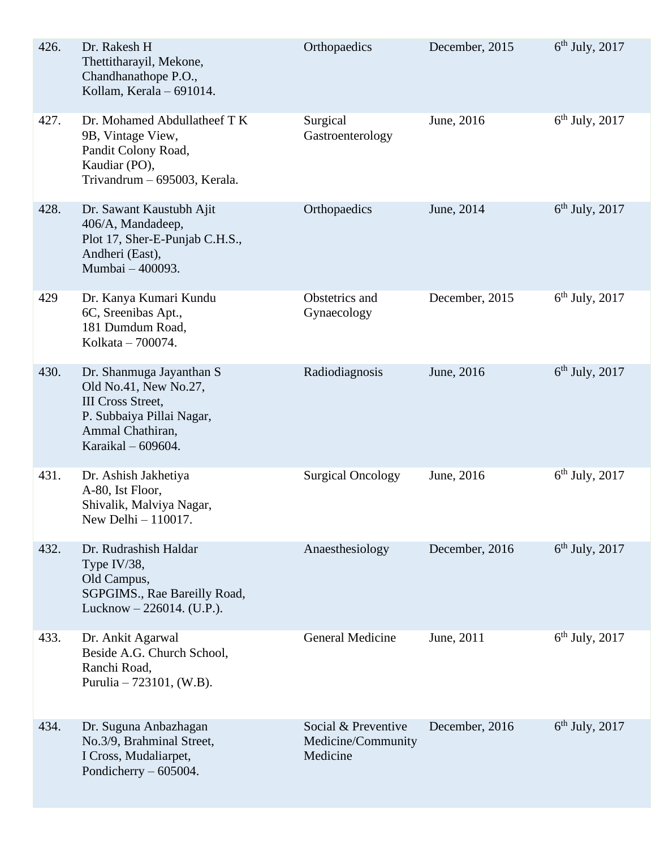| 426. | Dr. Rakesh H<br>Thettitharayil, Mekone,<br>Chandhanathope P.O.,<br>Kollam, Kerala - 691014.                                                          | Orthopaedics                                          | December, 2015 | $6th$ July, 2017 |
|------|------------------------------------------------------------------------------------------------------------------------------------------------------|-------------------------------------------------------|----------------|------------------|
| 427. | Dr. Mohamed Abdullatheef T K<br>9B, Vintage View,<br>Pandit Colony Road,<br>Kaudiar (PO),<br>Trivandrum - 695003, Kerala.                            | Surgical<br>Gastroenterology                          | June, 2016     | $6th$ July, 2017 |
| 428. | Dr. Sawant Kaustubh Ajit<br>406/A, Mandadeep,<br>Plot 17, Sher-E-Punjab C.H.S.,<br>Andheri (East),<br>Mumbai - 400093.                               | Orthopaedics                                          | June, 2014     | $6th$ July, 2017 |
| 429  | Dr. Kanya Kumari Kundu<br>6C, Sreenibas Apt.,<br>181 Dumdum Road,<br>Kolkata - 700074.                                                               | Obstetrics and<br>Gynaecology                         | December, 2015 | $6th$ July, 2017 |
| 430. | Dr. Shanmuga Jayanthan S<br>Old No.41, New No.27,<br><b>III</b> Cross Street,<br>P. Subbaiya Pillai Nagar,<br>Ammal Chathiran,<br>Karaikal – 609604. | Radiodiagnosis                                        | June, 2016     | $6th$ July, 2017 |
| 431. | Dr. Ashish Jakhetiya<br>A-80, Ist Floor,<br>Shivalik, Malviya Nagar,<br>New Delhi $-110017$ .                                                        | <b>Surgical Oncology</b>                              | June, 2016     | $6th$ July, 2017 |
| 432. | Dr. Rudrashish Haldar<br>Type IV/38,<br>Old Campus,<br>SGPGIMS., Rae Bareilly Road,<br>Lucknow $-226014$ . (U.P.).                                   | Anaesthesiology                                       | December, 2016 | $6th$ July, 2017 |
| 433. | Dr. Ankit Agarwal<br>Beside A.G. Church School,<br>Ranchi Road,<br>Purulia $-723101$ , (W.B).                                                        | <b>General Medicine</b>                               | June, 2011     | $6th$ July, 2017 |
| 434. | Dr. Suguna Anbazhagan<br>No.3/9, Brahminal Street,<br>I Cross, Mudaliarpet,<br>Pondicherry $-605004$ .                                               | Social & Preventive<br>Medicine/Community<br>Medicine | December, 2016 | $6th$ July, 2017 |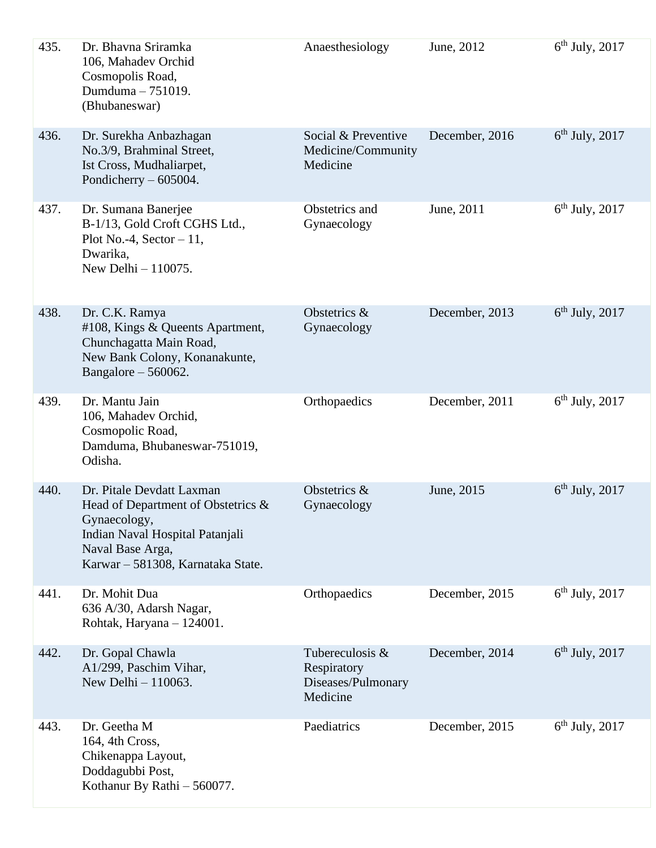| 435. | Dr. Bhavna Sriramka<br>106, Mahadev Orchid<br>Cosmopolis Road,<br>Dumduma - 751019.<br>(Bhubaneswar)                                                                           | Anaesthesiology                                                  | June, 2012     | $6th$ July, 2017 |
|------|--------------------------------------------------------------------------------------------------------------------------------------------------------------------------------|------------------------------------------------------------------|----------------|------------------|
| 436. | Dr. Surekha Anbazhagan<br>No.3/9, Brahminal Street,<br>Ist Cross, Mudhaliarpet,<br>Pondicherry $-605004$ .                                                                     | Social & Preventive<br>Medicine/Community<br>Medicine            | December, 2016 | $6th$ July, 2017 |
| 437. | Dr. Sumana Banerjee<br>B-1/13, Gold Croft CGHS Ltd.,<br>Plot No.-4, Sector $-11$ ,<br>Dwarika,<br>New Delhi - 110075.                                                          | Obstetrics and<br>Gynaecology                                    | June, 2011     | $6th$ July, 2017 |
| 438. | Dr. C.K. Ramya<br>#108, Kings & Queents Apartment,<br>Chunchagatta Main Road,<br>New Bank Colony, Konanakunte,<br>Bangalore $-560062$ .                                        | Obstetrics &<br>Gynaecology                                      | December, 2013 | $6th$ July, 2017 |
| 439. | Dr. Mantu Jain<br>106, Mahadev Orchid,<br>Cosmopolic Road,<br>Damduma, Bhubaneswar-751019,<br>Odisha.                                                                          | Orthopaedics                                                     | December, 2011 | $6th$ July, 2017 |
| 440. | Dr. Pitale Devdatt Laxman<br>Head of Department of Obstetrics $\&$<br>Gynaecology,<br>Indian Naval Hospital Patanjali<br>Naval Base Arga,<br>Karwar - 581308, Karnataka State. | Obstetrics &<br>Gynaecology                                      | June, 2015     | $6th$ July, 2017 |
| 441. | Dr. Mohit Dua<br>636 A/30, Adarsh Nagar,<br>Rohtak, Haryana - 124001.                                                                                                          | Orthopaedics                                                     | December, 2015 | $6th$ July, 2017 |
| 442. | Dr. Gopal Chawla<br>A1/299, Paschim Vihar,<br>New Delhi $-110063$ .                                                                                                            | Tubereculosis &<br>Respiratory<br>Diseases/Pulmonary<br>Medicine | December, 2014 | $6th$ July, 2017 |
| 443. | Dr. Geetha M<br>164, 4th Cross,<br>Chikenappa Layout,<br>Doddagubbi Post,<br>Kothanur By Rathi - 560077.                                                                       | Paediatrics                                                      | December, 2015 | $6th$ July, 2017 |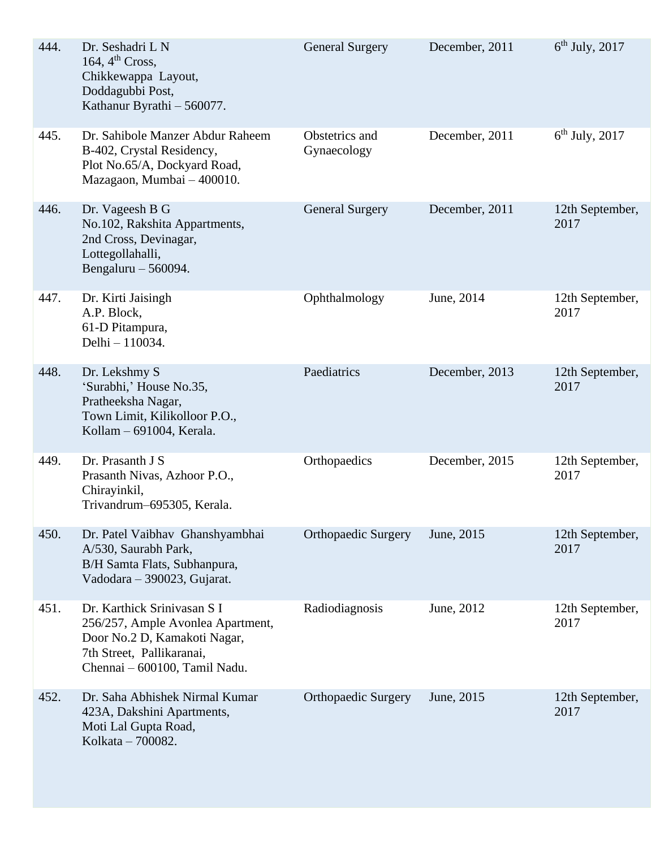| 444. | Dr. Seshadri L N<br>164, $4th Cross$ ,<br>Chikkewappa Layout,<br>Doddagubbi Post,<br>Kathanur Byrathi - 560077.                                                | <b>General Surgery</b>        | December, 2011 | $6th$ July, 2017        |
|------|----------------------------------------------------------------------------------------------------------------------------------------------------------------|-------------------------------|----------------|-------------------------|
| 445. | Dr. Sahibole Manzer Abdur Raheem<br>B-402, Crystal Residency,<br>Plot No.65/A, Dockyard Road,<br>Mazagaon, Mumbai - 400010.                                    | Obstetrics and<br>Gynaecology | December, 2011 | $6th$ July, 2017        |
| 446. | Dr. Vageesh B G<br>No.102, Rakshita Appartments,<br>2nd Cross, Devinagar,<br>Lottegollahalli,<br>Bengaluru $-560094$ .                                         | <b>General Surgery</b>        | December, 2011 | 12th September,<br>2017 |
| 447. | Dr. Kirti Jaisingh<br>A.P. Block,<br>61-D Pitampura,<br>Delhi - 110034.                                                                                        | Ophthalmology                 | June, 2014     | 12th September,<br>2017 |
| 448. | Dr. Lekshmy S<br>'Surabhi,' House No.35,<br>Pratheeksha Nagar,<br>Town Limit, Kilikolloor P.O.,<br>Kollam - 691004, Kerala.                                    | Paediatrics                   | December, 2013 | 12th September,<br>2017 |
| 449. | Dr. Prasanth J S<br>Prasanth Nivas, Azhoor P.O.,<br>Chirayinkil,<br>Trivandrum-695305, Kerala.                                                                 | Orthopaedics                  | December, 2015 | 12th September,<br>2017 |
| 450. | Dr. Patel Vaibhav Ghanshyambhai<br>A/530, Saurabh Park,<br>B/H Samta Flats, Subhanpura,<br>Vadodara - 390023, Gujarat.                                         | <b>Orthopaedic Surgery</b>    | June, 2015     | 12th September,<br>2017 |
| 451. | Dr. Karthick Srinivasan S I<br>256/257, Ample Avonlea Apartment,<br>Door No.2 D, Kamakoti Nagar,<br>7th Street, Pallikaranai,<br>Chennai - 600100, Tamil Nadu. | Radiodiagnosis                | June, 2012     | 12th September,<br>2017 |
| 452. | Dr. Saha Abhishek Nirmal Kumar<br>423A, Dakshini Apartments,<br>Moti Lal Gupta Road,<br>Kolkata - 700082.                                                      | <b>Orthopaedic Surgery</b>    | June, 2015     | 12th September,<br>2017 |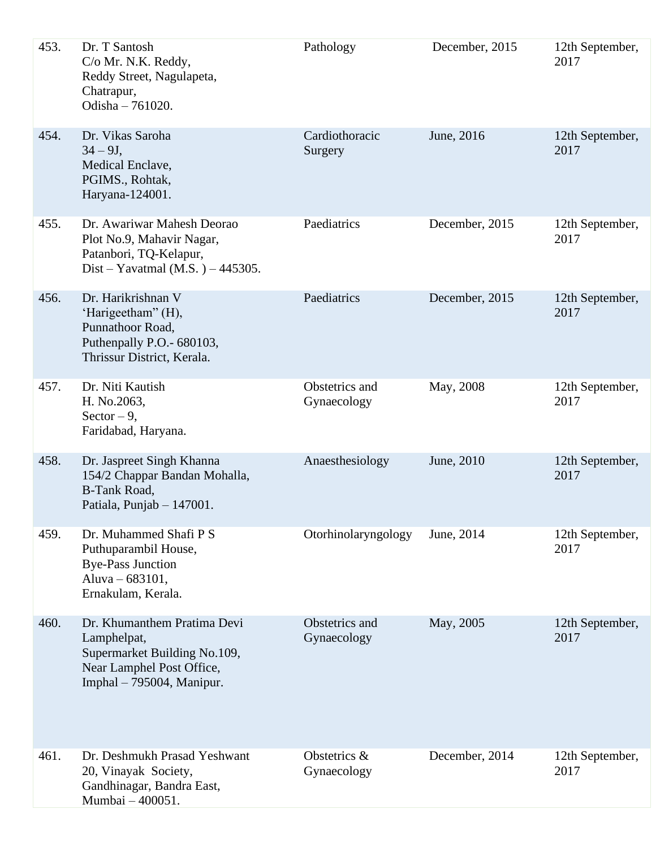| 453. | Dr. T Santosh<br>C/o Mr. N.K. Reddy,<br>Reddy Street, Nagulapeta,<br>Chatrapur,<br>Odisha - 761020.                                    | Pathology                     | December, 2015 | 12th September,<br>2017 |
|------|----------------------------------------------------------------------------------------------------------------------------------------|-------------------------------|----------------|-------------------------|
| 454. | Dr. Vikas Saroha<br>$34 - 9J,$<br>Medical Enclave,<br>PGIMS., Rohtak,<br>Haryana-124001.                                               | Cardiothoracic<br>Surgery     | June, 2016     | 12th September,<br>2017 |
| 455. | Dr. Awariwar Mahesh Deorao<br>Plot No.9, Mahavir Nagar,<br>Patanbori, TQ-Kelapur,<br>Dist – Yavatmal (M.S.) – 445305.                  | Paediatrics                   | December, 2015 | 12th September,<br>2017 |
| 456. | Dr. Harikrishnan V<br>'Harigeetham" (H),<br>Punnathoor Road,<br>Puthenpally P.O.- 680103,<br>Thrissur District, Kerala.                | Paediatrics                   | December, 2015 | 12th September,<br>2017 |
| 457. | Dr. Niti Kautish<br>H. No.2063,<br>Sector $-9$ ,<br>Faridabad, Haryana.                                                                | Obstetrics and<br>Gynaecology | May, 2008      | 12th September,<br>2017 |
| 458. | Dr. Jaspreet Singh Khanna<br>154/2 Chappar Bandan Mohalla,<br><b>B-Tank Road,</b><br>Patiala, Punjab - 147001.                         | Anaesthesiology               | June, 2010     | 12th September,<br>2017 |
| 459. | Dr. Muhammed Shafi P S<br>Puthuparambil House,<br><b>Bye-Pass Junction</b><br>Aluva - 683101,<br>Ernakulam, Kerala.                    | Otorhinolaryngology           | June, 2014     | 12th September,<br>2017 |
| 460. | Dr. Khumanthem Pratima Devi<br>Lamphelpat,<br>Supermarket Building No.109,<br>Near Lamphel Post Office,<br>Imphal $-795004$ , Manipur. | Obstetrics and<br>Gynaecology | May, 2005      | 12th September,<br>2017 |
| 461. | Dr. Deshmukh Prasad Yeshwant<br>20, Vinayak Society,<br>Gandhinagar, Bandra East,<br>Mumbai - 400051.                                  | Obstetrics &<br>Gynaecology   | December, 2014 | 12th September,<br>2017 |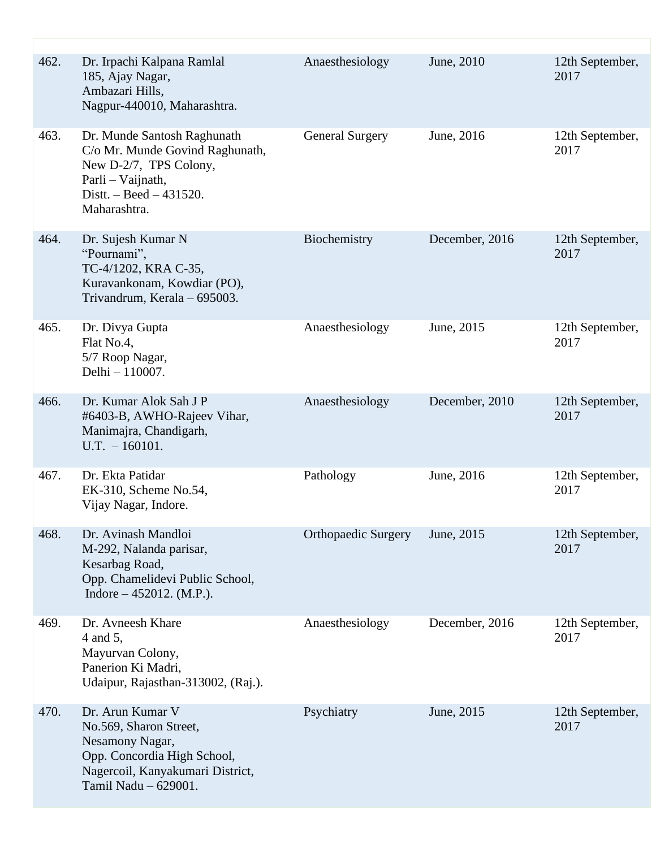| 462. | Dr. Irpachi Kalpana Ramlal<br>185, Ajay Nagar,<br>Ambazari Hills,<br>Nagpur-440010, Maharashtra.                                                             | Anaesthesiology            | June, 2010     | 12th September,<br>2017 |
|------|--------------------------------------------------------------------------------------------------------------------------------------------------------------|----------------------------|----------------|-------------------------|
| 463. | Dr. Munde Santosh Raghunath<br>C/o Mr. Munde Govind Raghunath,<br>New D-2/7, TPS Colony,<br>Parli - Vaijnath,<br>Distt. $-$ Beed $-$ 431520.<br>Maharashtra. | <b>General Surgery</b>     | June, 2016     | 12th September,<br>2017 |
| 464. | Dr. Sujesh Kumar N<br>"Pournami",<br>TC-4/1202, KRA C-35,<br>Kuravankonam, Kowdiar (PO),<br>Trivandrum, Kerala - 695003.                                     | Biochemistry               | December, 2016 | 12th September,<br>2017 |
| 465. | Dr. Divya Gupta<br>Flat No.4,<br>5/7 Roop Nagar,<br>Delhi - 110007.                                                                                          | Anaesthesiology            | June, 2015     | 12th September,<br>2017 |
| 466. | Dr. Kumar Alok Sah J P<br>#6403-B, AWHO-Rajeev Vihar,<br>Manimajra, Chandigarh,<br>$U.T. - 160101.$                                                          | Anaesthesiology            | December, 2010 | 12th September,<br>2017 |
| 467. | Dr. Ekta Patidar<br>EK-310, Scheme No.54,<br>Vijay Nagar, Indore.                                                                                            | Pathology                  | June, 2016     | 12th September,<br>2017 |
| 468. | Dr. Avinash Mandloi<br>M-292, Nalanda parisar,<br>Kesarbag Road,<br>Opp. Chamelidevi Public School,<br>Indore $-452012$ . (M.P.).                            | <b>Orthopaedic Surgery</b> | June, 2015     | 12th September,<br>2017 |
| 469. | Dr. Avneesh Khare<br>4 and 5,<br>Mayurvan Colony,<br>Panerion Ki Madri,<br>Udaipur, Rajasthan-313002, (Raj.).                                                | Anaesthesiology            | December, 2016 | 12th September,<br>2017 |
| 470. | Dr. Arun Kumar V<br>No.569, Sharon Street,<br>Nesamony Nagar,<br>Opp. Concordia High School,<br>Nagercoil, Kanyakumari District,<br>Tamil Nadu - 629001.     | Psychiatry                 | June, 2015     | 12th September,<br>2017 |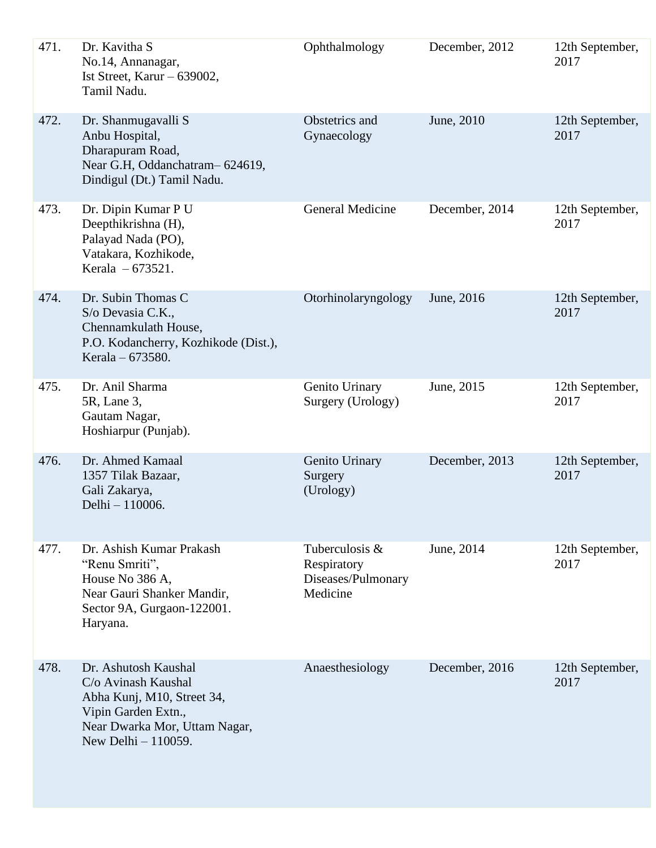| 471. | Dr. Kavitha S<br>No.14, Annanagar,<br>Ist Street, Karur $-639002$ ,<br>Tamil Nadu.                                                                       | Ophthalmology                                                   | December, 2012 | 12th September,<br>2017 |
|------|----------------------------------------------------------------------------------------------------------------------------------------------------------|-----------------------------------------------------------------|----------------|-------------------------|
| 472. | Dr. Shanmugavalli S<br>Anbu Hospital,<br>Dharapuram Road,<br>Near G.H, Oddanchatram-624619,<br>Dindigul (Dt.) Tamil Nadu.                                | Obstetrics and<br>Gynaecology                                   | June, 2010     | 12th September,<br>2017 |
| 473. | Dr. Dipin Kumar P U<br>Deepthikrishna (H),<br>Palayad Nada (PO),<br>Vatakara, Kozhikode,<br>Kerala - 673521.                                             | <b>General Medicine</b>                                         | December, 2014 | 12th September,<br>2017 |
| 474. | Dr. Subin Thomas C<br>S/o Devasia C.K.,<br>Chennamkulath House,<br>P.O. Kodancherry, Kozhikode (Dist.),<br>Kerala – 673580.                              | Otorhinolaryngology                                             | June, 2016     | 12th September,<br>2017 |
| 475. | Dr. Anil Sharma<br>5R, Lane 3,<br>Gautam Nagar,<br>Hoshiarpur (Punjab).                                                                                  | Genito Urinary<br>Surgery (Urology)                             | June, 2015     | 12th September,<br>2017 |
| 476. | Dr. Ahmed Kamaal<br>1357 Tilak Bazaar,<br>Gali Zakarya,<br>Delhi - 110006.                                                                               | Genito Urinary<br>Surgery<br>(Urology)                          | December, 2013 | 12th September,<br>2017 |
| 477. | Dr. Ashish Kumar Prakash<br>"Renu Smriti",<br>House No 386 A,<br>Near Gauri Shanker Mandir,<br>Sector 9A, Gurgaon-122001.<br>Haryana.                    | Tuberculosis &<br>Respiratory<br>Diseases/Pulmonary<br>Medicine | June, 2014     | 12th September,<br>2017 |
| 478. | Dr. Ashutosh Kaushal<br>C/o Avinash Kaushal<br>Abha Kunj, M10, Street 34,<br>Vipin Garden Extn.,<br>Near Dwarka Mor, Uttam Nagar,<br>New Delhi - 110059. | Anaesthesiology                                                 | December, 2016 | 12th September,<br>2017 |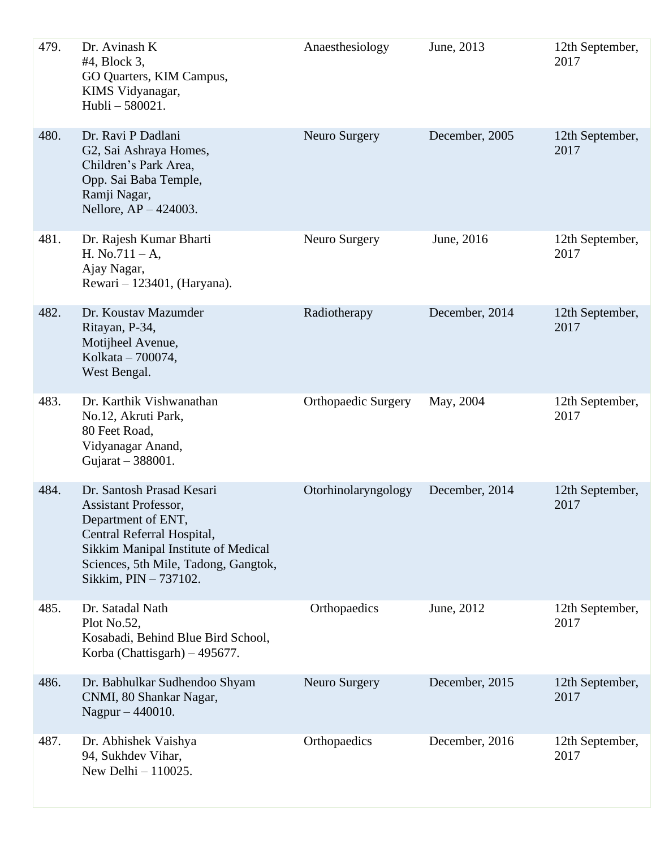| 479. | Dr. Avinash K<br>#4, Block 3,<br>GO Quarters, KIM Campus,<br>KIMS Vidyanagar,<br>Hubli-580021.                                                                                                                       | Anaesthesiology            | June, 2013     | 12th September,<br>2017 |
|------|----------------------------------------------------------------------------------------------------------------------------------------------------------------------------------------------------------------------|----------------------------|----------------|-------------------------|
| 480. | Dr. Ravi P Dadlani<br>G2, Sai Ashraya Homes,<br>Children's Park Area,<br>Opp. Sai Baba Temple,<br>Ramji Nagar,<br>Nellore, $AP - 424003$ .                                                                           | Neuro Surgery              | December, 2005 | 12th September,<br>2017 |
| 481. | Dr. Rajesh Kumar Bharti<br>H. No.711 – A,<br>Ajay Nagar,<br>Rewari - 123401, (Haryana).                                                                                                                              | Neuro Surgery              | June, 2016     | 12th September,<br>2017 |
| 482. | Dr. Koustav Mazumder<br>Ritayan, P-34,<br>Motijheel Avenue,<br>Kolkata - 700074,<br>West Bengal.                                                                                                                     | Radiotherapy               | December, 2014 | 12th September,<br>2017 |
| 483. | Dr. Karthik Vishwanathan<br>No.12, Akruti Park,<br>80 Feet Road,<br>Vidyanagar Anand,<br>Gujarat - 388001.                                                                                                           | <b>Orthopaedic Surgery</b> | May, 2004      | 12th September,<br>2017 |
| 484. | Dr. Santosh Prasad Kesari<br><b>Assistant Professor,</b><br>Department of ENT,<br>Central Referral Hospital,<br>Sikkim Manipal Institute of Medical<br>Sciences, 5th Mile, Tadong, Gangtok,<br>Sikkim, PIN - 737102. | Otorhinolaryngology        | December, 2014 | 12th September,<br>2017 |
| 485. | Dr. Satadal Nath<br>Plot No.52,<br>Kosabadi, Behind Blue Bird School,<br>Korba (Chattisgarh) $-495677$ .                                                                                                             | Orthopaedics               | June, 2012     | 12th September,<br>2017 |
| 486. | Dr. Babhulkar Sudhendoo Shyam<br>CNMI, 80 Shankar Nagar,<br>Nagpur - 440010.                                                                                                                                         | Neuro Surgery              | December, 2015 | 12th September,<br>2017 |
| 487. | Dr. Abhishek Vaishya<br>94, Sukhdev Vihar,<br>New Delhi $-110025$ .                                                                                                                                                  | Orthopaedics               | December, 2016 | 12th September,<br>2017 |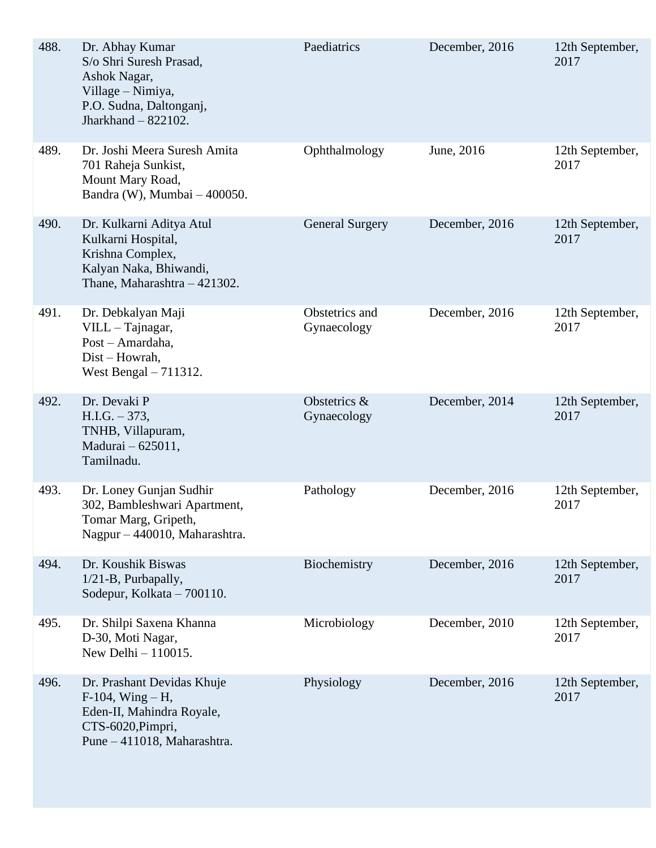| 488. | Dr. Abhay Kumar<br>S/o Shri Suresh Prasad,<br>Ashok Nagar,<br>Village – Nimiya,<br>P.O. Sudna, Daltonganj,<br>Jharkhand $-822102$ . | Paediatrics                   | December, 2016 | 12th September,<br>2017 |
|------|-------------------------------------------------------------------------------------------------------------------------------------|-------------------------------|----------------|-------------------------|
| 489. | Dr. Joshi Meera Suresh Amita<br>701 Raheja Sunkist,<br>Mount Mary Road,<br>Bandra (W), Mumbai - 400050.                             | Ophthalmology                 | June, 2016     | 12th September,<br>2017 |
| 490. | Dr. Kulkarni Aditya Atul<br>Kulkarni Hospital,<br>Krishna Complex,<br>Kalyan Naka, Bhiwandi,<br>Thane, Maharashtra - 421302.        | <b>General Surgery</b>        | December, 2016 | 12th September,<br>2017 |
| 491. | Dr. Debkalyan Maji<br>$VILL-Tajnagar,$<br>Post - Amardaha,<br>Dist - Howrah,<br>West Bengal $-711312$ .                             | Obstetrics and<br>Gynaecology | December, 2016 | 12th September,<br>2017 |
| 492. | Dr. Devaki P<br>H.I.G. – 373,<br>TNHB, Villapuram,<br>Madurai – 625011,<br>Tamilnadu.                                               | Obstetrics &<br>Gynaecology   | December, 2014 | 12th September,<br>2017 |
| 493. | Dr. Loney Gunjan Sudhir<br>302, Bambleshwari Apartment,<br>Tomar Marg, Gripeth,<br>Nagpur - 440010, Maharashtra.                    | Pathology                     | December, 2016 | 12th September,<br>2017 |
| 494. | Dr. Koushik Biswas<br>$1/21$ -B, Purbapally,<br>Sodepur, Kolkata – 700110.                                                          | Biochemistry                  | December, 2016 | 12th September,<br>2017 |
| 495. | Dr. Shilpi Saxena Khanna<br>D-30, Moti Nagar,<br>New Delhi $-110015$ .                                                              | Microbiology                  | December, 2010 | 12th September,<br>2017 |
| 496. | Dr. Prashant Devidas Khuje<br>$F-104$ , $Wing-H$ ,<br>Eden-II, Mahindra Royale,<br>CTS-6020, Pimpri,<br>Pune - 411018, Maharashtra. | Physiology                    | December, 2016 | 12th September,<br>2017 |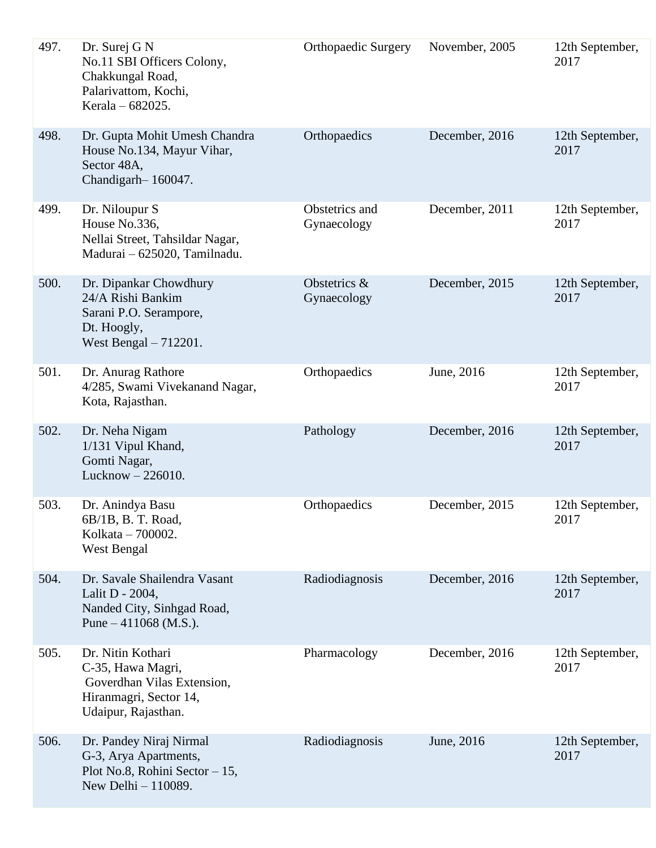| 497. | Dr. Surej G N<br>No.11 SBI Officers Colony,<br>Chakkungal Road,<br>Palarivattom, Kochi,<br>Kerala - 682025.           | Orthopaedic Surgery           | November, 2005 | 12th September,<br>2017 |
|------|-----------------------------------------------------------------------------------------------------------------------|-------------------------------|----------------|-------------------------|
| 498. | Dr. Gupta Mohit Umesh Chandra<br>House No.134, Mayur Vihar,<br>Sector 48A,<br>Chandigarh-160047.                      | Orthopaedics                  | December, 2016 | 12th September,<br>2017 |
| 499. | Dr. Niloupur S<br>House No.336,<br>Nellai Street, Tahsildar Nagar,<br>Madurai - 625020, Tamilnadu.                    | Obstetrics and<br>Gynaecology | December, 2011 | 12th September,<br>2017 |
| 500. | Dr. Dipankar Chowdhury<br>24/A Rishi Bankim<br>Sarani P.O. Serampore,<br>Dt. Hoogly,<br>West Bengal - 712201.         | Obstetrics &<br>Gynaecology   | December, 2015 | 12th September,<br>2017 |
| 501. | Dr. Anurag Rathore<br>4/285, Swami Vivekanand Nagar,<br>Kota, Rajasthan.                                              | Orthopaedics                  | June, 2016     | 12th September,<br>2017 |
| 502. | Dr. Neha Nigam<br>1/131 Vipul Khand,<br>Gomti Nagar,<br>Lucknow $-226010$ .                                           | Pathology                     | December, 2016 | 12th September,<br>2017 |
| 503. | Dr. Anindya Basu<br>6B/1B, B. T. Road,<br>Kolkata - 700002.<br>West Bengal                                            | Orthopaedics                  | December, 2015 | 12th September,<br>2017 |
| 504. | Dr. Savale Shailendra Vasant<br>Lalit D - 2004,<br>Nanded City, Sinhgad Road,<br>Pune $-411068$ (M.S.).               | Radiodiagnosis                | December, 2016 | 12th September,<br>2017 |
| 505. | Dr. Nitin Kothari<br>C-35, Hawa Magri,<br>Goverdhan Vilas Extension,<br>Hiranmagri, Sector 14,<br>Udaipur, Rajasthan. | Pharmacology                  | December, 2016 | 12th September,<br>2017 |
| 506. | Dr. Pandey Niraj Nirmal<br>G-3, Arya Apartments,<br>Plot No.8, Rohini Sector $-15$ ,<br>New Delhi - 110089.           | Radiodiagnosis                | June, 2016     | 12th September,<br>2017 |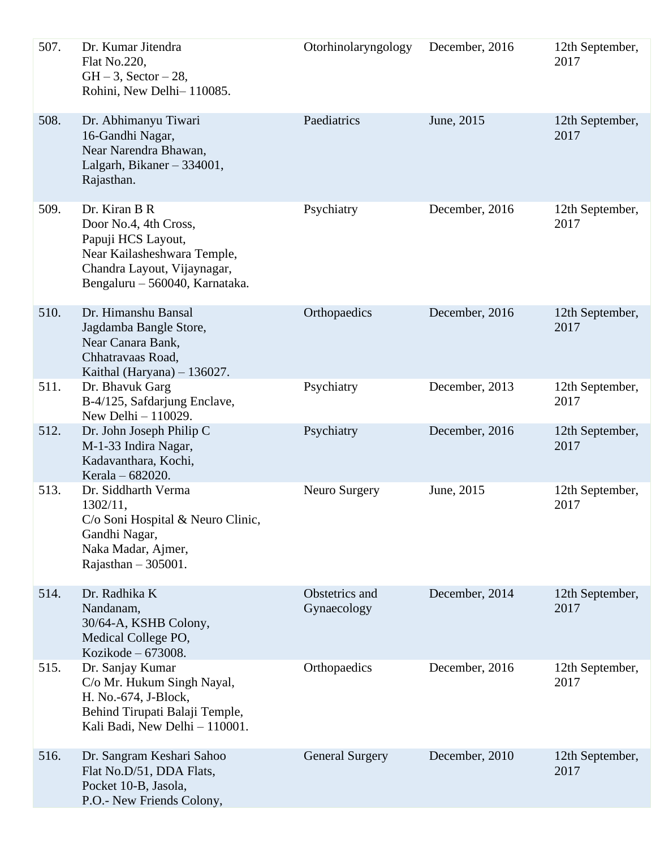| 507. | Dr. Kumar Jitendra<br>Flat No.220,<br>$GH - 3$ , Sector $-28$ ,<br>Rohini, New Delhi-110085.                                                                 | Otorhinolaryngology           | December, 2016 | 12th September,<br>2017 |
|------|--------------------------------------------------------------------------------------------------------------------------------------------------------------|-------------------------------|----------------|-------------------------|
| 508. | Dr. Abhimanyu Tiwari<br>16-Gandhi Nagar,<br>Near Narendra Bhawan,<br>Lalgarh, Bikaner - 334001,<br>Rajasthan.                                                | Paediatrics                   | June, 2015     | 12th September,<br>2017 |
| 509. | Dr. Kiran B R<br>Door No.4, 4th Cross,<br>Papuji HCS Layout,<br>Near Kailasheshwara Temple,<br>Chandra Layout, Vijaynagar,<br>Bengaluru - 560040, Karnataka. | Psychiatry                    | December, 2016 | 12th September,<br>2017 |
| 510. | Dr. Himanshu Bansal<br>Jagdamba Bangle Store,<br>Near Canara Bank,<br>Chhatravaas Road,<br>Kaithal (Haryana) - 136027.                                       | Orthopaedics                  | December, 2016 | 12th September,<br>2017 |
| 511. | Dr. Bhavuk Garg<br>B-4/125, Safdarjung Enclave,<br>New Delhi - 110029.                                                                                       | Psychiatry                    | December, 2013 | 12th September,<br>2017 |
| 512. | Dr. John Joseph Philip C<br>M-1-33 Indira Nagar,<br>Kadavanthara, Kochi,<br>Kerala - 682020.                                                                 | Psychiatry                    | December, 2016 | 12th September,<br>2017 |
| 513. | Dr. Siddharth Verma<br>1302/11,<br>C/o Soni Hospital & Neuro Clinic,<br>Gandhi Nagar,<br>Naka Madar, Ajmer,<br>Rajasthan $-305001$ .                         | Neuro Surgery                 | June, 2015     | 12th September,<br>2017 |
| 514. | Dr. Radhika K<br>Nandanam,<br>30/64-A, KSHB Colony,<br>Medical College PO,<br>Kozikode $-673008$ .                                                           | Obstetrics and<br>Gynaecology | December, 2014 | 12th September,<br>2017 |
| 515. | Dr. Sanjay Kumar<br>C/o Mr. Hukum Singh Nayal,<br>H. No.-674, J-Block,<br>Behind Tirupati Balaji Temple,<br>Kali Badi, New Delhi - 110001.                   | Orthopaedics                  | December, 2016 | 12th September,<br>2017 |
| 516. | Dr. Sangram Keshari Sahoo<br>Flat No.D/51, DDA Flats,<br>Pocket 10-B, Jasola,<br>P.O.- New Friends Colony,                                                   | <b>General Surgery</b>        | December, 2010 | 12th September,<br>2017 |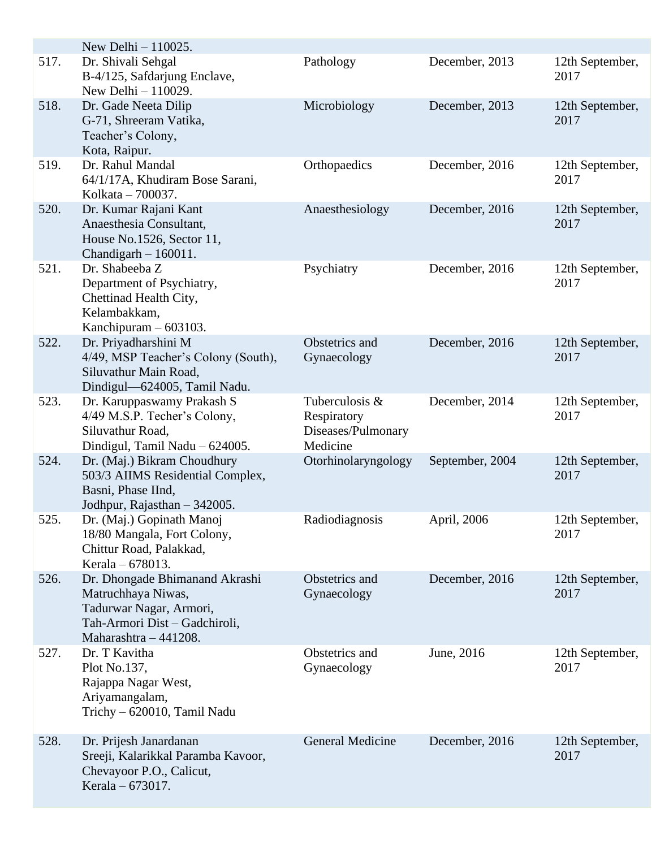|      | New Delhi $-110025$ .                                                                                                                     |                                                                 |                 |                         |
|------|-------------------------------------------------------------------------------------------------------------------------------------------|-----------------------------------------------------------------|-----------------|-------------------------|
| 517. | Dr. Shivali Sehgal<br>B-4/125, Safdarjung Enclave,<br>New Delhi $-110029$ .                                                               | Pathology                                                       | December, 2013  | 12th September,<br>2017 |
| 518. | Dr. Gade Neeta Dilip<br>G-71, Shreeram Vatika,<br>Teacher's Colony,<br>Kota, Raipur.                                                      | Microbiology                                                    | December, 2013  | 12th September,<br>2017 |
| 519. | Dr. Rahul Mandal<br>64/1/17A, Khudiram Bose Sarani,<br>Kolkata – 700037.                                                                  | Orthopaedics                                                    | December, 2016  | 12th September,<br>2017 |
| 520. | Dr. Kumar Rajani Kant<br>Anaesthesia Consultant,<br>House No.1526, Sector 11,<br>Chandigarh $-160011$ .                                   | Anaesthesiology                                                 | December, 2016  | 12th September,<br>2017 |
| 521. | Dr. Shabeeba Z<br>Department of Psychiatry,<br>Chettinad Health City,<br>Kelambakkam,<br>Kanchipuram $-603103$ .                          | Psychiatry                                                      | December, 2016  | 12th September,<br>2017 |
| 522. | Dr. Priyadharshini M<br>4/49, MSP Teacher's Colony (South),<br>Siluvathur Main Road,<br>Dindigul-624005, Tamil Nadu.                      | Obstetrics and<br>Gynaecology                                   | December, 2016  | 12th September,<br>2017 |
| 523. | Dr. Karuppaswamy Prakash S<br>4/49 M.S.P. Techer's Colony,<br>Siluvathur Road,<br>Dindigul, Tamil Nadu - 624005.                          | Tuberculosis &<br>Respiratory<br>Diseases/Pulmonary<br>Medicine | December, 2014  | 12th September,<br>2017 |
| 524. | Dr. (Maj.) Bikram Choudhury<br>503/3 AIIMS Residential Complex,<br>Basni, Phase IInd,<br>Jodhpur, Rajasthan - 342005.                     | Otorhinolaryngology                                             | September, 2004 | 12th September,<br>2017 |
| 525. | Dr. (Maj.) Gopinath Manoj<br>18/80 Mangala, Fort Colony,<br>Chittur Road, Palakkad,<br>Kerala – 678013.                                   | Radiodiagnosis                                                  | April, 2006     | 12th September,<br>2017 |
| 526. | Dr. Dhongade Bhimanand Akrashi<br>Matruchhaya Niwas,<br>Tadurwar Nagar, Armori,<br>Tah-Armori Dist - Gadchiroli,<br>Maharashtra - 441208. | Obstetrics and<br>Gynaecology                                   | December, 2016  | 12th September,<br>2017 |
| 527. | Dr. T Kavitha<br>Plot No.137,<br>Rajappa Nagar West,<br>Ariyamangalam,<br>Trichy - 620010, Tamil Nadu                                     | Obstetrics and<br>Gynaecology                                   | June, 2016      | 12th September,<br>2017 |
| 528. | Dr. Prijesh Janardanan<br>Sreeji, Kalarikkal Paramba Kavoor,<br>Chevayoor P.O., Calicut,<br>Kerala - 673017.                              | <b>General Medicine</b>                                         | December, 2016  | 12th September,<br>2017 |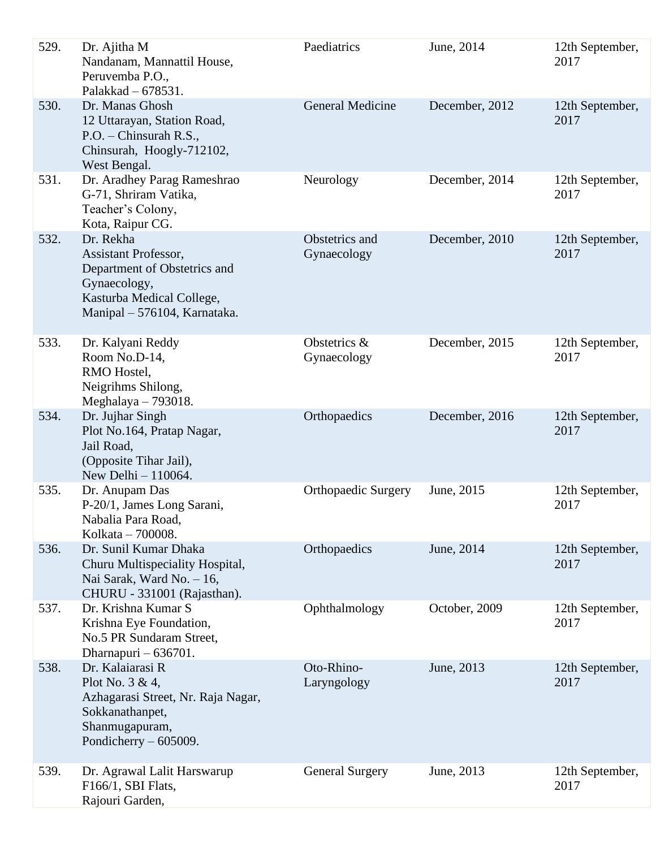| 529. | Dr. Ajitha M<br>Nandanam, Mannattil House,<br>Peruvemba P.O.,<br>Palakkad - 678531.                                                            | Paediatrics                   | June, 2014     | 12th September,<br>2017 |
|------|------------------------------------------------------------------------------------------------------------------------------------------------|-------------------------------|----------------|-------------------------|
| 530. | Dr. Manas Ghosh<br>12 Uttarayan, Station Road,<br>P.O. - Chinsurah R.S.,<br>Chinsurah, Hoogly-712102,<br>West Bengal.                          | <b>General Medicine</b>       | December, 2012 | 12th September,<br>2017 |
| 531. | Dr. Aradhey Parag Rameshrao<br>G-71, Shriram Vatika,<br>Teacher's Colony,<br>Kota, Raipur CG.                                                  | Neurology                     | December, 2014 | 12th September,<br>2017 |
| 532. | Dr. Rekha<br>Assistant Professor,<br>Department of Obstetrics and<br>Gynaecology,<br>Kasturba Medical College,<br>Manipal - 576104, Karnataka. | Obstetrics and<br>Gynaecology | December, 2010 | 12th September,<br>2017 |
| 533. | Dr. Kalyani Reddy<br>Room No.D-14,<br>RMO Hostel,<br>Neigrihms Shilong,<br>Meghalaya $-793018$ .                                               | Obstetrics &<br>Gynaecology   | December, 2015 | 12th September,<br>2017 |
| 534. | Dr. Jujhar Singh<br>Plot No.164, Pratap Nagar,<br>Jail Road,<br>(Opposite Tihar Jail),<br>New Delhi - 110064.                                  | Orthopaedics                  | December, 2016 | 12th September,<br>2017 |
| 535. | Dr. Anupam Das<br>P-20/1, James Long Sarani,<br>Nabalia Para Road,<br>Kolkata - 700008.                                                        | <b>Orthopaedic Surgery</b>    | June, 2015     | 12th September,<br>2017 |
| 536. | Dr. Sunil Kumar Dhaka<br>Churu Multispeciality Hospital,<br>Nai Sarak, Ward No. $-16$ ,<br>CHURU - 331001 (Rajasthan).                         | Orthopaedics                  | June, 2014     | 12th September,<br>2017 |
| 537. | Dr. Krishna Kumar S<br>Krishna Eye Foundation,<br>No.5 PR Sundaram Street,<br>Dharnapuri - 636701.                                             | Ophthalmology                 | October, 2009  | 12th September,<br>2017 |
| 538. | Dr. Kalaiarasi R<br>Plot No. 3 & 4,<br>Azhagarasi Street, Nr. Raja Nagar,<br>Sokkanathanpet,<br>Shanmugapuram,<br>Pondicherry $-605009$ .      | Oto-Rhino-<br>Laryngology     | June, 2013     | 12th September,<br>2017 |
| 539. | Dr. Agrawal Lalit Harswarup<br>F166/1, SBI Flats,<br>Rajouri Garden,                                                                           | <b>General Surgery</b>        | June, 2013     | 12th September,<br>2017 |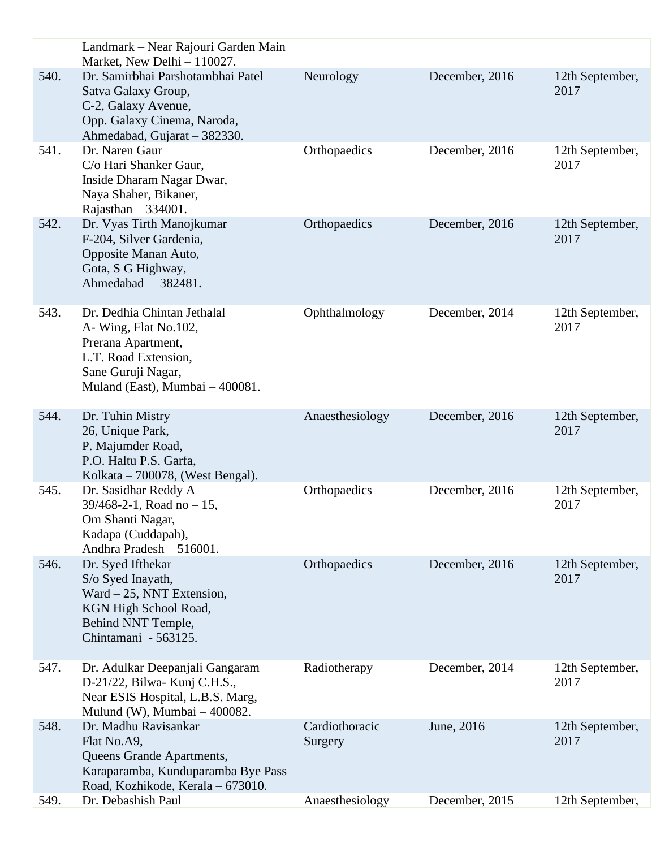|      | Landmark – Near Rajouri Garden Main<br>Market, New Delhi - 110027.                                                                                         |                           |                |                         |
|------|------------------------------------------------------------------------------------------------------------------------------------------------------------|---------------------------|----------------|-------------------------|
| 540. | Dr. Samirbhai Parshotambhai Patel<br>Satva Galaxy Group,<br>C-2, Galaxy Avenue,<br>Opp. Galaxy Cinema, Naroda,<br>Ahmedabad, Gujarat - 382330.             | Neurology                 | December, 2016 | 12th September,<br>2017 |
| 541. | Dr. Naren Gaur<br>C/o Hari Shanker Gaur,<br>Inside Dharam Nagar Dwar,<br>Naya Shaher, Bikaner,<br>Rajasthan $-334001$ .                                    | Orthopaedics              | December, 2016 | 12th September,<br>2017 |
| 542. | Dr. Vyas Tirth Manojkumar<br>F-204, Silver Gardenia,<br>Opposite Manan Auto,<br>Gota, S G Highway,<br>Ahmedabad $-382481$ .                                | Orthopaedics              | December, 2016 | 12th September,<br>2017 |
| 543. | Dr. Dedhia Chintan Jethalal<br>A-Wing, Flat No.102,<br>Prerana Apartment,<br>L.T. Road Extension,<br>Sane Guruji Nagar,<br>Muland (East), Mumbai - 400081. | Ophthalmology             | December, 2014 | 12th September,<br>2017 |
| 544. | Dr. Tuhin Mistry<br>26, Unique Park,<br>P. Majumder Road,<br>P.O. Haltu P.S. Garfa,<br>Kolkata – $700078$ , (West Bengal).                                 | Anaesthesiology           | December, 2016 | 12th September,<br>2017 |
| 545. | Dr. Sasidhar Reddy A<br>$39/468 - 2 - 1$ , Road no - 15,<br>Om Shanti Nagar,<br>Kadapa (Cuddapah),<br>Andhra Pradesh - 516001.                             | Orthopaedics              | December, 2016 | 12th September,<br>2017 |
| 546. | Dr. Syed Ifthekar<br>S/o Syed Inayath,<br>Ward $-25$ , NNT Extension,<br>KGN High School Road,<br>Behind NNT Temple,<br>Chintamani - 563125.               | Orthopaedics              | December, 2016 | 12th September,<br>2017 |
| 547. | Dr. Adulkar Deepanjali Gangaram<br>D-21/22, Bilwa- Kunj C.H.S.,<br>Near ESIS Hospital, L.B.S. Marg,<br>Mulund (W), Mumbai $-400082$ .                      | Radiotherapy              | December, 2014 | 12th September,<br>2017 |
| 548. | Dr. Madhu Ravisankar<br>Flat No.A9,<br>Queens Grande Apartments,<br>Karaparamba, Kunduparamba Bye Pass<br>Road, Kozhikode, Kerala - 673010.                | Cardiothoracic<br>Surgery | June, 2016     | 12th September,<br>2017 |
| 549. | Dr. Debashish Paul                                                                                                                                         | Anaesthesiology           | December, 2015 | 12th September,         |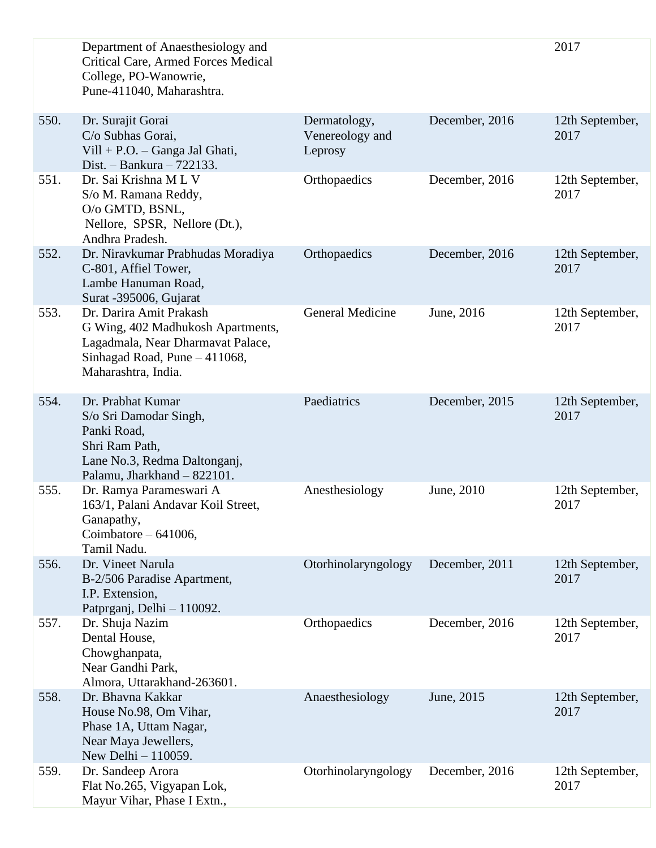|      | Department of Anaesthesiology and<br><b>Critical Care, Armed Forces Medical</b><br>College, PO-Wanowrie,<br>Pune-411040, Maharashtra.                     |                                            |                | 2017                    |
|------|-----------------------------------------------------------------------------------------------------------------------------------------------------------|--------------------------------------------|----------------|-------------------------|
| 550. | Dr. Surajit Gorai<br>C/o Subhas Gorai,<br>$Vill + P.O. - Ganga Jal Ghati,$<br>Dist. - Bankura $-722133$ .                                                 | Dermatology,<br>Venereology and<br>Leprosy | December, 2016 | 12th September,<br>2017 |
| 551. | Dr. Sai Krishna ML V<br>S/o M. Ramana Reddy,<br>O/o GMTD, BSNL,<br>Nellore, SPSR, Nellore (Dt.),<br>Andhra Pradesh.                                       | Orthopaedics                               | December, 2016 | 12th September,<br>2017 |
| 552. | Dr. Niravkumar Prabhudas Moradiya<br>C-801, Affiel Tower,<br>Lambe Hanuman Road,<br>Surat -395006, Gujarat                                                | Orthopaedics                               | December, 2016 | 12th September,<br>2017 |
| 553. | Dr. Darira Amit Prakash<br>G Wing, 402 Madhukosh Apartments,<br>Lagadmala, Near Dharmavat Palace,<br>Sinhagad Road, Pune - 411068,<br>Maharashtra, India. | <b>General Medicine</b>                    | June, 2016     | 12th September,<br>2017 |
| 554. | Dr. Prabhat Kumar<br>S/o Sri Damodar Singh,<br>Panki Road,<br>Shri Ram Path,<br>Lane No.3, Redma Daltonganj,<br>Palamu, Jharkhand - 822101.               | Paediatrics                                | December, 2015 | 12th September,<br>2017 |
| 555. | Dr. Ramya Parameswari A<br>163/1, Palani Andavar Koil Street,<br>Ganapathy,<br>Coimbatore $-641006$ ,<br>Tamil Nadu.                                      | Anesthesiology                             | June, 2010     | 12th September,<br>2017 |
| 556. | Dr. Vineet Narula<br>B-2/506 Paradise Apartment,<br>I.P. Extension,<br>Patprganj, Delhi - 110092.                                                         | Otorhinolaryngology                        | December, 2011 | 12th September,<br>2017 |
| 557. | Dr. Shuja Nazim<br>Dental House,<br>Chowghanpata,<br>Near Gandhi Park,<br>Almora, Uttarakhand-263601.                                                     | Orthopaedics                               | December, 2016 | 12th September,<br>2017 |
| 558. | Dr. Bhavna Kakkar<br>House No.98, Om Vihar,<br>Phase 1A, Uttam Nagar,<br>Near Maya Jewellers,<br>New Delhi $-110059$ .                                    | Anaesthesiology                            | June, 2015     | 12th September,<br>2017 |
| 559. | Dr. Sandeep Arora<br>Flat No.265, Vigyapan Lok,<br>Mayur Vihar, Phase I Extn.,                                                                            | Otorhinolaryngology                        | December, 2016 | 12th September,<br>2017 |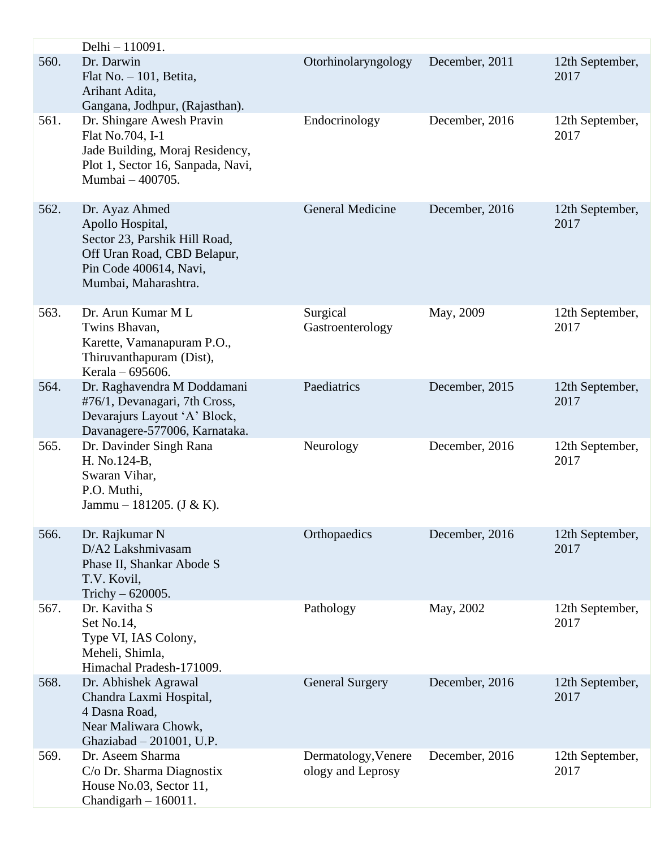|      | Delhi - 110091.                                                                                                                                      |                                          |                |                         |
|------|------------------------------------------------------------------------------------------------------------------------------------------------------|------------------------------------------|----------------|-------------------------|
| 560. | Dr. Darwin<br>Flat No. $-101$ , Betita,<br>Arihant Adita,<br>Gangana, Jodhpur, (Rajasthan).                                                          | Otorhinolaryngology                      | December, 2011 | 12th September,<br>2017 |
| 561. | Dr. Shingare Awesh Pravin<br>Flat No.704, I-1<br>Jade Building, Moraj Residency,<br>Plot 1, Sector 16, Sanpada, Navi,<br>Mumbai - 400705.            | Endocrinology                            | December, 2016 | 12th September,<br>2017 |
| 562. | Dr. Ayaz Ahmed<br>Apollo Hospital,<br>Sector 23, Parshik Hill Road,<br>Off Uran Road, CBD Belapur,<br>Pin Code 400614, Navi,<br>Mumbai, Maharashtra. | <b>General Medicine</b>                  | December, 2016 | 12th September,<br>2017 |
| 563. | Dr. Arun Kumar M L<br>Twins Bhavan,<br>Karette, Vamanapuram P.O.,<br>Thiruvanthapuram (Dist),<br>Kerala - 695606.                                    | Surgical<br>Gastroenterology             | May, 2009      | 12th September,<br>2017 |
| 564. | Dr. Raghavendra M Doddamani<br>#76/1, Devanagari, 7th Cross,<br>Devarajurs Layout 'A' Block,<br>Davanagere-577006, Karnataka.                        | Paediatrics                              | December, 2015 | 12th September,<br>2017 |
| 565. | Dr. Davinder Singh Rana<br>H. No.124-B,<br>Swaran Vihar,<br>P.O. Muthi,<br>Jammu – 181205. (J & K).                                                  | Neurology                                | December, 2016 | 12th September,<br>2017 |
| 566. | Dr. Rajkumar N<br>D/A2 Lakshmiyasam<br>Phase II, Shankar Abode S<br>T.V. Kovil,<br>Trichy $-620005$ .                                                | Orthopaedics                             | December, 2016 | 12th September,<br>2017 |
| 567. | Dr. Kavitha S<br>Set No.14,<br>Type VI, IAS Colony,<br>Meheli, Shimla,<br>Himachal Pradesh-171009.                                                   | Pathology                                | May, 2002      | 12th September,<br>2017 |
| 568. | Dr. Abhishek Agrawal<br>Chandra Laxmi Hospital,<br>4 Dasna Road,<br>Near Maliwara Chowk,<br>Ghaziabad - 201001, U.P.                                 | <b>General Surgery</b>                   | December, 2016 | 12th September,<br>2017 |
| 569. | Dr. Aseem Sharma<br>C/o Dr. Sharma Diagnostix<br>House No.03, Sector 11,<br>Chandigarh $-160011$ .                                                   | Dermatology, Venere<br>ology and Leprosy | December, 2016 | 12th September,<br>2017 |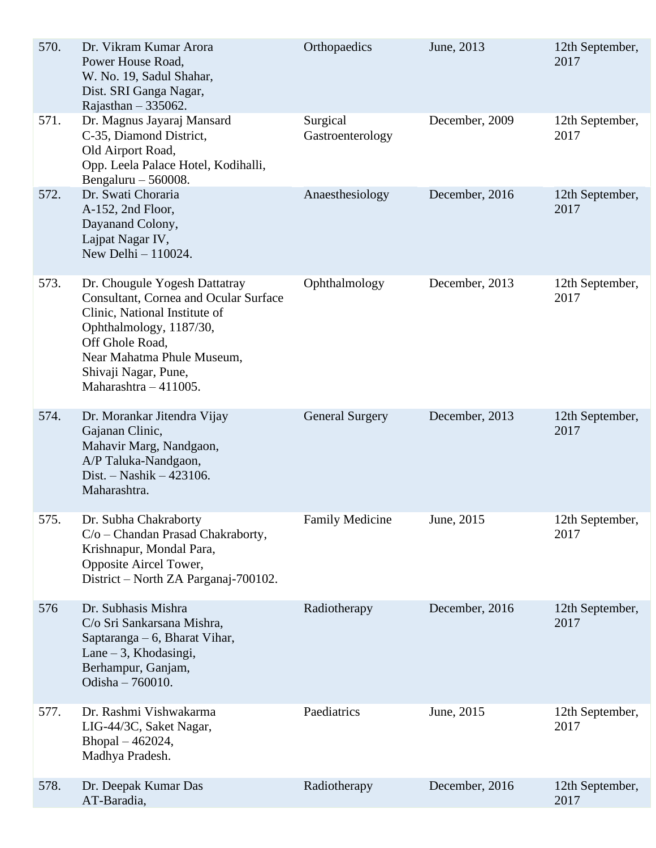| 570. | Dr. Vikram Kumar Arora<br>Power House Road,<br>W. No. 19, Sadul Shahar,<br>Dist. SRI Ganga Nagar,<br>Rajasthan $-335062$ .                                                                                                                    | Orthopaedics                 | June, 2013     | 12th September,<br>2017 |
|------|-----------------------------------------------------------------------------------------------------------------------------------------------------------------------------------------------------------------------------------------------|------------------------------|----------------|-------------------------|
| 571. | Dr. Magnus Jayaraj Mansard<br>C-35, Diamond District,<br>Old Airport Road,<br>Opp. Leela Palace Hotel, Kodihalli,<br>Bengaluru $-560008$ .                                                                                                    | Surgical<br>Gastroenterology | December, 2009 | 12th September,<br>2017 |
| 572. | Dr. Swati Choraria<br>A-152, 2nd Floor,<br>Dayanand Colony,<br>Lajpat Nagar IV,<br>New Delhi - 110024.                                                                                                                                        | Anaesthesiology              | December, 2016 | 12th September,<br>2017 |
| 573. | Dr. Chougule Yogesh Dattatray<br><b>Consultant, Cornea and Ocular Surface</b><br>Clinic, National Institute of<br>Ophthalmology, 1187/30,<br>Off Ghole Road,<br>Near Mahatma Phule Museum,<br>Shivaji Nagar, Pune,<br>Maharashtra $-411005$ . | Ophthalmology                | December, 2013 | 12th September,<br>2017 |
| 574. | Dr. Morankar Jitendra Vijay<br>Gajanan Clinic,<br>Mahavir Marg, Nandgaon,<br>A/P Taluka-Nandgaon,<br>Dist. $-$ Nashik $-423106$ .<br>Maharashtra.                                                                                             | <b>General Surgery</b>       | December, 2013 | 12th September,<br>2017 |
| 575. | Dr. Subha Chakraborty<br>C/o - Chandan Prasad Chakraborty,<br>Krishnapur, Mondal Para,<br>Opposite Aircel Tower,<br>District – North ZA Parganaj-700102.                                                                                      | <b>Family Medicine</b>       | June, 2015     | 12th September,<br>2017 |
| 576  | Dr. Subhasis Mishra<br>C/o Sri Sankarsana Mishra,<br>Saptaranga – 6, Bharat Vihar,<br>Lane $-3$ , Khodasingi,<br>Berhampur, Ganjam,<br>Odisha - 760010.                                                                                       | Radiotherapy                 | December, 2016 | 12th September,<br>2017 |
| 577. | Dr. Rashmi Vishwakarma<br>LIG-44/3C, Saket Nagar,<br>Bhopal - 462024,<br>Madhya Pradesh.                                                                                                                                                      | Paediatrics                  | June, 2015     | 12th September,<br>2017 |
| 578. | Dr. Deepak Kumar Das<br>AT-Baradia,                                                                                                                                                                                                           | Radiotherapy                 | December, 2016 | 12th September,<br>2017 |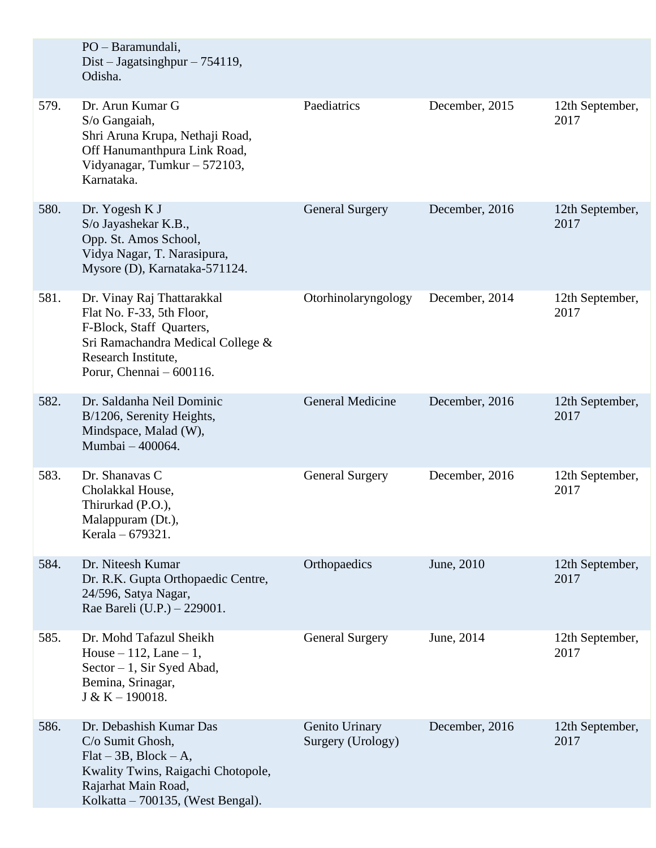|      | PO - Baramundali,<br>Dist – Jagatsinghpur – 754119,<br>Odisha.                                                                                                               |                                     |                |                         |
|------|------------------------------------------------------------------------------------------------------------------------------------------------------------------------------|-------------------------------------|----------------|-------------------------|
| 579. | Dr. Arun Kumar G<br>S/o Gangaiah,<br>Shri Aruna Krupa, Nethaji Road,<br>Off Hanumanthpura Link Road,<br>Vidyanagar, Tumkur - 572103,<br>Karnataka.                           | Paediatrics                         | December, 2015 | 12th September,<br>2017 |
| 580. | Dr. Yogesh K J<br>S/o Jayashekar K.B.,<br>Opp. St. Amos School,<br>Vidya Nagar, T. Narasipura,<br>Mysore (D), Karnataka-571124.                                              | <b>General Surgery</b>              | December, 2016 | 12th September,<br>2017 |
| 581. | Dr. Vinay Raj Thattarakkal<br>Flat No. F-33, 5th Floor,<br>F-Block, Staff Quarters,<br>Sri Ramachandra Medical College &<br>Research Institute,<br>Porur, Chennai - 600116.  | Otorhinolaryngology                 | December, 2014 | 12th September,<br>2017 |
| 582. | Dr. Saldanha Neil Dominic<br>B/1206, Serenity Heights,<br>Mindspace, Malad (W),<br>Mumbai - 400064.                                                                          | <b>General Medicine</b>             | December, 2016 | 12th September,<br>2017 |
| 583. | Dr. Shanavas C<br>Cholakkal House,<br>Thirurkad (P.O.),<br>Malappuram (Dt.),<br>Kerala - 679321.                                                                             | <b>General Surgery</b>              | December, 2016 | 12th September,<br>2017 |
| 584. | Dr. Niteesh Kumar<br>Dr. R.K. Gupta Orthopaedic Centre,<br>24/596, Satya Nagar,<br>Rae Bareli (U.P.) – 229001.                                                               | Orthopaedics                        | June, 2010     | 12th September,<br>2017 |
| 585. | Dr. Mohd Tafazul Sheikh<br>House $-112$ , Lane $-1$ ,<br>$Sector - 1$ , Sir Syed Abad,<br>Bemina, Srinagar,<br>$J & K - 190018.$                                             | <b>General Surgery</b>              | June, 2014     | 12th September,<br>2017 |
| 586. | Dr. Debashish Kumar Das<br>C/o Sumit Ghosh,<br>$Flat - 3B$ , $Block - A$ ,<br>Kwality Twins, Raigachi Chotopole,<br>Rajarhat Main Road,<br>Kolkatta – 700135, (West Bengal). | Genito Urinary<br>Surgery (Urology) | December, 2016 | 12th September,<br>2017 |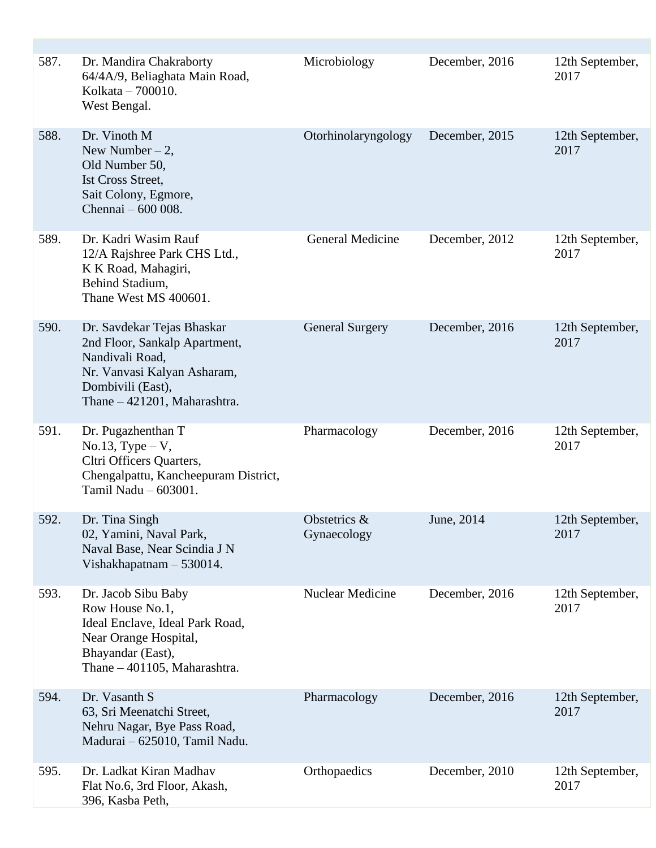| 587. | Dr. Mandira Chakraborty<br>64/4A/9, Beliaghata Main Road,<br>Kolkata - 700010.<br>West Bengal.                                                                     | Microbiology                | December, 2016 | 12th September,<br>2017 |
|------|--------------------------------------------------------------------------------------------------------------------------------------------------------------------|-----------------------------|----------------|-------------------------|
| 588. | Dr. Vinoth M<br>New Number $-2$ ,<br>Old Number 50,<br><b>Ist Cross Street,</b><br>Sait Colony, Egmore,<br>Chennai - 600 008.                                      | Otorhinolaryngology         | December, 2015 | 12th September,<br>2017 |
| 589. | Dr. Kadri Wasim Rauf<br>12/A Rajshree Park CHS Ltd.,<br>K K Road, Mahagiri,<br>Behind Stadium,<br>Thane West MS 400601.                                            | <b>General Medicine</b>     | December, 2012 | 12th September,<br>2017 |
| 590. | Dr. Savdekar Tejas Bhaskar<br>2nd Floor, Sankalp Apartment,<br>Nandivali Road,<br>Nr. Vanvasi Kalyan Asharam,<br>Dombivili (East),<br>Thane - 421201, Maharashtra. | <b>General Surgery</b>      | December, 2016 | 12th September,<br>2017 |
| 591. | Dr. Pugazhenthan T<br>$No.13, Type-V,$<br>Cltri Officers Quarters,<br>Chengalpattu, Kancheepuram District,<br>Tamil Nadu - 603001.                                 | Pharmacology                | December, 2016 | 12th September,<br>2017 |
| 592. | Dr. Tina Singh<br>02, Yamini, Naval Park,<br>Naval Base, Near Scindia J N<br>Vishakhapatnam $-530014$ .                                                            | Obstetrics &<br>Gynaecology | June, 2014     | 12th September,<br>2017 |
| 593. | Dr. Jacob Sibu Baby<br>Row House No.1,<br>Ideal Enclave, Ideal Park Road,<br>Near Orange Hospital,<br>Bhayandar (East),<br>Thane - 401105, Maharashtra.            | <b>Nuclear Medicine</b>     | December, 2016 | 12th September,<br>2017 |
| 594. | Dr. Vasanth S<br>63, Sri Meenatchi Street,<br>Nehru Nagar, Bye Pass Road,<br>Madurai - 625010, Tamil Nadu.                                                         | Pharmacology                | December, 2016 | 12th September,<br>2017 |
| 595. | Dr. Ladkat Kiran Madhav<br>Flat No.6, 3rd Floor, Akash,<br>396, Kasba Peth,                                                                                        | Orthopaedics                | December, 2010 | 12th September,<br>2017 |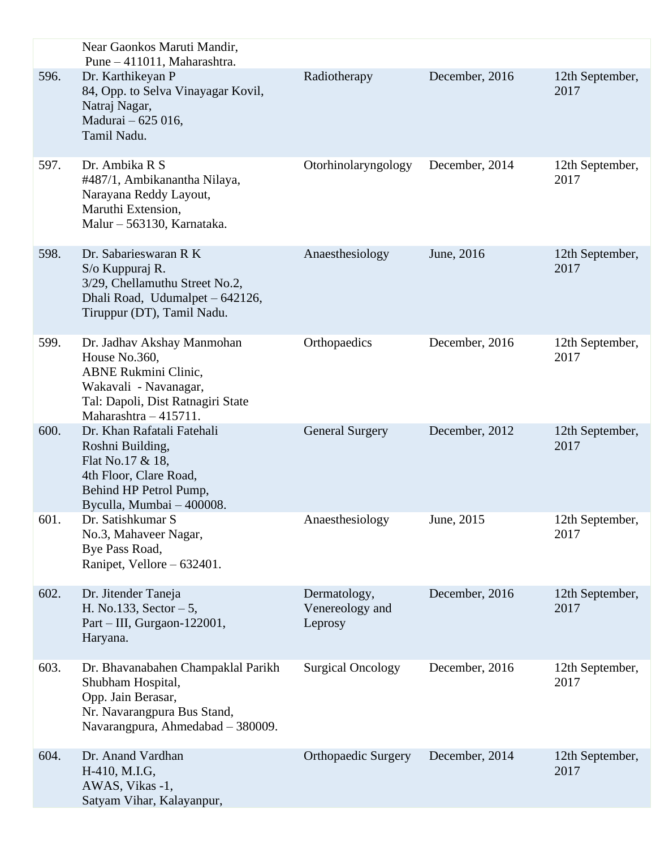|      | Near Gaonkos Maruti Mandir,<br>Pune - 411011, Maharashtra.                                                                                                        |                                            |                |                         |
|------|-------------------------------------------------------------------------------------------------------------------------------------------------------------------|--------------------------------------------|----------------|-------------------------|
| 596. | Dr. Karthikeyan P<br>84, Opp. to Selva Vinayagar Kovil,<br>Natraj Nagar,<br>Madurai - 625 016,<br>Tamil Nadu.                                                     | Radiotherapy                               | December, 2016 | 12th September,<br>2017 |
| 597. | Dr. Ambika R S<br>#487/1, Ambikanantha Nilaya,<br>Narayana Reddy Layout,<br>Maruthi Extension,<br>Malur - 563130, Karnataka.                                      | Otorhinolaryngology                        | December, 2014 | 12th September,<br>2017 |
| 598. | Dr. Sabarieswaran R K<br>S/o Kuppuraj R.<br>3/29, Chellamuthu Street No.2,<br>Dhali Road, Udumalpet - 642126,<br>Tiruppur (DT), Tamil Nadu.                       | Anaesthesiology                            | June, 2016     | 12th September,<br>2017 |
| 599. | Dr. Jadhav Akshay Manmohan<br>House No.360,<br><b>ABNE Rukmini Clinic,</b><br>Wakavali - Navanagar,<br>Tal: Dapoli, Dist Ratnagiri State<br>Maharashtra - 415711. | Orthopaedics                               | December, 2016 | 12th September,<br>2017 |
| 600. | Dr. Khan Rafatali Fatehali<br>Roshni Building,<br>Flat No.17 & 18,<br>4th Floor, Clare Road,<br>Behind HP Petrol Pump,<br>Byculla, Mumbai - 400008.               | <b>General Surgery</b>                     | December, 2012 | 12th September,<br>2017 |
| 601. | Dr. Satishkumar S<br>No.3, Mahaveer Nagar,<br>Bye Pass Road,<br>Ranipet, Vellore – 632401.                                                                        | Anaesthesiology                            | June, 2015     | 12th September,<br>2017 |
| 602. | Dr. Jitender Taneja<br>H. No.133, Sector $-5$ ,<br>Part – III, Gurgaon-122001,<br>Haryana.                                                                        | Dermatology,<br>Venereology and<br>Leprosy | December, 2016 | 12th September,<br>2017 |
| 603. | Dr. Bhavanabahen Champaklal Parikh<br>Shubham Hospital,<br>Opp. Jain Berasar,<br>Nr. Navarangpura Bus Stand,<br>Navarangpura, Ahmedabad - 380009.                 | <b>Surgical Oncology</b>                   | December, 2016 | 12th September,<br>2017 |
| 604. | Dr. Anand Vardhan<br>H-410, M.I.G,<br>AWAS, Vikas -1,<br>Satyam Vihar, Kalayanpur,                                                                                | <b>Orthopaedic Surgery</b>                 | December, 2014 | 12th September,<br>2017 |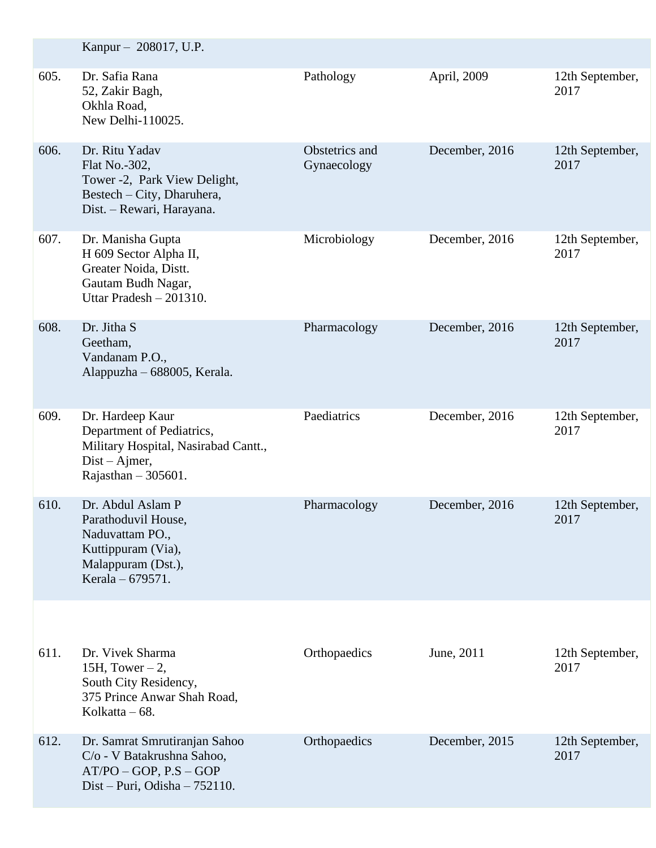|      | Kanpur – 208017, U.P.                                                                                                           |                               |                |                         |
|------|---------------------------------------------------------------------------------------------------------------------------------|-------------------------------|----------------|-------------------------|
| 605. | Dr. Safia Rana<br>52, Zakir Bagh,<br>Okhla Road,<br>New Delhi-110025.                                                           | Pathology                     | April, 2009    | 12th September,<br>2017 |
| 606. | Dr. Ritu Yadav<br>Flat No.-302,<br>Tower -2, Park View Delight,<br>Bestech - City, Dharuhera,<br>Dist. – Rewari, Harayana.      | Obstetrics and<br>Gynaecology | December, 2016 | 12th September,<br>2017 |
| 607. | Dr. Manisha Gupta<br>H 609 Sector Alpha II,<br>Greater Noida, Distt.<br>Gautam Budh Nagar,<br>Uttar Pradesh - 201310.           | Microbiology                  | December, 2016 | 12th September,<br>2017 |
| 608. | Dr. Jitha S<br>Geetham,<br>Vandanam P.O.,<br>Alappuzha - 688005, Kerala.                                                        | Pharmacology                  | December, 2016 | 12th September,<br>2017 |
| 609. | Dr. Hardeep Kaur<br>Department of Pediatrics,<br>Military Hospital, Nasirabad Cantt.,<br>$Dist-Ajmer,$<br>Rajasthan $-305601$ . | Paediatrics                   | December, 2016 | 12th September,<br>2017 |
| 610. | Dr. Abdul Aslam P<br>Parathoduvil House,<br>Naduvattam PO.,<br>Kuttippuram (Via),<br>Malappuram (Dst.),<br>Kerala – 679571.     | Pharmacology                  | December, 2016 | 12th September,<br>2017 |
|      |                                                                                                                                 |                               |                |                         |
| 611. | Dr. Vivek Sharma<br>15H, Tower $-2$ ,<br>South City Residency,<br>375 Prince Anwar Shah Road,<br>Kolkatta $-68$ .               | Orthopaedics                  | June, 2011     | 12th September,<br>2017 |
| 612. | Dr. Samrat Smrutiranjan Sahoo<br>C/o - V Batakrushna Sahoo,<br>$AT/PO - GOP, P.S - GOP$<br>Dist – Puri, Odisha – $752110$ .     | Orthopaedics                  | December, 2015 | 12th September,<br>2017 |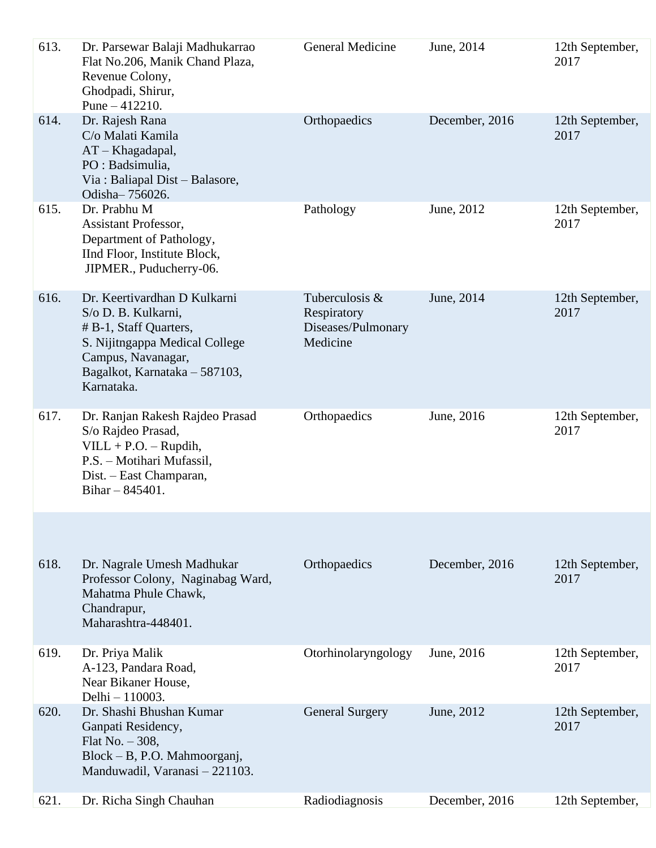| 613. | Dr. Parsewar Balaji Madhukarrao<br>Flat No.206, Manik Chand Plaza,<br>Revenue Colony,<br>Ghodpadi, Shirur,<br>Pune $-412210$ .                                                       | General Medicine                                                | June, 2014     | 12th September,<br>2017 |
|------|--------------------------------------------------------------------------------------------------------------------------------------------------------------------------------------|-----------------------------------------------------------------|----------------|-------------------------|
| 614. | Dr. Rajesh Rana<br>C/o Malati Kamila<br>AT-Khagadapal,<br>PO : Badsimulia,<br>Via: Baliapal Dist – Balasore,<br>Odisha-756026.                                                       | Orthopaedics                                                    | December, 2016 | 12th September,<br>2017 |
| 615. | Dr. Prabhu M<br><b>Assistant Professor,</b><br>Department of Pathology,<br>IInd Floor, Institute Block,<br>JIPMER., Puducherry-06.                                                   | Pathology                                                       | June, 2012     | 12th September,<br>2017 |
| 616. | Dr. Keertivardhan D Kulkarni<br>S/o D. B. Kulkarni,<br># B-1, Staff Quarters,<br>S. Nijitngappa Medical College<br>Campus, Navanagar,<br>Bagalkot, Karnataka - 587103,<br>Karnataka. | Tuberculosis &<br>Respiratory<br>Diseases/Pulmonary<br>Medicine | June, 2014     | 12th September,<br>2017 |
| 617. | Dr. Ranjan Rakesh Rajdeo Prasad<br>S/o Rajdeo Prasad,<br>$VILL + P.O. - Rupdih,$<br>P.S. - Motihari Mufassil,<br>Dist. – East Champaran,<br>Bihar $- 845401$ .                       | Orthopaedics                                                    | June, 2016     | 12th September,<br>2017 |
|      |                                                                                                                                                                                      |                                                                 |                |                         |
| 618. | Dr. Nagrale Umesh Madhukar<br>Professor Colony, Naginabag Ward,<br>Mahatma Phule Chawk,<br>Chandrapur,<br>Maharashtra-448401.                                                        | Orthopaedics                                                    | December, 2016 | 12th September,<br>2017 |
| 619. | Dr. Priya Malik<br>A-123, Pandara Road,<br>Near Bikaner House,<br>Delhi - 110003.                                                                                                    | Otorhinolaryngology                                             | June, 2016     | 12th September,<br>2017 |
| 620. | Dr. Shashi Bhushan Kumar<br>Ganpati Residency,<br>Flat No. $-308$ ,<br>Block - B, P.O. Mahmoorganj,<br>Manduwadil, Varanasi - 221103.                                                | <b>General Surgery</b>                                          | June, 2012     | 12th September,<br>2017 |
| 621. | Dr. Richa Singh Chauhan                                                                                                                                                              | Radiodiagnosis                                                  | December, 2016 | 12th September,         |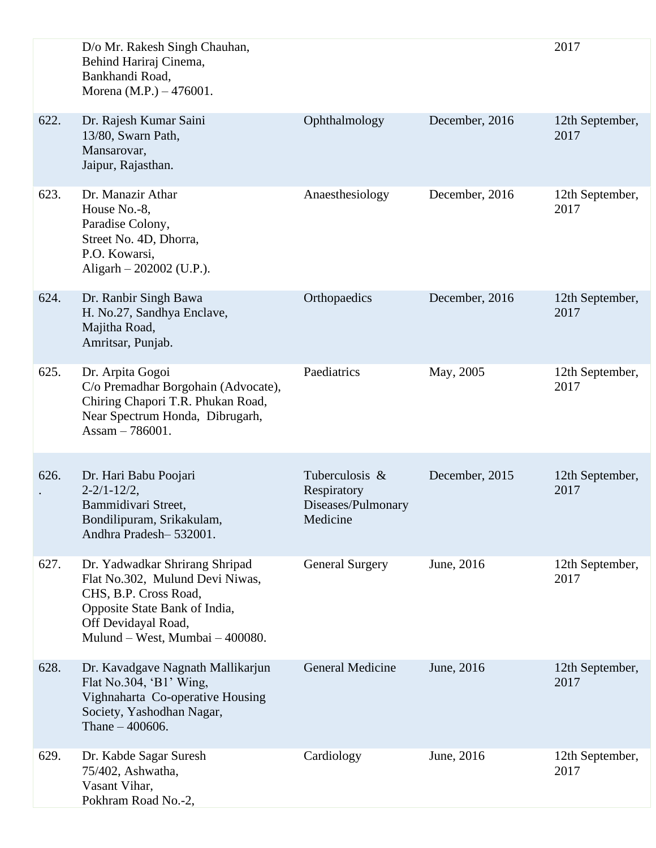|      | D/o Mr. Rakesh Singh Chauhan,<br>Behind Hariraj Cinema,<br>Bankhandi Road,<br>Morena (M.P.) – 476001.                                                                                 |                                                                 |                | 2017                    |
|------|---------------------------------------------------------------------------------------------------------------------------------------------------------------------------------------|-----------------------------------------------------------------|----------------|-------------------------|
| 622. | Dr. Rajesh Kumar Saini<br>13/80, Swarn Path,<br>Mansarovar,<br>Jaipur, Rajasthan.                                                                                                     | Ophthalmology                                                   | December, 2016 | 12th September,<br>2017 |
| 623. | Dr. Manazir Athar<br>House No.-8,<br>Paradise Colony,<br>Street No. 4D, Dhorra,<br>P.O. Kowarsi,<br>Aligarh $- 202002$ (U.P.).                                                        | Anaesthesiology                                                 | December, 2016 | 12th September,<br>2017 |
| 624. | Dr. Ranbir Singh Bawa<br>H. No.27, Sandhya Enclave,<br>Majitha Road,<br>Amritsar, Punjab.                                                                                             | Orthopaedics                                                    | December, 2016 | 12th September,<br>2017 |
| 625. | Dr. Arpita Gogoi<br>C/o Premadhar Borgohain (Advocate),<br>Chiring Chapori T.R. Phukan Road,<br>Near Spectrum Honda, Dibrugarh,<br>Assam $-786001$ .                                  | Paediatrics                                                     | May, 2005      | 12th September,<br>2017 |
| 626. | Dr. Hari Babu Poojari<br>$2 - 2/1 - 12/2$ ,<br>Bammidivari Street,<br>Bondilipuram, Srikakulam,<br>Andhra Pradesh-532001.                                                             | Tuberculosis &<br>Respiratory<br>Diseases/Pulmonary<br>Medicine | December, 2015 | 12th September,<br>2017 |
| 627. | Dr. Yadwadkar Shrirang Shripad<br>Flat No.302, Mulund Devi Niwas,<br>CHS, B.P. Cross Road,<br>Opposite State Bank of India,<br>Off Devidayal Road,<br>Mulund – West, Mumbai – 400080. | <b>General Surgery</b>                                          | June, 2016     | 12th September,<br>2017 |
| 628. | Dr. Kavadgave Nagnath Mallikarjun<br>Flat No.304, 'B1' Wing,<br>Vighnaharta Co-operative Housing<br>Society, Yashodhan Nagar,<br>Thane $-400606$ .                                    | <b>General Medicine</b>                                         | June, 2016     | 12th September,<br>2017 |
| 629. | Dr. Kabde Sagar Suresh<br>75/402, Ashwatha,<br>Vasant Vihar,<br>Pokhram Road No.-2,                                                                                                   | Cardiology                                                      | June, 2016     | 12th September,<br>2017 |